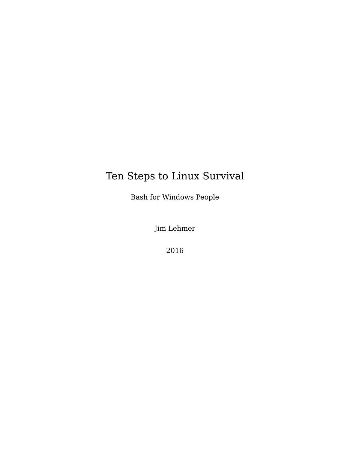# Ten Steps to Linux Survival

Bash for Windows People

Jim Lehmer

2016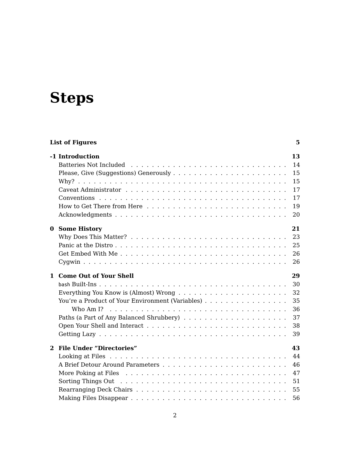# **[Steps](#page-16-1)**

| <b>List of Figures</b>                                                                                                           | 5. |
|----------------------------------------------------------------------------------------------------------------------------------|----|
| -1 Introduction                                                                                                                  | 13 |
|                                                                                                                                  | 14 |
|                                                                                                                                  | 15 |
|                                                                                                                                  | 15 |
| Caveat Administrator $\ldots$ , $\ldots$ , $\ldots$ , $\ldots$ , $\ldots$ , $\ldots$ , $\ldots$ , $\ldots$ , $\ldots$ , $\ldots$ | 17 |
|                                                                                                                                  | 17 |
|                                                                                                                                  | 19 |
|                                                                                                                                  | 20 |
| 0 Some History                                                                                                                   | 21 |
| Why Does This Matter? $\ldots \ldots \ldots \ldots \ldots \ldots \ldots \ldots \ldots \ldots \ldots \ldots$                      | 23 |
|                                                                                                                                  | 25 |
|                                                                                                                                  | 26 |
|                                                                                                                                  | 26 |
|                                                                                                                                  |    |
| 1 Come Out of Your Shell                                                                                                         | 29 |
|                                                                                                                                  | 30 |
|                                                                                                                                  | 32 |
| You're a Product of Your Environment (Variables)                                                                                 | 35 |
|                                                                                                                                  | 36 |
|                                                                                                                                  | 37 |
|                                                                                                                                  | 38 |
|                                                                                                                                  | 39 |
| 2 File Under "Directories"                                                                                                       | 43 |
|                                                                                                                                  | 44 |
|                                                                                                                                  | 46 |
|                                                                                                                                  | 47 |
|                                                                                                                                  | 51 |
|                                                                                                                                  | 55 |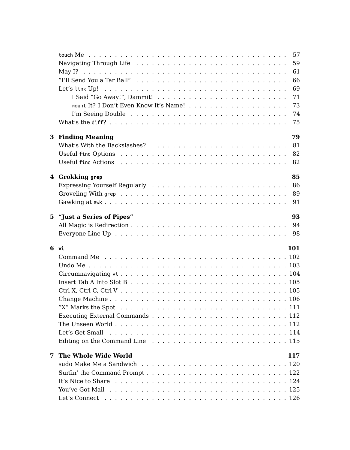|   | 57<br>59<br>61<br>66<br>69                                                                                                                                                                                                                             |  |
|---|--------------------------------------------------------------------------------------------------------------------------------------------------------------------------------------------------------------------------------------------------------|--|
|   | 71<br>73<br>74<br>75                                                                                                                                                                                                                                   |  |
|   | 79<br><b>3 Finding Meaning</b><br>81<br>What's With the Backslashes? $\ldots$ , , , , , ,<br>82<br>82                                                                                                                                                  |  |
|   | 85<br>4 Grokking grep<br>86<br>89<br>91                                                                                                                                                                                                                |  |
|   | 93<br>5 "Just a Series of Pipes"<br>94<br>98                                                                                                                                                                                                           |  |
|   | 6 vi<br>101<br>Insert Tab A Into Slot B $\ldots \ldots \ldots \ldots \ldots \ldots \ldots \ldots \ldots \ldots \ldots \ldots 105$<br>Executing External Commands $\ldots$ , $\ldots$ , $\ldots$ , $\ldots$ , $\ldots$ , $\ldots$ , $\ldots$ , $\ldots$ |  |
| 7 | The Whole Wide World<br>117<br>It's Nice to Share $\dots \dots \dots \dots \dots \dots \dots \dots \dots \dots \dots \dots \dots \dots \dots 124$                                                                                                      |  |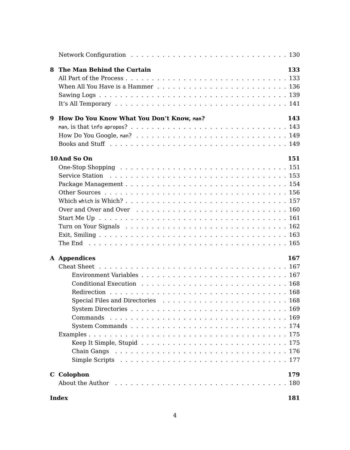| 8 | The Man Behind the Curtain                                                                                                   | 133 |
|---|------------------------------------------------------------------------------------------------------------------------------|-----|
| 9 | How Do You Know What You Don't Know, man?                                                                                    | 143 |
|   |                                                                                                                              |     |
|   |                                                                                                                              |     |
|   |                                                                                                                              |     |
|   | 10And So On                                                                                                                  | 151 |
|   |                                                                                                                              |     |
|   |                                                                                                                              |     |
|   |                                                                                                                              |     |
|   |                                                                                                                              |     |
|   |                                                                                                                              |     |
|   |                                                                                                                              |     |
|   |                                                                                                                              |     |
|   |                                                                                                                              |     |
|   |                                                                                                                              |     |
|   |                                                                                                                              |     |
|   | A Appendices                                                                                                                 | 167 |
|   |                                                                                                                              |     |
|   |                                                                                                                              |     |
|   |                                                                                                                              |     |
|   |                                                                                                                              |     |
|   |                                                                                                                              |     |
|   |                                                                                                                              |     |
|   |                                                                                                                              |     |
|   |                                                                                                                              |     |
|   |                                                                                                                              |     |
|   | Keep It Simple, Stupid $\ldots \ldots \ldots \ldots \ldots \ldots \ldots \ldots \ldots \ldots \ldots 175$                    |     |
|   |                                                                                                                              |     |
|   |                                                                                                                              |     |
|   | C Colophon<br>About the Author responses is a series of the series of the series of the series of the Author response is a s | 179 |

#### **Index 181**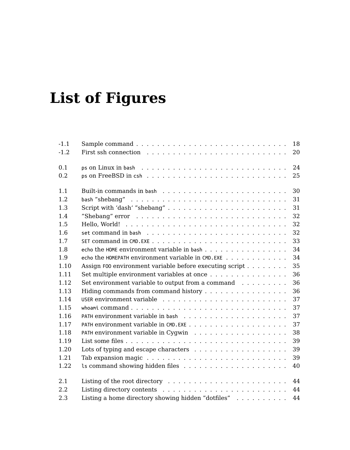# **[List of Fig](#page-30-0)[ures](#page-30-1)**

| $-1.1$ | 18                                                                                                  |
|--------|-----------------------------------------------------------------------------------------------------|
| $-1.2$ | First ssh connection $\ldots \ldots \ldots \ldots \ldots \ldots \ldots \ldots \ldots$<br>20         |
| 0.1    | 24                                                                                                  |
| 0.2    |                                                                                                     |
|        | 25                                                                                                  |
| 1.1    | 30                                                                                                  |
| 1.2.   | 31<br>bash "shebang" $\ldots \ldots \ldots \ldots \ldots \ldots \ldots \ldots \ldots \ldots \ldots$ |
| 1.3    | 31                                                                                                  |
| 1.4    | "Shebang" error $\ldots \ldots \ldots \ldots \ldots \ldots \ldots \ldots \ldots$<br>32              |
| 1.5    | 32                                                                                                  |
| 1.6    | 32                                                                                                  |
| 1.7    | 33                                                                                                  |
| 1.8    | 34<br>echo the HOME environment variable in bash                                                    |
| 1.9    | 34<br>echo the HOMEPATH environment variable in $CMD$ . EXE                                         |
| 1.10   | 35<br>Assign F00 environment variable before executing script                                       |
| 1.11   | 36<br>Set multiple environment variables at once                                                    |
| 1.12   | 36<br>Set environment variable to output from a command $\ldots \ldots \ldots$                      |
| 1.13   | 36<br>Hiding commands from command history                                                          |
| 1.14   | 37                                                                                                  |
| 1.15   | 37<br>whoamicommand                                                                                 |
| 1.16   | 37                                                                                                  |
| 1.17   | 37                                                                                                  |
| 1.18   | 38                                                                                                  |
| 1.19   | 39                                                                                                  |
| 1.20   | Lots of typing and escape characters $\dots \dots \dots \dots \dots \dots$<br>39                    |
| 1.21   | 39<br>Tab expansion magic $\ldots \ldots \ldots \ldots \ldots \ldots \ldots \ldots$                 |
| 1.22   | 40                                                                                                  |
|        |                                                                                                     |
| 2.1    | 44                                                                                                  |
| 2.2    | 44                                                                                                  |
| 2.3    | Listing a home directory showing hidden "dotfiles"<br>44                                            |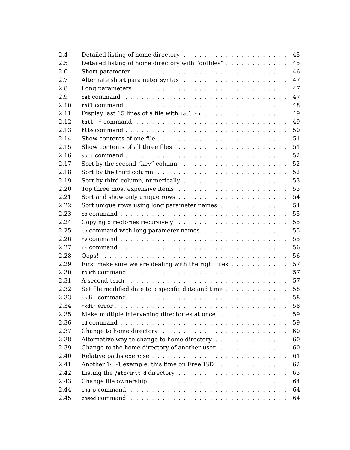| 2.4  | 45                                                                                                  |
|------|-----------------------------------------------------------------------------------------------------|
| 2.5  | Detailed listing of home directory with "dotfiles"<br>45                                            |
| 2.6  | 46                                                                                                  |
| 2.7  | 47                                                                                                  |
| 2.8  | 47                                                                                                  |
| 2.9  | 47                                                                                                  |
| 2.10 | 48                                                                                                  |
| 2.11 | Display last 15 lines of a file with tail -n<br>49                                                  |
| 2.12 | 49                                                                                                  |
| 2.13 | 50                                                                                                  |
| 2.14 | 51                                                                                                  |
| 2.15 | 51                                                                                                  |
| 2.16 | 52                                                                                                  |
| 2.17 | 52                                                                                                  |
| 2.18 | 52                                                                                                  |
| 2.19 | 53                                                                                                  |
| 2.20 | 53<br>Top three most expensive items $\ldots \ldots \ldots \ldots \ldots \ldots \ldots$             |
| 2.21 | 54                                                                                                  |
| 2.22 | 54<br>Sort unique rows using long parameter names $\ldots$ ,                                        |
| 2.23 | 55                                                                                                  |
| 2.24 | 55                                                                                                  |
| 2.25 | cp command with long parameter names<br>55                                                          |
| 2.26 | mv command $\ldots \ldots \ldots \ldots \ldots \ldots \ldots \ldots \ldots \ldots \ldots$<br>55     |
| 2.27 | 56                                                                                                  |
| 2.28 | 56                                                                                                  |
| 2.29 | First make sure we are dealing with the right files $\dots \dots \dots$<br>57                       |
| 2.30 | 57                                                                                                  |
| 2.31 | 57<br>A second touch $\ldots \ldots \ldots \ldots \ldots \ldots \ldots \ldots \ldots \ldots \ldots$ |
| 2.32 | 58<br>Set file modified date to a specific date and time $\dots \dots \dots \dots$                  |
| 2.33 | 58                                                                                                  |
| 2.34 | 58                                                                                                  |
| 2.35 | Make multiple intervening directories at once<br>59                                                 |
| 2.36 | 59                                                                                                  |
| 2.37 | 60                                                                                                  |
| 2.38 | 60<br>Alternative way to change to home directory                                                   |
| 2.39 | Change to the home directory of another user<br>60                                                  |
| 2.40 | 61                                                                                                  |
| 2.41 | Another ls -l example, this time on FreeBSD<br>62                                                   |
| 2.42 | 63                                                                                                  |
| 2.43 | 64                                                                                                  |
| 2.44 | 64                                                                                                  |
| 2.45 | 64                                                                                                  |
|      |                                                                                                     |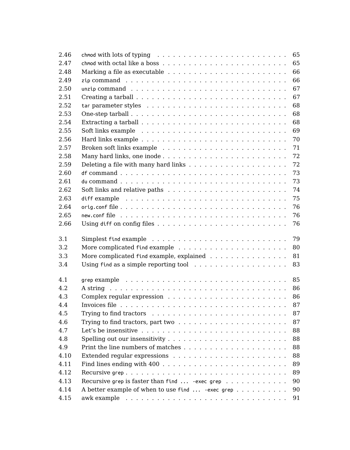| 2.46 | 65<br>chmod with lots of typing $\ldots \ldots \ldots \ldots \ldots \ldots \ldots \ldots \ldots$                                     |
|------|--------------------------------------------------------------------------------------------------------------------------------------|
| 2.47 | 65                                                                                                                                   |
| 2.48 | 66                                                                                                                                   |
| 2.49 | 66                                                                                                                                   |
| 2.50 | 67<br>unzip command $\ldots \ldots \ldots \ldots \ldots \ldots \ldots \ldots \ldots \ldots$                                          |
| 2.51 | 67<br>Creating a tarball $\ldots$ , $\ldots$ , $\ldots$ , $\ldots$ , $\ldots$ , $\ldots$ , $\ldots$ , $\ldots$ , $\ldots$ , $\ldots$ |
| 2.52 | 68                                                                                                                                   |
| 2.53 | 68                                                                                                                                   |
| 2.54 | 68                                                                                                                                   |
| 2.55 | 69                                                                                                                                   |
| 2.56 | 70                                                                                                                                   |
| 2.57 | 71                                                                                                                                   |
| 2.58 | 72                                                                                                                                   |
| 2.59 | 72                                                                                                                                   |
| 2.60 | 73                                                                                                                                   |
| 2.61 | 73                                                                                                                                   |
| 2.62 | 74<br>Soft links and relative paths $\ldots \ldots \ldots \ldots \ldots \ldots \ldots \ldots$                                        |
| 2.63 | 75                                                                                                                                   |
| 2.64 | 76                                                                                                                                   |
| 2.65 | 76                                                                                                                                   |
| 2.66 | 76                                                                                                                                   |
| 3.1  | 79                                                                                                                                   |
| 3.2  | 80                                                                                                                                   |
| 3.3  | More complicated find example, explained<br>81                                                                                       |
| 3.4  | Using find as a simple reporting tool $\ldots \ldots \ldots \ldots \ldots \ldots$<br>83                                              |
| 4.1  | grep example $\ldots \ldots \ldots \ldots \ldots \ldots \ldots \ldots \ldots \ldots$<br>85                                           |
| 4.2  | 86                                                                                                                                   |
| 4.3  | 86                                                                                                                                   |
| 4.4  | 87                                                                                                                                   |
| 4.5  | 87                                                                                                                                   |
| 4.6  | 87<br>Trying to find tractors, part two $\ldots \ldots \ldots \ldots \ldots \ldots \ldots$                                           |
| 4.7  | 88                                                                                                                                   |
| 4.8  | 88                                                                                                                                   |
| 4.9  | 88                                                                                                                                   |
| 4.10 |                                                                                                                                      |
|      | 88                                                                                                                                   |
| 4.11 | 89                                                                                                                                   |
| 4.12 | 89                                                                                                                                   |
| 4.13 | Recursive grep is faster than find $\ldots$ -exec grep $\ldots$<br>90                                                                |
| 4.14 | A better example of when to use find  - exec grep<br>90                                                                              |
| 4.15 | 91                                                                                                                                   |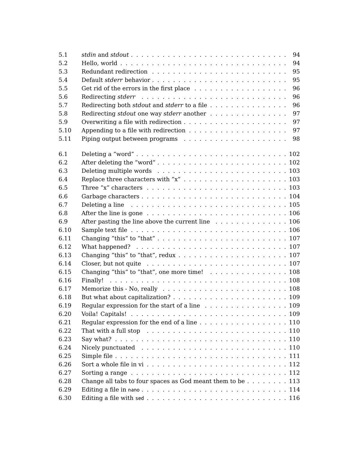| 5.1  | 94                                                                                                        |
|------|-----------------------------------------------------------------------------------------------------------|
| 5.2  | 94<br>Hello, world $\ldots \ldots \ldots \ldots \ldots \ldots \ldots \ldots \ldots \ldots \ldots \ldots$  |
| 5.3  | 95                                                                                                        |
| 5.4  | 95                                                                                                        |
| 5.5  | 96                                                                                                        |
| 5.6  | 96                                                                                                        |
| 5.7  | Redirecting both <i>stdout</i> and <i>stderr</i> to a file<br>96                                          |
| 5.8  | 97<br>Redirecting <i>stdout</i> one way <i>stderr</i> another                                             |
| 5.9  | 97                                                                                                        |
| 5.10 | 97<br>Appending to a file with redirection $\ldots \ldots \ldots \ldots \ldots \ldots$                    |
| 5.11 | 98                                                                                                        |
| 6.1  |                                                                                                           |
| 6.2  |                                                                                                           |
| 6.3  |                                                                                                           |
| 6.4  |                                                                                                           |
| 6.5  | Three "x" characters $\ldots \ldots \ldots \ldots \ldots \ldots \ldots \ldots \ldots \ldots \ldots 103$   |
| 6.6  |                                                                                                           |
| 6.7  |                                                                                                           |
| 6.8  | Deleting a line $\ldots \ldots \ldots \ldots \ldots \ldots \ldots \ldots \ldots \ldots \ldots \ldots 105$ |
|      | After the line is gone $\ldots \ldots \ldots \ldots \ldots \ldots \ldots \ldots \ldots \ldots 106$        |
| 6.9  | After pasting the line above the current line $\ldots \ldots \ldots \ldots \ldots 106$                    |
| 6.10 |                                                                                                           |
| 6.11 |                                                                                                           |
| 6.12 |                                                                                                           |
| 6.13 |                                                                                                           |
| 6.14 |                                                                                                           |
| 6.15 | Changing "this" to "that", one more time! 108                                                             |
| 6.16 |                                                                                                           |
| 6.17 |                                                                                                           |
| 6.18 |                                                                                                           |
| 6.19 | Regular expression for the start of a line 109                                                            |
| 6.20 |                                                                                                           |
| 6.21 | Regular expression for the end of a line 110                                                              |
| 6.22 | That with a full stop $\ldots \ldots \ldots \ldots \ldots \ldots \ldots \ldots \ldots \ldots 110$         |
| 6.23 |                                                                                                           |
| 6.24 |                                                                                                           |
| 6.25 |                                                                                                           |
| 6.26 |                                                                                                           |
| 6.27 | Sorting a range $\ldots \ldots \ldots \ldots \ldots \ldots \ldots \ldots \ldots \ldots \ldots 112$        |
| 6.28 | Change all tabs to four spaces as God meant them to be $\dots$ , $\dots$ , $113$                          |
| 6.29 |                                                                                                           |
| 6.30 |                                                                                                           |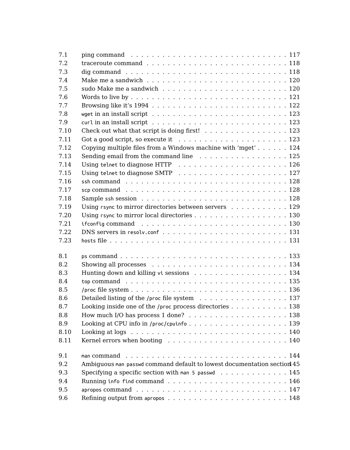| 7.1  | ping command $\ldots \ldots \ldots \ldots \ldots \ldots \ldots \ldots \ldots \ldots \ldots 117$       |
|------|-------------------------------------------------------------------------------------------------------|
| 7.2  | traceroute command $\ldots \ldots \ldots \ldots \ldots \ldots \ldots \ldots \ldots 118$               |
| 7.3  |                                                                                                       |
| 7.4  |                                                                                                       |
| 7.5  |                                                                                                       |
| 7.6  |                                                                                                       |
| 7.7  |                                                                                                       |
| 7.8  |                                                                                                       |
| 7.9  | $curl in an install script          123$                                                              |
| 7.10 | Check out what that script is doing first! 123                                                        |
| 7.11 |                                                                                                       |
| 7.12 | Copying multiple files from a Windows machine with 'mget' 124                                         |
| 7.13 | Sending email from the command line 125                                                               |
| 7.14 |                                                                                                       |
| 7.15 |                                                                                                       |
| 7.16 | ssh command $\ldots \ldots \ldots \ldots \ldots \ldots \ldots \ldots \ldots \ldots \ldots$            |
| 7.17 | scp command $\ldots \ldots \ldots \ldots \ldots \ldots \ldots \ldots \ldots \ldots \ldots$            |
| 7.18 |                                                                                                       |
| 7.19 | Using rsync to mirror directories between servers 129                                                 |
| 7.20 | Using rsync to mirror local directories 130                                                           |
| 7.21 | if config command $\ldots \ldots \ldots \ldots \ldots \ldots \ldots \ldots \ldots \ldots$             |
| 7.22 |                                                                                                       |
| 7.23 |                                                                                                       |
|      |                                                                                                       |
| 8.1  |                                                                                                       |
| 8.2  |                                                                                                       |
| 8.3  | Hunting down and killing vi sessions 134                                                              |
| 8.4  | top command $\ldots \ldots \ldots \ldots \ldots \ldots \ldots \ldots \ldots \ldots \ldots \ldots 135$ |
| 8.5  |                                                                                                       |
| 8.6  | Detailed listing of the /proc file system $\ldots \ldots \ldots \ldots \ldots \ldots 137$             |
| 8.7  | Looking inside one of the /proc process directories 138                                               |
| 8.8  |                                                                                                       |
| 8.9  |                                                                                                       |
| 8.10 | Looking at logs $\ldots \ldots \ldots \ldots \ldots \ldots \ldots \ldots \ldots \ldots \ldots 140$    |
| 8.11 |                                                                                                       |
| 9.1  | man command $\ldots \ldots \ldots \ldots \ldots \ldots \ldots \ldots \ldots \ldots \ldots$            |
| 9.2  | Ambiguous man passwd command default to lowest documentation section 45                               |
| 9.3  | Specifying a specific section with man 5 passwd $\ldots \ldots \ldots \ldots$ 145                     |
| 9.4  |                                                                                                       |
| 9.5  |                                                                                                       |
| 9.6  |                                                                                                       |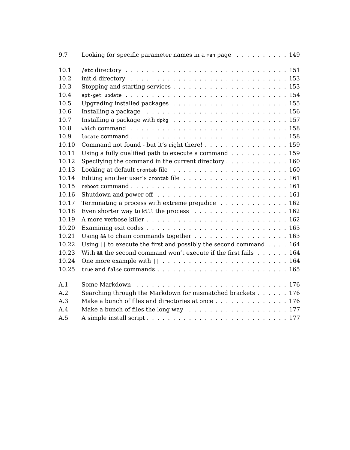| 9.7   | Looking for specific parameter names in a man page $\ldots \ldots \ldots$ . 149                       |
|-------|-------------------------------------------------------------------------------------------------------|
| 10.1  |                                                                                                       |
| 10.2  | $init.d$ directory $\ldots \ldots \ldots \ldots \ldots \ldots \ldots \ldots \ldots \ldots \ldots 153$ |
| 10.3  |                                                                                                       |
| 10.4  |                                                                                                       |
| 10.5  |                                                                                                       |
| 10.6  | Installing a package $\ldots \ldots \ldots \ldots \ldots \ldots \ldots \ldots \ldots 156$             |
| 10.7  | Installing a package with dpkg $\ldots \ldots \ldots \ldots \ldots \ldots \ldots \ldots 157$          |
| 10.8  | which command $\ldots \ldots \ldots \ldots \ldots \ldots \ldots \ldots \ldots \ldots \ldots 158$      |
| 10.9  |                                                                                                       |
| 10.10 | Command not found - but it's right there! 159                                                         |
| 10.11 | Using a fully qualified path to execute a command $\ldots \ldots \ldots \ldots 159$                   |
| 10.12 | Specifying the command in the current directory $\dots \dots \dots \dots \dots \dots$                 |
| 10.13 |                                                                                                       |
| 10.14 |                                                                                                       |
| 10.15 |                                                                                                       |
| 10.16 |                                                                                                       |
| 10.17 | Terminating a process with extreme prejudice $\ldots \ldots \ldots \ldots \ldots$                     |
| 10.18 | Even shorter way to kill the process $\ldots$ , 162                                                   |
| 10.19 |                                                                                                       |
| 10.20 |                                                                                                       |
| 10.21 | Using && to chain commands together 163                                                               |
| 10.22 | Using $  $ to execute the first and possibly the second command $\ldots$ . 164                        |
| 10.23 | With $88$ the second command won't execute if the first fails $\dots$ 164                             |
| 10.24 | One more example with $   \dots   \dots   \dots   \dots   \dots   \dots   \dots   \dots 164$          |
| 10.25 |                                                                                                       |
| A.1   |                                                                                                       |
| A.2   | Searching through the Markdown for mismatched brackets 176                                            |
| A.3   | Make a bunch of files and directories at once 176                                                     |
| A.4   | Make a bunch of files the long way $\ldots \ldots \ldots \ldots \ldots \ldots \ldots 177$             |
| A.5   |                                                                                                       |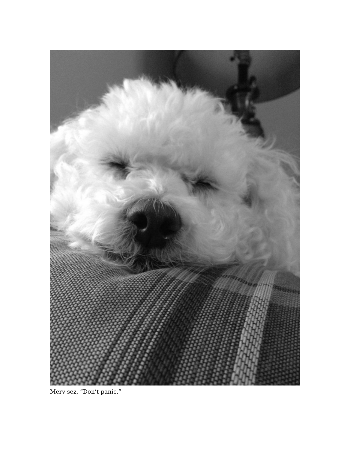

Merv sez, "Don't panic."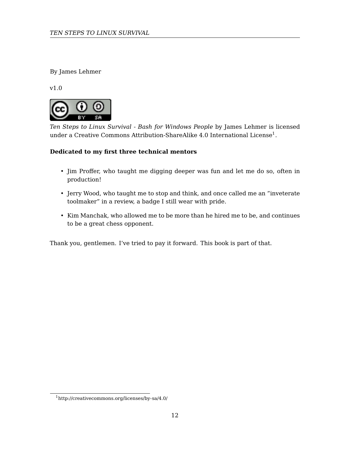By James Lehmer

v1.0



*Ten Steps to Linux Survival - Bash for Windows People* by James Lehmer is licensed under a Creative Commons Attribution-ShareAlike  $4.0$  International License $^1\!.$ 

## <span id="page-11-0"></span>**Dedicated to my first three technical mentors**

- Jim Proffer, who taught me digging deeper was fun and let me do so, often in production!
- Jerry Wood, who taught me to stop and think, and once called me an "inveterate toolmaker" in a review, a badge I still wear with pride.
- Kim Manchak, who allowed me to be more than he hired me to be, and continues to be a great chess opponent.

Thank you, gentlemen. I've tried to pay it forward. This book is part of that.

 $^1{\rm http://creativecommons.org/licenses/by-sa/4.0/">$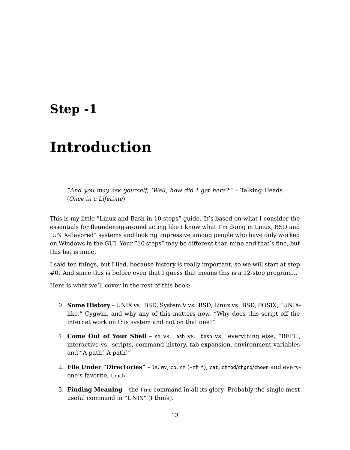## **Step -1**

# **Introduction**

*"And you may ask yourself, 'Well, how did I get here?'"* - Talking Heads (*[Once in a Lifet](#page-19-0)ime*)

This is my little "Linux and Bash in 10 steps" guide. It's based on what I consider the essentials for floundering around acting like I know what I'm doing in Linux, BSD and "UNI[X-flavored" systems and look](#page-26-0)ing impressive among people who have only worked on Windows in the GUI. Your "10 steps" may be different than mine and that's fine, but this list is mine.

I said [ten things, but I lied, becau](#page-40-0)se history is really important, so we will start at step #0. And since this is before even that I guess that means this is a 12-step program...

Here [is what we'll cover](#page-76-0) in the rest of this book:

- 0. **Some History** UNIX vs. BSD, System V vs. BSD, Linux vs. BSD, POSIX, "UNIXlike," Cygwin, and why any of this matters now, "Why does this script off the internet work on this system and not on that one?"
- 1. **Come Out of Your Shell** sh vs. ash vs. bash vs. everything else, "REPL", interactive vs. scripts, command history, tab expansion, environment variables and "A path! A path!"
- 2. **File Under "Directories"** ls, mv, cp, rm (-rf \*), cat, chmod/chgrp/chown and everyone's favorite, touch.
- 3. **Finding Meaning** the find command in all its glory. Probably the single most useful command in "UNIX" (I think).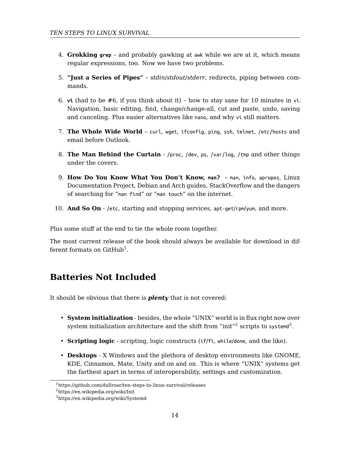- 4. **Grokking grep**  [and probably g](#page-130-2)awking at awk while we are at it, which means regular expressions, too. Now we have two problems.
- 5. **["Just a Series of Pipes"](#page-140-0)** *stdin*/*stdout*/*stderr*, redirects, piping between commands.
- 6. **vi** (had to be #6, if you think about it) how to stay sane for 10 minutes in vi. [Navigation,](#page-149-0) basic editing, find, change/change-all, cut and paste, undo, saving and canceling. Plus easier alternatives like nano, and why vi still matters.
- 7. **[The Who](#page-164-2)le Wide World** curl, wget, ifconfig, ping, ssh, telnet, /etc/hosts and email before Outlook.
- 8. **The Man Behind the Curtain** /proc, /dev, ps, /var/log, /tmp and other things under the covers.
- 9. **How Do You Know What You Don't Know, man?** man, info, apropos, Linux Documentation Project, Debian and Arch guides, StackOverflow and the dangers of searching for "man find" or "man touch" on the internet.
- 10. **And So On** /etc, starting and stopping services, apt-get/rpm/yum, and more.

Plus some stuff at the end to tie the whole room together.

The most current release of the book should always be available for download in different formats on  $\mathrm{GitHub}^1.$ 

## **Batteries Not Included**

It [should be obvious that there is](https://en.wikipedia.org/wiki/Systemd) *plenty* that is not covered:

- **System initialization** besides, the whole "UNIX" world is in flux right now over system initialization architecture and the shift from "init" $^2$  scripts to systemd $^3.$
- **Scripting logic** scripting, logic constructs (if/fi, while/done, and the like).
- **Desktops** X Windows and the plethora of desktop environments like GNOME, KDE, Cinnamon, Mate, Unity and on and on. This is where "UNIX" systems get the farthest apart in terms of interoperability, settings and customization.

<sup>1</sup>https://github.com/dullroar/ten-steps-to-linux-survival/releases

<sup>2</sup>https://en.wikipedia.org/wiki/Init

<sup>3</sup>https://en.wikipedia.org/wiki/Systemd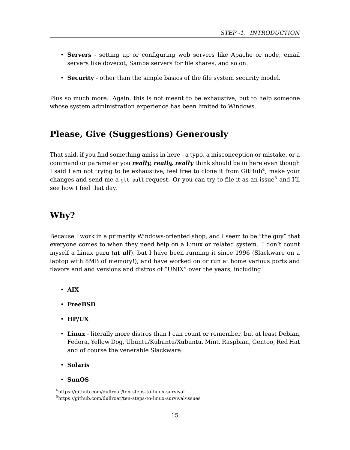#### *STEP -1. INTRODUCTION*

- **Servers** setting up or configuring web servers like Apache or node, email servers like dovecot, Samba servers for file shares, and so on.
- **Security** other than the simple basics of the file system security mod[el](#page-14-0).

Plus so much more. Again, this is not meant to be exhaustive, but to help someone whose system administration experience has been limited to Windows.

## **Please, Give (Suggestions) Generously**

That said, if you find something amiss in here - a typo, a misconception or mistake, or a command or parameter you *really, really, really* think should be in here even though I said I am not trying to be exhaustive, feel free to clone it from GitHub $^4$ , make your changes and send me a git pull request. Or you can try to file it as an issue<sup>5</sup> and I'll see how I feel that day.

## **Why?**

Because I work in a primarily Windows-oriented shop, and I seem to be "the guy" that everyone comes to when they need help on a Linux or related system. I don't count myself a Linux guru (*at all*), but I have been running it since 1996 (Slackware on a laptop with 8MB of memory!), and have worked on or run at home various ports and flavors and and versions and distros of "UNIX" over the years, including:

- <span id="page-14-0"></span>• **[AIX](https://github.com/dullroar/ten-steps-to-linux-survival)**
- **FreeBSD**
- **HP/UX**
- **Linux** literally more distros than I can count or remember, but at least Debian, Fedora, Yellow Dog, Ubuntu/Kubuntu/Xubuntu, Mint, Raspbian, Gentoo, Red Hat and of course the venerable Slackware.
- **Solaris**
- **SunOS**

<sup>4</sup>https://github.com/dullroar/ten-steps-to-linux-survival  $^{5}$ https://github.com/dullroar/ten-steps-to-linux-survival/issues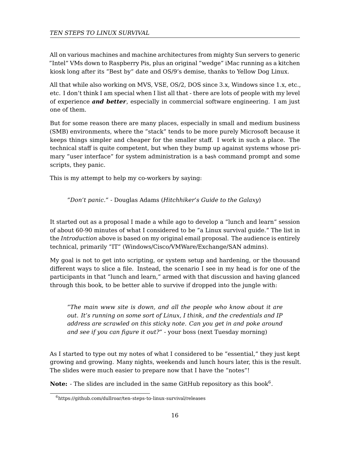All on various machines and machine architectures from mighty Sun servers to generic "Intel" VMs down to Raspberry Pis, plus an original "wedge" iMac running as a kitchen kiosk long after its "Best by" date and OS/9's demise, thanks to Yellow Dog Linux.

All that while also working on MVS, VSE, OS/2, DOS since 3.x, Windows since 1.x, etc., etc. I don't think I am special when I list all that - there are lots of people with my level of experience *and better*, especially in commercial software engineering. I am just one of them.

But for some reason there are many places, especially in small and medium business (SMB) environments, where the "stack" tends to be more purely Microsoft because it kee[ps things sim](#page-11-0)pler and cheaper for the smaller staff. I work in such a place. The technical staff is quite competent, but when they bump up against systems whose primary "user interface" for system administration is a bash command prompt and some scripts, they panic.

This is my attempt to help my co-workers by saying:

#### *"Don't panic."* - Douglas Adams (*Hitchhiker's Guide to the Galaxy*)

It started out as a proposal I made a while ago to develop a "lunch and learn" session of about 60-90 minutes of what I considered to be "a Linux survival guide." The list in the *Introduction* above is based on my original email proposal. The audience is entirely technical, primarily "IT" (Windows/Cisco/VMWare/Exchange/SAN admins).

My goal is not to get into scripting, or system setup and hardening, or the thousand different ways to slice a file. Instead, the scenario I see in my head is for one of the participants in that "lunch and learn," armed with that discussion and having glanced through this book, to be better able to survive if dropped into the jungle w[it](#page-15-0)h:

<span id="page-15-0"></span>*"The main www site is down, and all the people who know about it are out. It's running on some sort of Linux, I think, and the credentials and IP address are scrawled on this sticky note. Can you get in and poke around and see if you can figure it out?"* - your boss (next Tuesday morning)

As I started to type out my notes of what I considered to be "essential," they just kept growing and growing. Many nights, weekends and lunch hours later, this is the result. The slides were much easier to prepare now that I have the "notes"!

 $\textbf{Note:} \,$  - The slides are included in the same GitHub repository as this book $^6.$ 

<sup>6</sup>https://github.com/dullroar/ten-steps-to-linux-survival/releases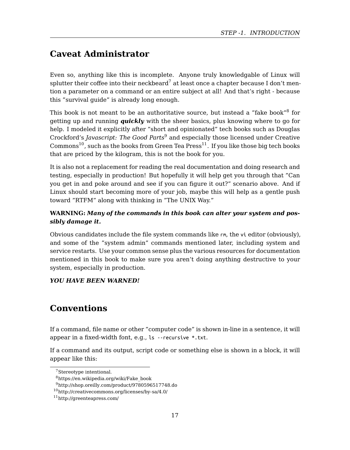#### *STEP -1. INTRODUCTION*

## <span id="page-16-0"></span>**Caveat Administrator**

Even so, anything like this is incomplete. Anyone truly knowledgable of Linux will splutter their coffee into their neckbeard<sup>7</sup> at least once a chapter because I don't mention a parameter on a command or an entire subject at all! And that's right - because this "survival guide" is already long enough.

This book is not meant to be an authoritative source, but instead a "fake book" $^8$  for getting up and running *quickly* with the sheer basics, plus knowing where to go for help. I modeled it explicitly after "short and opinionated" tech books such as Douglas Crockford's *Javascript: The Good Parts*<sup>9</sup> and especially those licensed under Creative  $Commons<sup>10</sup>$ , such as the books from Green Tea  $Press<sup>11</sup>$ . If you like those big tech books that are priced by the kilogram, this is not the book for you.

It is also not a replacement for reading the real documentation and doing research and testing, especially in production! But hopefully it will help get you through that "Can you get in and poke around and see if you can figure it out?" scenario above. And if Linux should start becoming more of your job, maybe this will help as a gentle push toward "RTFM" along with thinking in "The UNIX Way."

### <span id="page-16-1"></span>**WARNING:** *Many of the commands in this book can alter your system and possibly damage it.*

Obvious candidates include the file system commands like rm, the vi editor (obviously), and some of the "system admin" commands mentioned later, including system and service restarts. Use your common sense plus the various resources for documentation mentioned in this book to make sure you aren't doing anything destructive to your system, especially in production.

#### *Y[OU HAVE BEEN WARNED!](https://en.wikipedia.org/wiki/Fake_book)*

## **Conventions**

If a command, file name or other "computer code" is shown in-line in a sentence, it will appear in a fixed-width font, e.g., ls --recursive \*.txt.

If a command and its output, script code or something else is shown in a block, it will appear like this:

<sup>7</sup>Stereotype intentional.

<sup>8</sup>https://en.wikipedia.org/wiki/Fake\_book

<sup>9</sup>http://shop.oreilly.com/product/9780596517748.do

<sup>10</sup>http://creativecommons.org/licenses/by-sa/4.0/

<sup>11</sup>http://greenteapress.com/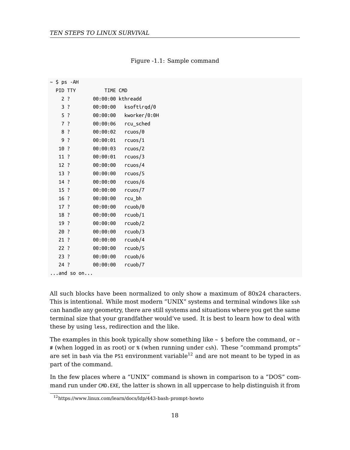## Figure -1.1: Sample command

| ∼ \$ ps -AH |                 |  |                    |          |          |                   |
|-------------|-----------------|--|--------------------|----------|----------|-------------------|
|             | PID TTY         |  |                    |          | TIME CMD |                   |
|             | 2 <sub>2</sub>  |  |                    |          |          | 00:00:00 kthreadd |
|             | 3 ?             |  |                    | 00:00:00 |          | ksoftirgd/0       |
|             | 5 <sup>2</sup>  |  |                    | 00:00:00 |          | kworker/0:0H      |
|             | 7 <sup>2</sup>  |  |                    | 00:00:06 |          | rcu sched         |
|             | 8 ?             |  |                    | 00:00:02 |          | rcuos/0           |
|             | 9?              |  |                    | 00:00:01 |          | rcuos/1           |
|             | 10?             |  |                    | 00:00:03 |          | rcuos/2           |
|             | 11 ?            |  |                    | 00:00:01 |          | rcuos/3           |
|             | 12 ?            |  |                    | 00:00:00 |          | rcuos/4           |
|             | 13?             |  |                    | 00:00:00 |          | rcuos/5           |
|             | 14 ?            |  |                    | 00:00:00 |          | rcuos/6           |
|             | $15$ ?          |  |                    | 00:00:00 |          | rcuos/7           |
|             | 16 <sup>2</sup> |  |                    | 00:00:00 |          | rcu bh            |
|             | 17 ?            |  |                    | 00:00:00 |          | rcuob/0           |
|             | 18 ?            |  |                    | 00:00:00 |          | rcuob/1           |
|             | 19.7            |  |                    | 00:00:00 |          | rcuob/2           |
|             | 20?             |  |                    | 00:00:00 |          | rcuob/3           |
|             | $21$ ?          |  |                    | 00:00:00 |          | rcuob/4           |
|             | 22:             |  |                    | 00:00:00 |          | rcuob/5           |
|             | $23$ ?          |  |                    | 00:00:00 |          | rcuob/6           |
|             | $24$ ?          |  |                    | 00:00:00 |          | rcuob/7           |
|             |                 |  | $\ldots$ and so on |          |          |                   |

All such blocks have been normalized to only show a maximum of 80x24 characters. Th[is is intentional. While most modern "UNIX" system](https://www.linux.com/learn/docs/ldp/443-bash-prompt-howto)s and terminal windows like ssh can handle any geometry, there are still systems and situations where you get the same terminal size that your grandfather would've used. It is best to learn how to deal with these by using less, redirection and the like.

The examples in this book typically show something like  $\sim$  \$ before the command, or  $\sim$ # (when logged in as root) or % (when running under csh). These "command prompts" are set in bash via the PS1 environment variable<sup>12</sup> and are not meant to be typed in as part of the command.

In the few places where a "UNIX" command is shown in comparison to a "DOS" command run under CMD.EXE, the latter is shown in all uppercase to help distinguish it from

<sup>12</sup>https://www.linux.com/learn/docs/ldp/443-bash-prompt-howto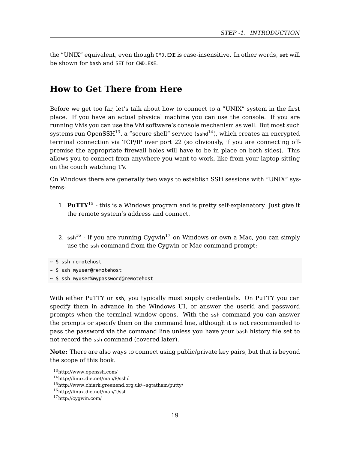*STEP -1. INTRODUCTION*

<span id="page-18-0"></span>the "UNIX" equivalent, even though CMD.EXE is case-insensitive. In other words, set will be shown for bash and SET for CMD.EXE.

## **How to Get There from Here**

Before we get too far, let's talk about how to connect to a "UNIX" system in the first place. If you have an actual physical machine you can use the console. If you are running VMs you can use the VM software's console mechanism as well. But most such systems [ru](#page-18-1)n Open $SSH^{13}$ , a "secure she[ll"](#page-18-2) service ( $\text{sshd}^{14}$ ), which creates an encrypted terminal connection via TCP/IP over port 22 (so obviously, if you are connecting offpremise the appropriate firewall holes will have to be in place on both sides). This allows you to connect from anywhere you want to work, like from your laptop sitting on the couch watching TV.

On Windows there are generally two ways to establish SSH sessions with "UNIX" systems:

- 1. **PuTTY**<sup>15</sup> this is a Windows program and is pretty self-explanatory. Just give it the remote system's address and connect.
- 2.  $\text{ssh}^{16}$  if you are running Cygwin<sup>17</sup> on Windows or own a Mac, you can simply use the ssh command from the Cygwin or Mac command prompt:

~ [\\$ ssh myuser%mypassword@re](http://linux.die.net/man/8/sshd)motehost

<span id="page-18-2"></span><span id="page-18-1"></span>Wi[th either PuTTY](http://cygwin.com/) or ssh, you typically must supply credentials. On PuTTY you can specify them in advance in the Windows UI, or answer the userid and password prompts when the terminal window opens. With the ssh command you can answer the prompts or specify them on the command line, although it is not recommended to pass the password via the command line unless you have your bash history file set to not record the ssh command (covered later).

**Note:** There are also ways to connect using public/private key pairs, but that is beyond the scope of this book.

<sup>~ \$</sup> ssh remotehost

<sup>~</sup> [\\$ ssh myuser@remotehos](http://www.openssh.com/)t

<sup>13</sup>http://www.openssh.com/

<sup>14</sup>http://linux.die.net/man/8/sshd

 $^{15}{\rm http://www.chiark.greenend.org.uk/~sgtatham/putty/}$ 

<sup>16</sup>http://linux.die.net/man/1/ssh

<sup>17</sup>http://cygwin.com/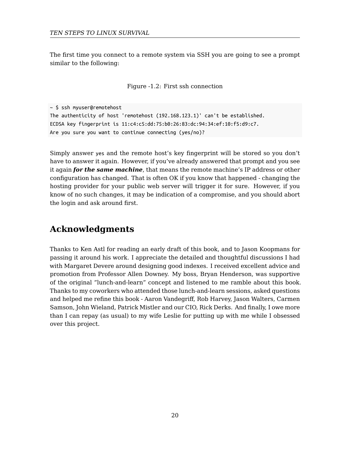The first time you connect to a remote system via SSH you are going to see a prompt similar to the following:

Figure -1.2: First ssh connection

```
~ $ ssh myuser@remotehost
The authenticity of host 'remotehost (192.168.123.1)' can't be established.
ECDSA key fingerprint is 11:c4:c5:dd:75:b0:26:83:dc:94:34:ef:10:f5:d9:c7.
Are you sure you want to continue connecting (yes/no)?
```
Simply answer yes and the remote host's key fingerprint will be stored so you don't have to answer it again. However, if you've already answered that prompt and you see it again *for the same machine*, that means the remote machine's IP address or other configuration has changed. That is often OK if you know that happened - changing the hosting provider for your public web server will trigger it for sure. However, if you know of no such changes, it may be indication of a compromise, and you should abort the login and ask around first.

## **Acknowledgments**

<span id="page-19-0"></span>Thanks to Ken Astl for reading an early draft of this book, and to Jason Koopmans for passing it around his work. I appreciate the detailed and thoughtful discussions I had with Margaret Devere around designing good indexes. I received excellent advice and promotion from Professor Allen Downey. My boss, Bryan Henderson, was supportive of the original "lunch-and-learn" concept and listened to me ramble about this book. Thanks to my coworkers who attended those lunch-and-learn sessions, asked questions and helped me refine this book - Aaron Vandegriff, Rob Harvey, Jason Walters, Carmen Samson, John Wieland, Patrick Mistler and our CIO, Rick Derks. And finally, I owe more than I can repay (as usual) to my wife Leslie for putting up with me while I obsessed over this project.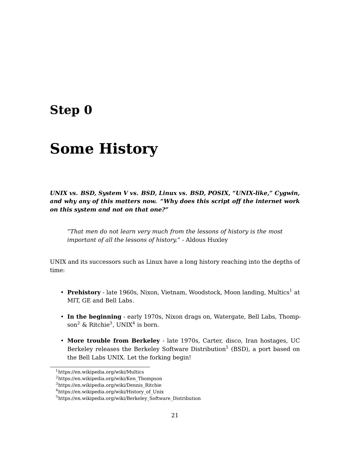# **Step 0**

# **Some History**

*UNIX vs. BSD, System V vs. BSD, Linux vs. BSD, POSIX, "UNIX-like," Cyg[wi](#page-20-0)n, and why any of this matters now. "Why does this script off the internet work on this system and not on that one?"*

*"That men do not learn very much from the lessons of history is the most important of all the lessons of history."* - Aldous Huxley

<span id="page-20-0"></span>UNIX and its successors such as Linux have a long history reaching into the depths of ti[me:](https://en.wikipedia.org/wiki/Multics)

- Prehistory  [late 1960s, Nixon, V](https://en.wikipedia.org/wiki/History_of_Unix)ietnam, Woodstock, Moon landing, Multics<sup>1</sup> at [MIT, GE and Bell Labs.](https://en.wikipedia.org/wiki/Berkeley_Software_Distribution)
- **In the beginning** early 1970s, Nixon drags on, Watergate, Bell Labs, Thompson $^2$  & Ritchie<sup>3</sup>, UNIX<sup>4</sup> is born.
- **More trouble from Berkeley** late 1970s, Carter, disco, Iran hostages, UC Berkeley releases the Berkeley Software Distribution<sup>5</sup> (BSD), a port based on the Bell Labs UNIX. Let the forking begin!

<sup>1</sup>https://en.wikipedia.org/wiki/Multics

<sup>2</sup>https://en.wikipedia.org/wiki/Ken\_Thompson

 $^3$ https://en.wikipedia.org/wiki/Dennis\_Ritchie

<sup>&</sup>lt;sup>4</sup>https://en.wikipedia.org/wiki/History\_of\_Unix

<sup>5</sup>https://en.wikipedia.org/wiki/Berkeley\_Software\_Distribution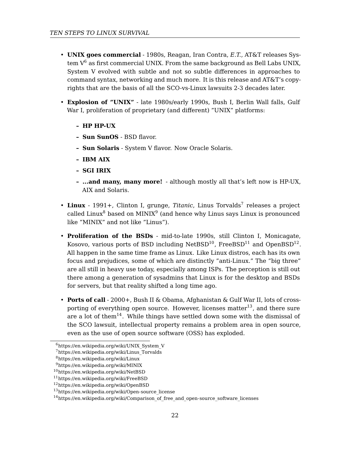- **UNIX goes commercial** 1980s, Reagan, Iran Contra, *E.T.*, AT&T releases System  $V^6$  as first commercial UNIX. From the same background as Bell Labs UNIX, System V evolved with subtle and not so subtle differences in approaches to command syntax, networking and much more. It is this release and AT&T's copyrights that are the basis of all the SCO-vs-Linux lawsuits 2-3 decades later.
- **Explosion of "UNIX"** late 1980s/early 1990s, Bush I, B[e](#page-21-0)rlin Wall falls, Gulf War I, prolif[er](#page-21-1)ation of proprie[ta](#page-21-2)ry (and different) "UNIX" platforms:
	- **– HP HP-UX**
	- **– Sun SunOS** BSD flavor.
	- **– Sun Solaris** System V flavor. Now Oracle Solaris.
	- **– IBM AIX**
	- **– SGI IRIX**
	- **– ...and many, many more!** although mostly all that's left now is HP-UX, AIX and Solaris.
- Linux 1991+, Clinton I, grunge, Titanic, Linus Torvalds<sup>7</sup> [re](#page-21-3)leases a project called Linux $^8$  ba[sed](#page-21-4) on MINIX $^9$  (and hence why Linus says Linux is pronounced like "MINIX" and not like "Linus").
- <span id="page-21-2"></span><span id="page-21-1"></span><span id="page-21-0"></span>• **Proliferation of the BSDs** - mid-to-late 1990s, still Clinton I, Monicagate, [Kosovo, various ports of BSD inc](https://en.wikipedia.org/wiki/UNIX_System_V)luding NetBSD $^{10}$ , FreeBSD $^{11}$  and OpenBSD $^{12}.$ [All happen in the same time fram](https://en.wikipedia.org/wiki/Linus_Torvalds)e as Linux. Like Linux distros, each has its own [focus and prejudices, so](https://en.wikipedia.org/wiki/Linux)[m](https://en.wikipedia.org/wiki/MINIX)e of which are distinctly "anti-Linux." The "big three" [are all still in heavy use tod](https://en.wikipedia.org/wiki/NetBSD)ay, especially among ISPs. The perception is still out [there among a generation o](https://en.wikipedia.org/wiki/FreeBSD)f sysadmins that Linux is for the desktop and BSDs [for servers, but that reality s](https://en.wikipedia.org/wiki/OpenBSD)[hifted a](https://en.wikipedia.org/wiki/Open-source_license) long time ago.
- <span id="page-21-4"></span><span id="page-21-3"></span>• **Ports of call** [- 2000+, Bush II & Obama, Afghanistan & Gulf War I](https://en.wikipedia.org/wiki/Comparison_of_free_and_open-source_software_licenses)I, lots of crossporting of everything open source. However, licenses matter $^{13}$ , and there sure are a lot of them<sup>14</sup>. While things have settled down some with the dismissal of the SCO lawsuit, intellectual property remains a problem area in open source, even as the use of open source software (OSS) has exploded.

 $6$ https://en.wikipedia.org/wiki/UNIX\_System\_V

<sup>7</sup>https://en.wikipedia.org/wiki/Linus\_Torvalds

<sup>8</sup>https://en.wikipedia.org/wiki/Linux

<sup>9</sup>https://en.wikipedia.org/wiki/MINIX

<sup>10</sup>https://en.wikipedia.org/wiki/NetBSD

<sup>11</sup>https://en.wikipedia.org/wiki/FreeBSD

<sup>12</sup>https://en.wikipedia.org/wiki/OpenBSD

<sup>13</sup>https://en.wikipedia.org/wiki/Open-source\_license

<sup>14</sup>https://en.wikipedia.org/wiki/Comparison\_of\_free\_and\_open-source\_software\_licenses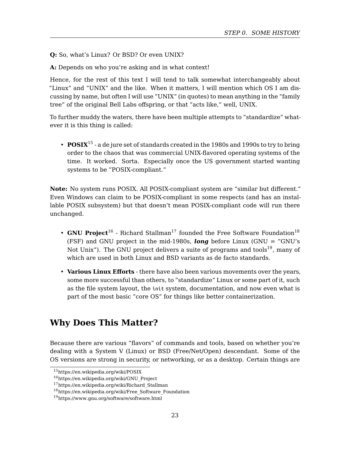*STEP 0. SOME HISTORY*

**Q:** So, what's Linux? Or BSD? Or even UNIX?

**A:** Depends on who you're asking and in what context!

Hence, for the rest of this text I will tend to talk somewhat interchangeably about "Linux" and "UNIX" and the like. When it matters, I will mention which OS I am discussing by name, but often I will use "UNIX" (in quotes) to mean anything in the "family tree" of the original Bell Labs offspring, or that "acts like," well, UNIX.

To further muddy the waters, there have been multiple attempts to "standardize" whatever it is this thing is called:

• **POSIX**<sup>15</sup> - a de jure set of standards created in the 1980s and 1990s to [tr](#page-22-1)y to bring order to the chaos that was commercial UNIX-flavored operating systems of the time. It worked. Sorta. Especially once the US government started wanting systems to be "POSIX-compliant."

**Note:** No system runs POSIX. All POSIX-compliant system are "similar but different." Even Windows can claim to be POSIX-compliant in some respects (and has an installable POSIX subsystem) but that doesn't mean POSIX-compliant code will run there unchanged.

- <span id="page-22-0"></span>• **GNU Project**<sup>16</sup> - Richard Stallman<sup>17</sup> founded the Free Software Foundation<sup>18</sup> (FSF) and GNU project in the mid-1980s, *long* before Linux (GNU = "GNU's Not Unix"). The GNU project delivers a suite of programs and tools $^{19}$ , many of which are used in both Linux and BSD variants as de facto standards.
- <span id="page-22-1"></span>• **[Various Linux Efforts](https://en.wikipedia.org/wiki/POSIX)** - there have also been various movements over the years, [some more successful than othe](https://en.wikipedia.org/wiki/GNU_Project)rs, to "standardize" Linux or some part of it, such [as the file system layout, the](https://en.wikipedia.org/wiki/Free_Software_Foundation) init system, documentation, and now even what is [part of the most basic "core OS"](https://www.gnu.org/software/software.html) for things like better containerization.

## **Why Does This Matter?**

Because there are various "flavors" of commands and tools, based on whether you're dealing with a System V (Linux) or BSD (Free/Net/Open) descendant. Some of the OS versions are strong in security, or networking, or as a desktop. Certain things are

<sup>15</sup>https://en.wikipedia.org/wiki/POSIX

<sup>16</sup>https://en.wikipedia.org/wiki/GNU\_Project

 $\rm ^{17}https://en.wikipedia.org/wiki/Richard\_Stallman$ 

<sup>18</sup>https://en.wikipedia.org/wiki/Free\_Software\_Foundation

<sup>19</sup>https://www.gnu.org/software/software.html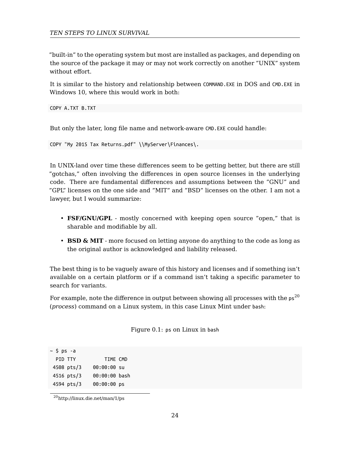"built-in" to the operating system but most are installed as packages, and depending on the source of the package it may or may not work correctly on another "UNIX" system without effort.

It is similar to the history and relationship between COMMAND.EXE in DOS and CMD.EXE in Windows 10, where this would work in both:

#### COPY A.TXT B.TXT

But only the later, long file name and network-aware CMD.EXE could handle:

```
COPY "My 2015 Tax Returns.pdf" \\MyServer\Finances\.
```
In UNIX-land over time these differences seem to be getting better, but there are still "gotchas," often involving the differences in open source licenses in the underlying code. There are fundamental differences and assumptions between the "GNU" and "GPL" licenses on the one side and "MIT" and "BSD" licenses on the other. I am no[t a](#page-23-0) lawyer, but I would summarize:

- **FSF/GNU/GPL** mostly concerned with keeping open source "open," that is sharable and modifiable by all.
- **BSD & MIT** more focused on letting anyone do anything to the code as long as the original author is acknowledged and liability released.

The best thing is to be vaguely aware of this history and licenses and if something isn't available on a certain platform or if a command isn't taking a specific parameter to search for variants.

<span id="page-23-0"></span>Fo[r example, note the diffe](http://linux.die.net/man/1/ps)rence in output between showing all processes with the  $p s^{20}$ (*process*) command on a Linux system, in this case Linux Mint under bash:

| Figure 0.1: ps on Linux in bash |  |  |  |  |  |  |  |
|---------------------------------|--|--|--|--|--|--|--|
|---------------------------------|--|--|--|--|--|--|--|

| ~ \$ ps -a |            |               |  |
|------------|------------|---------------|--|
| PID TTY    |            | TIME CMD      |  |
|            | 4508 pts/3 | 00:00:00 su   |  |
|            | 4516 pts/3 | 00:00:00 bash |  |
|            | 4594 pts/3 | $00:00:00$ ps |  |

 $\rm ^{20}$  http://linux.die.net/man/1/ps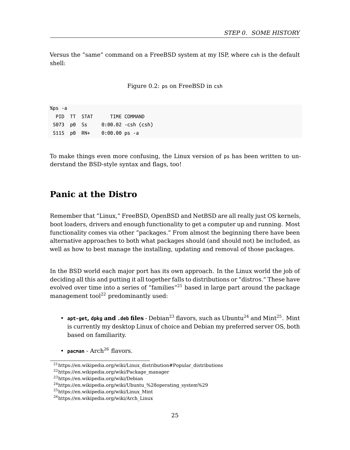*STEP 0. SOME HISTORY*

Versus the "same" command on a FreeBSD system at my ISP, where csh is the default shell:

Figure 0.2: ps on FreeBSD in csh

<span id="page-24-0"></span>%ps -a PID TT STAT TIME COMMAND 5073 p0 Ss 0:00.02 -csh (csh) 5115 p0 RN+ 0:00.00 ps -a

To make things even more confusing, the Linux version of ps has been written to understand the BSD-style syntax and flags, too!

## **Panic at th[e](#page-24-1) Distro**

Remember that "Linux," FreeBSD, Open[BS](#page-24-2)D and NetBSD are all re[al](#page-24-3)ly just OS [ke](#page-24-4)rnels, boot loaders, drivers and enough functionality to get a computer up and running. Most functionality comes via other "packages." From almost the beginning there have been alternative approaches to both what packages should (and should not) be included, as well as how to bes[t m](#page-24-5)anage the installing, updating and removal of those packages.

<span id="page-24-4"></span><span id="page-24-3"></span><span id="page-24-2"></span><span id="page-24-1"></span>In [the BSD world each major port has its](https://en.wikipedia.org/wiki/Package_manager) own approach. In the Linux world the job of de[ciding all this and putting it all](https://en.wikipedia.org/wiki/Debian) together falls to distributions or "distros." These have ev[olved over time into a series of "families"](https://en.wikipedia.org/wiki/Ubuntu_%28operating_system%29)<sup>21</sup> based in large part around the package management tool $^{22}$  [predominantly u](https://en.wikipedia.org/wiki/Arch_Linux)sed:

- <span id="page-24-5"></span>• **apt-get, dpkg and .deb files** - Debian<sup>23</sup> flavors, such as Ubuntu<sup>24</sup> and Mint<sup>25</sup>. Mint is currently my desktop Linux of choice and Debian my preferred server OS, both based on familiarity.
- $pace$   $Arch<sup>26</sup>$  flavors.

 $^{21}\mathrm{https://en.wikipedia.org/wiki/Linux\_distribution\# Popular\_distributions}$ 

<sup>22</sup>https://en.wikipedia.org/wiki/Package\_manager

<sup>23</sup>https://en.wikipedia.org/wiki/Debian

 $^{24}$ https://en.wikipedia.org/wiki/Ubuntu\_%28operating\_system%29

<sup>25</sup>https://en.wikipedia.org/wiki/Linux\_Mint

 $^{26}\mathrm{https://en.wikipedia.org/wiki/Arch\_Linux}$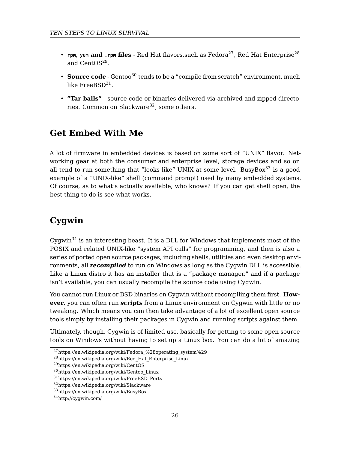- <span id="page-25-0"></span>• **rpm, yum and .rpm files** - Red Hat flavors, such as Fedora<sup>27</sup>, Red Hat Enterprise<sup>28</sup> and CentOS<sup>29</sup>.
- **Source code** Gentoo<sup>30</sup> tends to be a "compile from scratch" environment, much like FreeBSD $^{\rm 31}.$
- **"Tar balls"** source code or binaries delivered via archived and zipped directories. Common on Slackware<sup>32</sup>, some others.

## <span id="page-25-1"></span>**Get [Em](#page-25-2)bed With Me**

A lot of firmware in embedded devices is based on some sort of "UNIX" flavor. Networking gear at both the consumer and enterprise level, storage devices and so on all tend to run something that "looks like" UNIX at some level. BusyBox<sup>33</sup> is a good example of a "UNIX-like" shell (command prompt) used by many embedded systems. Of course, as to what's actually available, who knows? If you can get shell open, the best thing to do is see what works.

## **Cygwin**

Cygwin $34$  is an interesting beast. It is a DLL for Windows that implements most of the P[OSIX and related UNIX-like "system API calls" for p](https://en.wikipedia.org/wiki/Fedora_%28operating_system%29)rogramming, and then is also a se[ries of ported open source packages, including](https://en.wikipedia.org/wiki/Red_Hat_Enterprise_Linux) shells, utilities and even desktop environments, all *[recompiled](https://en.wikipedia.org/wiki/CentOS)* to run on Windows as long as the Cygwin DLL is accessible. Li[ke a Linux distro it has an installe](https://en.wikipedia.org/wiki/Gentoo_Linux)[r t](https://en.wikipedia.org/wiki/FreeBSD_Ports)hat is a "package manager," and if a package is[n't available, you can usually reco](https://en.wikipedia.org/wiki/Slackware)mpile the source code using Cygwin.

<span id="page-25-2"></span>Yo[u cannot run Linux or BSD bina](https://en.wikipedia.org/wiki/BusyBox)ries on Cygwin without recompiling them first. **However**, you can often run *scripts* from a Linux environment on Cygwin with little or no tweaking. Which means you can then take advantage of a lot of excellent open source tools simply by installing their packages in Cygwin and running scripts against them.

Ultimately, though, Cygwin is of limited use, basically for getting to some open source tools on Windows without having to set up a Linux box. You can do a lot of amazing

<sup>&</sup>lt;sup>27</sup>https://en.wikipedia.org/wiki/Fedora %28operating system%29

<sup>&</sup>lt;sup>28</sup>https://en.wikipedia.org/wiki/Red\_Hat\_Enterprise\_Linux

<sup>29</sup>https://en.wikipedia.org/wiki/CentOS

 $^{30}\rm{https://en.wikipedia.org/wiki/Gentoo_Linux}$ 

 $^{31}\rm{https://en.wikipedia.org/wiki/FreeBSD_Ports}$ 

 $\rm{^{32}https://en.wikipedia.org/wiki/Slackware}$ 

<sup>33</sup>https://en.wikipedia.org/wiki/BusyBox

<sup>34</sup>http://cygwin.com/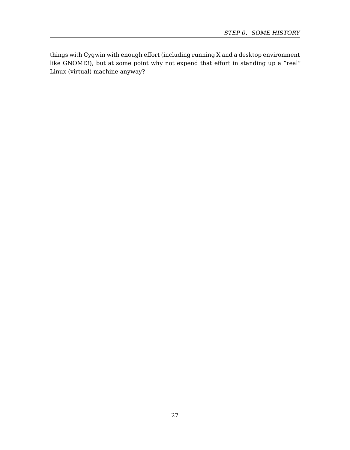<span id="page-26-0"></span>things with Cygwin with enough effort (including running X and a desktop environment like GNOME!), but at some point why not expend that effort in standing up a "real" Linux (virtual) machine anyway?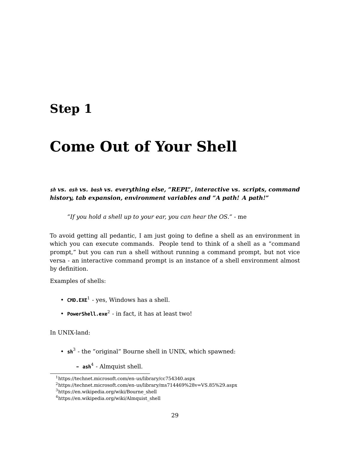## <span id="page-28-0"></span>**Step 1**

# **Come Out of Your Shell**

*sh vs. ash vs. bash vs. everything else, "REPL", interactive vs. scripts, command history, tab [e](#page-28-1)xpansion, environment variables and "A path! A path!"*

*"If you hold a shell up to your ear, you can hear the OS."* - me

To avoid getting all pedantic, I am just going to define a shell as an environment in which you can execute commands. People tend to think of a shell as a "command prompt[,"](#page-28-2) but you can run a shell without running a command prompt, but not vice versa - an int[er](#page-28-3)active command prompt is an instance of a shell environment almost by definition.

<span id="page-28-1"></span>Ex[amples of shells:](https://technet.microsoft.com/en-us/library/cc754340.aspx)

- <span id="page-28-3"></span><span id="page-28-2"></span>• **CMD.EXE<sup>1</sup>** [- yes, Windows has a sh](https://en.wikipedia.org/wiki/Almquist_shell)ell.
- **PowerShell.exe**<sup>2</sup> in fact, it has at least two!

In UNIX-land:

• **sh**<sup>3</sup> - the "original" Bourne shell in UNIX, which spawned:

**– ash**<sup>4</sup> - Almquist shell.

<sup>1</sup>https://technet.microsoft.com/en-us/library/cc754340.aspx

 $^2$ https://technet.microsoft.com/en-us/library/ms714469%28v=VS.85%29.aspx

<sup>3</sup>https://en.wikipedia.org/wiki/Bourne\_shell

 $^4$ https://en.wikipedia.org/wiki/Almquist\_shell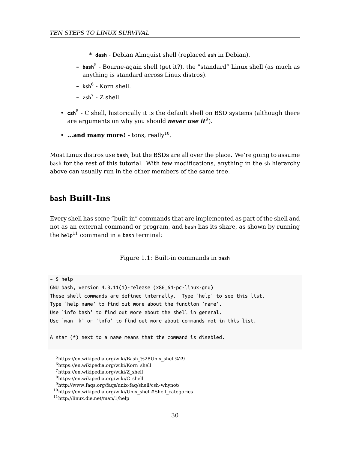- \* **dash** Debian Almquist shell (replaced ash in Debian).
- **– bash**<sup>5</sup> Bourne-again shell (get it?), the "standard" Linux shell (as much as anything is standard across Linux distros).
- **– ksh**<sup>6</sup> Korn shell.
- **– zsh**<sup>7</sup> Z shell.
- <span id="page-29-0"></span>• **csh<sup>8</sup>** - C shell, historically it is the default shell on BSD systems (although there are arguments on why you should *never use it*<sup>9</sup>).
- $\cdot$  ..[.an](#page-29-2)d many more!  $\cdot$  tons, really<sup>10</sup>.

<span id="page-29-1"></span>Most Linux distros use bash, but the BSDs are all over the place. We're going to assume bash for the rest of this tutorial. With few modifications, anything in the sh hierarchy above can usually run in the other members of the same tree.

## **bash Built-Ins**

Every shell has some "built-in" commands that are implemented as part of the shell and not as an external command or program, and bash has its share, as shown by running the help<sup>11</sup> command in a bash terminal:

[Figure 1.1: Built-in com](https://en.wikipedia.org/wiki/Bash_%28Unix_shell%29)mands in bash

 $~\sim$  [\\$ help](https://en.wikipedia.org/wiki/C_shell)

<span id="page-29-2"></span>GN[U bash, version 4.3.11\(1\)-release \(x86\\_64-p](http://www.faqs.org/faqs/unix-faq/shell/csh-whynot/)[c-lin](https://en.wikipedia.org/wiki/Unix_shell#Shell_categories)ux-gnu) Th[ese shell commands are def](http://linux.die.net/man/1/help)ined internally. Type `help' to see this list. Type `help name' to find out more about the function `name'. Use `info bash' to find out more about the shell in general. Use `man -k' or `info' to find out more about commands not in this list.

A star (\*) next to a name means that the command is disabled.

<sup>5</sup>https://en.wikipedia.org/wiki/Bash\_%28Unix\_shell%29

 $6$ https://en.wikipedia.org/wiki/Korn\_shell

<sup>7</sup>https://en.wikipedia.org/wiki/Z\_shell

<sup>8</sup>https://en.wikipedia.org/wiki/C\_shell

<sup>9</sup>http://www.faqs.org/faqs/unix-faq/shell/csh-whynot/

 $10$ https://en.wikipedia.org/wiki/Unix\_shell#Shell\_categories

 $\rm ^{11}$ http://linux.die.net/man/1/help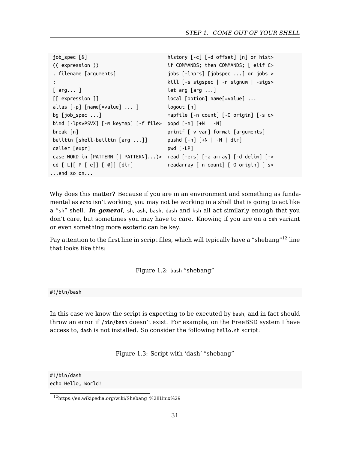*STEP 1. COME OUT OF YOUR SHELL*

```
job_spec [&] history [-c] [-d offset] [n] or hist>
(( expression )) if COMMANDS; then COMMANDS; [ elif C>
. filename [arguments] jobs [-lnprs] [jobspec ...] or jobs >
: kill [-s sigspec | -n signum | -sigs>
[ arg... ] let arg [arg ...]
[[ expression ]] local [option] name[=value] ...
alias [-p] [name[=value] ... ] logout [n]
bg [job_spec ...] mapfile [-n count] [-O origin] [-s c>
bind [-lpsvPSVX] [-m keymap] [-f file> popd [-n] [+N | -N]
break [n] printf [-v var] format [arguments]
builtin [shell-builtin [arg ...]] pushd [-n] [+N | -N | dir]
caller [expr] pwd [-LP]
case WORD in [PATTERN [| PATTERN]...)> read [-ers] [-a array] [-d delim] [->
cd [-L|[-P [-e]] [-@]] [dir] readarray [-n count] [-O origin] [-s>
...and so on...
```
<span id="page-30-0"></span>Why does this matter? Because if you are in an environment and something as fundamental as echo isn't working, you may not be working in a shell that is going to act like a "sh" shell. *In general*, sh, ash, bash, dash and ksh all act similarly enough that you don't care, but sometimes you may have to care. Knowing if you are on a csh variant or even something more esoteric can be key.

<span id="page-30-1"></span>Pay attention to the first line in script files, which will typically have a "shebang"<sup>12</sup> line that looks like this:

Figure 1.2: bash "shebang"

#!/bin/bash

In this case we know the script is expecting to be executed by bash, and in fact should throw an error if /bin/bash doesn't exist. For example, on the FreeBSD system I have access to, dash is not installed. So consider the following hello.sh script:

Figure 1.3: Script with 'dash' "shebang"

#!/bin/dash echo Hello, World!

 $^{12}\mathrm{https://en.wikipedia.org/wiki/Shebang\_\%28Unix\%29}$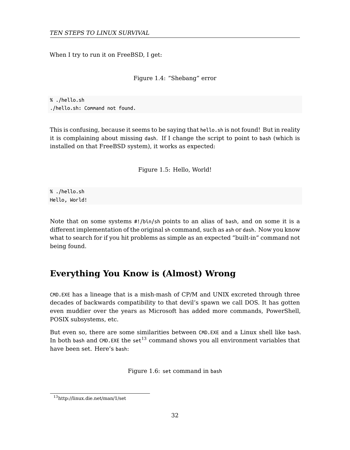When I try to run it on FreeBSD, I get:

Figure 1.4: "Shebang" error

% ./hello.sh ./hello.sh: Command not found.

This is confusing, because it seems to be saying that hello.sh is not found! But in reality it is complaining about missing dash. If I change the script to point to bash (which is installed on that FreeBSD system), it works as expected:

Figure 1.5: Hello, World!

<span id="page-31-0"></span>% ./hello.sh Hello, World!

Note that on some systems #!/bin/sh points to an alias of bash, and on some it is a different implementation of the original sh command, such as ash or dash. Now you know what to search for if you hit pro[ble](#page-31-1)ms as simple as an expected "built-in" command not being found.

## **Everything You Know is (Almost) Wrong**

<span id="page-31-1"></span>CMD.EXE [has a lineage that](http://linux.die.net/man/1/set) is a mish-mash of CP/M and UNIX excreted through three decades of backwards compatibility to that devil's spawn we call DOS. It has gotten even muddier over the years as Microsoft has added more commands, PowerShell, POSIX subsystems, etc.

But even so, there are some similarities between CMD.EXE and a Linux shell like bash. In both bash and  $\texttt{CMD.EXE}$  the  $\texttt{set}^{13}$  command shows you all environment variables that have been set. Here's bash:

Figure 1.6: set command in bash

<sup>13</sup>http://linux.die.net/man/1/set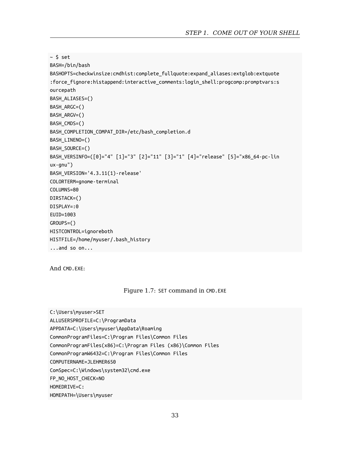```
~5 set
BASH=/bin/bash
BASHOPTS=checkwinsize:cmdhist:complete_fullquote:expand_aliases:extglob:extquote
:force_fignore:histappend:interactive_comments:login_shell:progcomp:promptvars:s
ourcepath
BASH_ALIASES=()
BASH_ARGC=()
BASH_ARGV=()
BASH_CMDS=()
BASH_COMPLETION_COMPAT_DIR=/etc/bash_completion.d
BASH_LINENO=()
BASH_SOURCE=()
BASH_VERSINFO=([0]="4" [1]="3" [2]="11" [3]="1" [4]="release" [5]="x86_64-pc-lin
ux-gnu")
BASH_VERSION='4.3.11(1)-release'
COLORTERM=gnome-terminal
COLUMNS=80
DIRSTACK=()
DISPLAY=:0
EUID=1003
GROUPS=()
HISTCONTROL=ignoreboth
HISTFILE=/home/myuser/.bash_history
...and so on...
```
<span id="page-32-0"></span>And CMD.EXE:

#### Figure 1.7: SET command in CMD.EXE

C:\Users\myuser>SET ALLUSERSPROFILE=C:\ProgramData APPDATA=C:\Users\myuser\AppData\Roaming CommonProgramFiles=C:\Program Files\Common Files CommonProgramFiles(x86)=C:\Program Files (x86)\Common Files CommonProgramW6432=C:\Program Files\Common Files COMPUTERNAME=JLEHMER650 ComSpec=C:\Windows\system32\cmd.exe FP\_NO\_HOST\_CHECK=NO HOMEDRIVE=C: HOMEPATH=\Users\myuser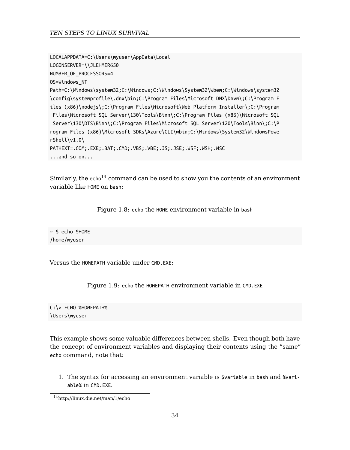<span id="page-33-0"></span>LOCALAPPDATA=C:\Users\myuser\AppData\Local LOGONSERVER=\\JLEHMER650 NUMBER\_OF\_PROCESS[ORS](#page-33-2)=4 OS=Windows\_NT Path=C:\Windows\system32;C:\Windows;C:\Windows\System32\Wbem;C:\Windows\system32 \config\systemprofile\.dnx\bin;C:\Program Files\Microsoft DNX\Dnvm\;C:\Program F iles (x86)\nodejs\;C:\Program Files\Microsoft\Web Platform Installer\;C:\Program Files\Microsoft SQL Server\130\Tools\Binn\;C:\Program Files (x86)\Microsoft SQL Server\130\DTS\Binn\;C:\Program Files\Microsoft SQL Server\120\Tools\Binn\;C:\P rogram Files (x86)\Microsoft SDKs\Azure\CLI\wbin;C:\Windows\System32\WindowsPowe rShell\v1.0\ PATHEXT=.COM;.EXE;.BAT;.CMD;.VBS;.VBE;.JS;.JSE;.WSF;.WSH;.MSC ...and so on...

<span id="page-33-1"></span>Similarly, the  $echo<sup>14</sup>$  command can be used to show you the contents of an environment variable like HOME on bash:

Figure 1.8: echo the HOME environment variable in bash

~ \$ echo \$HOME /home/myuser

Versus the HOMEPATH variable under CMD.EXE:

Figure 1.9: echo the HOMEPATH environment variable in CMD.EXE

<span id="page-33-2"></span>C:\> ECHO %HOMEPATH% \Users\myuser

This example shows some valuable differences between shells. Even though both have the concept of environment variables and displaying their contents using the "same" echo command, note that:

1. The syntax for accessing an environment variable is \$variable in bash and %variable% in CMD.EXE.

<sup>14</sup>http://linux.die.net/man/1/echo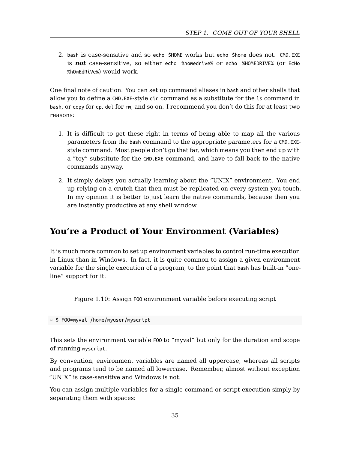2. bash is case-sensitive and so echo \$HOME works but echo \$home does not. CMD.EXE is *not* case-sensitive, so either echo %homedrive% or echo %HOMEDRIVE% (or EcHo %hOmEdRiVe%) would work.

One final note of caution. You can set up command aliases in bash and other shells that allow you to define a CMD.EXE-style dir command as a substitute for the ls command in bash, or copy for cp, del for rm, and so on. I recommend you don't do this for at least two reasons:

- 1. It is difficult to get these right in terms of being able to map all the various parameters from the bash command to the appropriate parameters for a CMD.EXEstyle command. Most people don't go that far, which means you then end up with a "toy" substitute for the CMD.EXE command, and have to fall back to the native commands anyway.
- 2. It simply delays you actually learning about the "UNIX" environment. You end up relying on a crutch that then must be replicated on every system you touch. In my opinion it is better to just learn the native commands, because then you are instantly productive at any shell window.

## <span id="page-34-0"></span>**You're a Product of Your Environment (Variables)**

It is much more common to set up environment variables to control run-time execution in Linux than in Windows. In fact, it is quite common to assign a given environment variable for the single execution of a program, to the point that bash has built-in "oneline" support for it:

<span id="page-34-1"></span>Figure 1.10: Assign FOO environment variable before executing script

~ \$ FOO=myval /home/myuser/myscript

This sets the environment variable FOO to "myval" but only for the duration and scope of running myscript.

By convention, environment variables are named all uppercase, whereas all scripts and programs tend to be named all lowercase. Remember, almost without exception "UNIX" is case-sensitive and Windows is not.

You can assign multiple variables for a single command or script execution simply by separating them with spaces: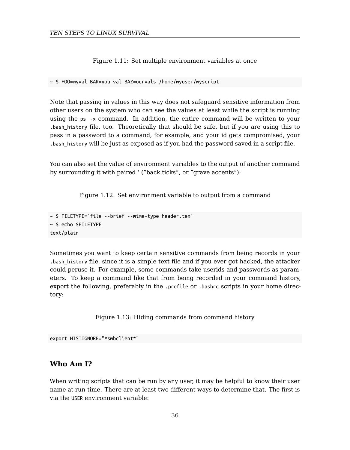Figure 1.11: Set multiple environment variables at once

<span id="page-35-1"></span>~ \$ FOO=myval BAR=yourval BAZ=ourvals /home/myuser/myscript

Note that passing in values in this way does not safeguard sensitive information from other users on the system who can see the values at least while the script is running using the ps -x command. In addition, the entire command will be written to your .bash\_history file, too. Theoretically that should be safe, but if you are using this to pass in a password to a command, for example, and your id gets compromised, your .bash history will be just as exposed as if you had the password saved in a script file.

<span id="page-35-2"></span>You can also set the value of environment variables to the output of another command by surrounding it with paired ' ("back ticks", or "grave accents"):

Figure 1.12: Set environment variable to output from a command

```
~ $ FILETYPE=`file --brief --mime-type header.tex`
~ $ echo $FILETYPE
text/plain
```
Sometimes you want to keep certain sensitive commands from being records in your .bash\_history file, since it is a simple text file and if you ever got hacked, the attacker could peruse it. For example, some commands take userids and passwords as parameters. To keep a command like that from being recorded in your command history, export the following, preferably in the .profile or .bashrc scripts in your home directory:

Figure 1.13: Hiding commands from command history

<span id="page-35-3"></span>export HISTIGNORE="\*smbclient\*"

## <span id="page-35-0"></span>**Who Am I?**

When writing scripts that can be run by any user, it may be helpful to know their user name at run-time. There are at least two different ways to determine that. The first is via the USER environment variable: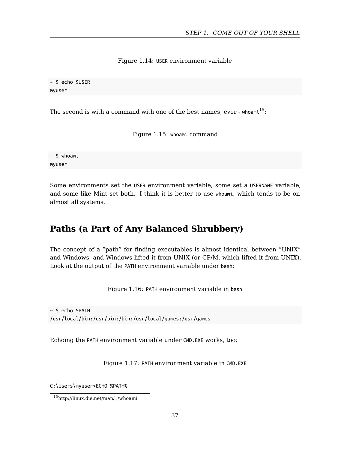*STEP 1. COME OUT OF YOUR SHELL*

Figure 1.14: USER environment variable

~ \$ echo \$USER myuser

The second is with a command with one of the best names, ever - whoam $t^{15}$ :

Figure 1.15: whoami command

 $~\sim$  \$ whoami myuser

Some environments set the USER environment variable, some set a USERNAME variable, and some like Mint set both. I think it is better to use whoami, which tends to be on almost all systems.

# **Paths (a Part of Any Balanced Shrubbery)**

The concept of a "path" for finding executables is almost identical between "UNIX" and Windows, and Windows lifted it from UNIX (or CP/M, which lifted it from UNIX). Look at the output of the PATH environment variable under bash:

Figure 1.16: PATH environment variable in bash

~ \$ echo \$PATH /usr/local/bin:/usr/bin:/bin:/usr/local/games:/usr/games

Echoing the PATH environment variable under CMD.EXE works, too:

Figure 1.17: PATH environment variable in CMD.EXE

C:\Users\myuser>ECHO %PATH%

<sup>15</sup>http://linux.die.net/man/1/whoami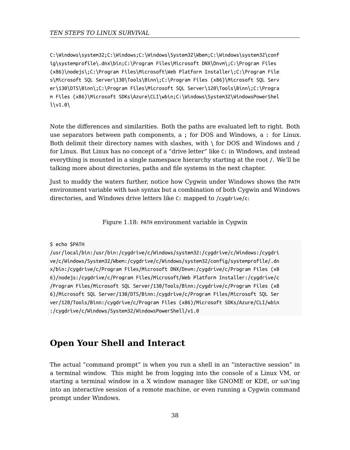C:\Windows\system32;C:\Windows;C:\Windows\System32\Wbem;C:\Windows\system32\conf ig\systemprofile\.dnx\bin;C:\Program Files\Microsoft DNX\Dnvm\;C:\Program Files (x86)\nodejs\;C:\Program Files\Microsoft\Web Platform Installer\;C:\Program File s\Microsoft SQL Server\130\Tools\Binn\;C:\Program Files (x86)\Microsoft SQL Serv er\130\DTS\Binn\;C:\Program Files\Microsoft SQL Server\120\Tools\Binn\;C:\Progra m Files (x86)\Microsoft SDKs\Azure\CLI\wbin;C:\Windows\System32\WindowsPowerShel l\v1.0\

Note the differences and similarities. Both the paths are evaluated left to right. Both use separators between path components, a ; for DOS and Windows, a : for Linux. Both delimit their directory names with slashes, with  $\setminus$  for DOS and Windows and / for Linux. But Linux has no concept of a "drive letter" like C: in Windows, and instead everything is mounted in a single namespace hierarchy starting at the root /. We'll be talking more about directories, paths and file systems in the next chapter.

Just to muddy the waters further, notice how Cygwin under Windows shows the PATH environment variable with bash syntax but a combination of both Cygwin and Windows directories, and Windows drive letters like C: mapped to /cygdrive/c:

Figure 1.18: PATH environment variable in Cygwin

\$ echo \$PATH

/usr/local/bin:/usr/bin:/cygdrive/c/Windows/system32:/cygdrive/c/Windows:/cygdri ve/c/Windows/System32/Wbem:/cygdrive/c/Windows/system32/config/systemprofile/.dn x/bin:/cygdrive/c/Program Files/Microsoft DNX/Dnvm:/cygdrive/c/Program Files (x8 6)/nodejs:/cygdrive/c/Program Files/Microsoft/Web Platform Installer:/cygdrive/c /Program Files/Microsoft SQL Server/130/Tools/Binn:/cygdrive/c/Program Files (x8 6)/Microsoft SQL Server/130/DTS/Binn:/cygdrive/c/Program Files/Microsoft SQL Ser ver/120/Tools/Binn:/cygdrive/c/Program Files (x86)/Microsoft SDKs/Azure/CLI/wbin :/cygdrive/c/Windows/System32/WindowsPowerShell/v1.0

# **Open Your Shell and Interact**

The actual "command prompt" is when you run a shell in an "interactive session" in a terminal window. This might be from logging into the console of a Linux VM, or starting a terminal window in a X window manager like GNOME or KDE, or ssh'ing into an interactive session of a remote machine, or even running a Cygwin command prompt under Windows.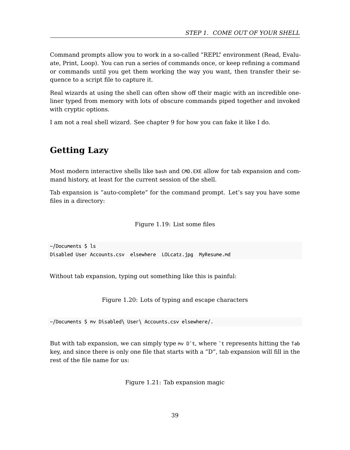#### *STEP 1. COME OUT OF YOUR SHELL*

Command prompts allow you to work in a so-called "REPL" environment (Read, Evaluate, Print, Loop). You can run a series of commands once, or keep refining a command or commands until you get them working the way you want, then transfer their sequence to a script file to capture it.

Real wizards at using the shell can often show off their magic with an incredible oneliner typed from memory with lots of obscure commands piped together and invoked with cryptic options.

I am not a real shell wizard. See chapter 9 for how you can fake it like I do.

# **Getting Lazy**

Most modern interactive shells like bash and CMD.EXE allow for tab expansion and command history, at least for the current session of the shell.

Tab expansion is "auto-complete" for the command prompt. Let's say you have some files in a directory:

Figure 1.19: List some files

~/Documents \$ ls Disabled User Accounts.csv elsewhere LOLcatz.jpg MyResume.md

Without tab expansion, typing out something like this is painful:

Figure 1.20: Lots of typing and escape characters

~/Documents \$ mv Disabled\ User\ Accounts.csv elsewhere/.

But with tab expansion, we can simply type mv D<sup> $\text{t}$ </sup>, where  $\text{t}$  represents hitting the Tab key, and since there is only one file that starts with a "D", tab expansion will fill in the rest of the file name for us:

Figure 1.21: Tab expansion magic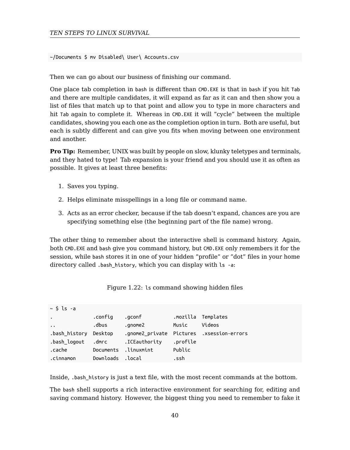~/Documents \$ mv Disabled\ User\ Accounts.csv

Then we can go about our business of finishing our command.

One place tab completion in bash is different than CMD.EXE is that in bash if you hit Tab and there are multiple candidates, it will expand as far as it can and then show you a list of files that match up to that point and allow you to type in more characters and hit Tab again to complete it. Whereas in CMD.EXE it will "cycle" between the multiple candidates, showing you each one as the completion option in turn. Both are useful, but each is subtly different and can give you fits when moving between one environment and another.

**Pro Tip:** Remember, UNIX was built by people on slow, klunky teletypes and terminals, and they hated to type! Tab expansion is your friend and you should use it as often as possible. It gives at least three benefits:

- 1. Saves you typing.
- 2. Helps eliminate misspellings in a long file or command name.
- 3. Acts as an error checker, because if the tab doesn't expand, chances are you are specifying something else (the beginning part of the file name) wrong.

The other thing to remember about the interactive shell is command history. Again, both CMD.EXE and bash give you command history, but CMD.EXE only remembers it for the session, while bash stores it in one of your hidden "profile" or "dot" files in your home directory called .bash\_history, which you can display with ls -a:

| Figure 1.22: 1s command showing hidden files |  |  |  |
|----------------------------------------------|--|--|--|
|----------------------------------------------|--|--|--|

| $\sim$ \$ ls -a       |                  |                      |          |                                           |
|-----------------------|------------------|----------------------|----------|-------------------------------------------|
| $\cdot$               | .confiq          | .gconf               |          | mozilla Templates.                        |
| $\cdot$ $\cdot$       | .dbus            | .gnome2              | Music    | Videos                                    |
| .bash history Desktop |                  |                      |          | .gnome2 private Pictures .xsession-errors |
| bash logout.          | .dmrc            | .ICEauthority        | .profile |                                           |
| .cache                |                  | Documents .linuxmint | Public   |                                           |
| .cinnamon             | Downloads .local |                      | .ssh     |                                           |

Inside, .bash\_history is just a text file, with the most recent commands at the bottom.

The bash shell supports a rich interactive environment for searching for, editing and saving command history. However, the biggest thing you need to remember to fake it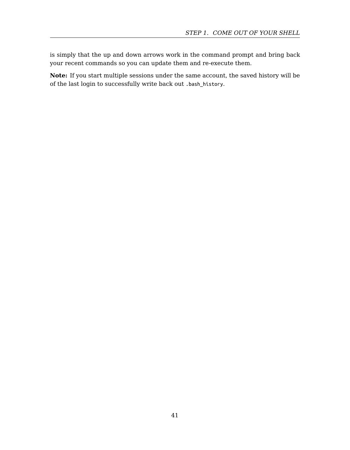is simply that the up and down arrows work in the command prompt and bring back your recent commands so you can update them and re-execute them.

**Note:** If you start multiple sessions under the same account, the saved history will be of the last login to successfully write back out .bash\_history.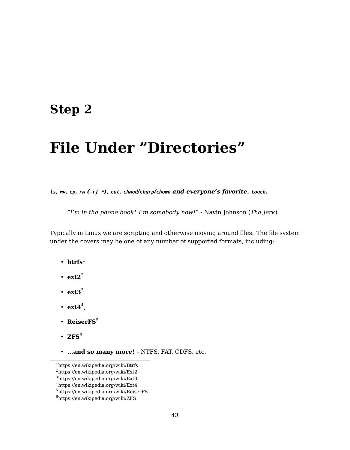# **Step 2**

# **File Under "Directories"**

*ls, mv, cp, [rm](#page-42-0) (-rf \*), cat, chmod/chgrp/chown and everyone's favorite, touch.*

*"I'm in the phone book! I'm somebody now!"* - Navin Johnson (*The Jerk*)

Typicallyi[n](#page-42-1) Linux we are scripting and otherwise moving around files. The file system under the covers may be one of any number of supported formats, including:

- $\mathbf{btrfs}^1$  $\mathbf{btrfs}^1$  $\mathbf{btrfs}^1$
- <span id="page-42-0"></span> $\cdot$  [ext2](https://en.wikipedia.org/wiki/Ext3)<sup>[2](https://en.wikipedia.org/wiki/Ext2)</sup>
- <span id="page-42-1"></span>• **[ext3](https://en.wikipedia.org/wiki/ReiserFS)**<sup>3</sup>
- $ext{4}^4$ ,
- ReiserFS<sup>5</sup>
- $\cdot$  ZFS<sup>6</sup>
- **...and so many more!** NTFS, FAT, CDFS, etc.

<sup>1</sup>https://en.wikipedia.org/wiki/Btrfs

<sup>2</sup>https://en.wikipedia.org/wiki/Ext2

<sup>3</sup>https://en.wikipedia.org/wiki/Ext3

 $^4$ https://en.wikipedia.org/wiki/Ext4

<sup>5</sup>https://en.wikipedia.org/wiki/ReiserFS

 $^6$ https://en.wikipedia.org/wiki/ZFS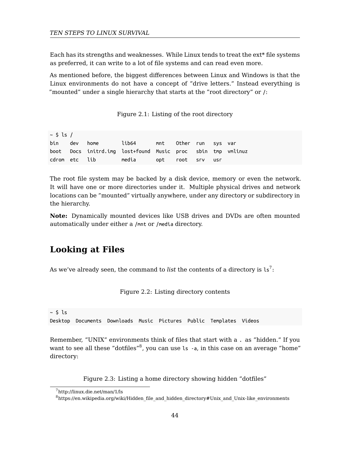Each has its strengths and weaknesses. While Linux tends to treat the ext\* file systems as preferred, it can write to a lot of file systems and can read even more.

As mentioned before, the biggest differences between Linux and Windows is that the Linux environments do not have a concept of "drive letters." Instead everything is "mounted" under a single hierarchy that starts at the "root directory" or /:

Figure 2.1: Listing of the root directory

| $\sim$ \$ ls / |                                                             |  |  |           |  |
|----------------|-------------------------------------------------------------|--|--|-----------|--|
|                | bin dev home     lib64     mnt   Other run svs var          |  |  |           |  |
|                | boot Docs initrd.img lost+found Music proc sbin tmp vmlinuz |  |  |           |  |
|                |                                                             |  |  | <b>US</b> |  |

The root file system may be backed by a disk device, memory or even the network. It will have one or more directories under it. Multiple physical drives and network locations can be "mounted" virtually anywhere, under any directory or subdirectory in the hierarchy.

**Note:** Dynamically mounted devices like USB drives and DVDs are often mounted automatically under either a /mnt or /media directory.

### **Looking at Files**

As we've already seen, the command to *list* the contents of a directory is  $ls^7$ :

[F](http://linux.die.net/man/1/ls)igure 2.2: Listing directory contents

 $~\sim$  \$ ls Desktop Documents Downloads Music Pictures Public Templates Videos

Remember, "UNIX" environments think of files that start with a . as "hidden." If you want to see all these "dotfiles" $^8$ , you can use ls  $\,$  -a, in this case on an average "home" directory:

Figure 2.3: Listing a home directory showing hidden "dotfiles"

<sup>7</sup>http://linux.die.net/man/1/ls

 $^8\rm{https://en.wikipedia.org/wiki/Hidden_file_and_hidden_directory\#Unix_and_Unix\_link_environments}$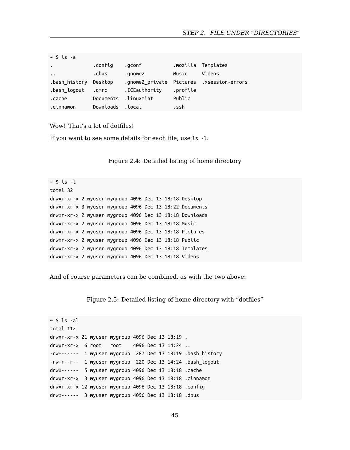| $\sim$ \$ ls -a       |           |                      |          |                                           |
|-----------------------|-----------|----------------------|----------|-------------------------------------------|
| $\bullet$             | .confiq   | .gconf               |          | mozilla Templates.                        |
| $\dddot{\phantom{1}}$ | .dbus     | .gnome2              | Music    | Videos                                    |
| .bash history Desktop |           |                      |          | .gnome2 private Pictures .xsession-errors |
| .bash loqout   .dmrc  |           | .ICEauthority        | .profile |                                           |
| .cache                |           | Documents .linuxmint | Public   |                                           |
| .cinnamon             | Downloads | .local               | .ssh     |                                           |

Wow! That's a lot of dotfiles!

If you want to see some details for each file, use ls -l:

Figure 2.4: Detailed listing of home directory

 $~\sim$  \$ ls -l total 32 drwxr-xr-x 2 myuser mygroup 4096 Dec 13 18:18 Desktop drwxr-xr-x 3 myuser mygroup 4096 Dec 13 18:22 Documents drwxr-xr-x 2 myuser mygroup 4096 Dec 13 18:18 Downloads drwxr-xr-x 2 myuser mygroup 4096 Dec 13 18:18 Music drwxr-xr-x 2 myuser mygroup 4096 Dec 13 18:18 Pictures drwxr-xr-x 2 myuser mygroup 4096 Dec 13 18:18 Public drwxr-xr-x 2 myuser mygroup 4096 Dec 13 18:18 Templates drwxr-xr-x 2 myuser mygroup 4096 Dec 13 18:18 Videos

And of course parameters can be combined, as with the two above:

Figure 2.5: Detailed listing of home directory with "dotfiles"

```
~\sim $ ls -al
total 112
drwxr-xr-x 21 myuser mygroup 4096 Dec 13 18:19 .
drwxr-xr-x 6 root root 4096 Dec 13 14:24 ..
-rw------- 1 myuser mygroup 287 Dec 13 18:19 .bash_history
-rw-r--r-- 1 myuser mygroup 220 Dec 13 14:24 .bash_logout
drwx------ 5 myuser mygroup 4096 Dec 13 18:18 .cache
drwxr-xr-x 3 myuser mygroup 4096 Dec 13 18:18 .cinnamon
drwxr-xr-x 12 myuser mygroup 4096 Dec 13 18:18 .config
drwx------ 3 myuser mygroup 4096 Dec 13 18:18 .dbus
```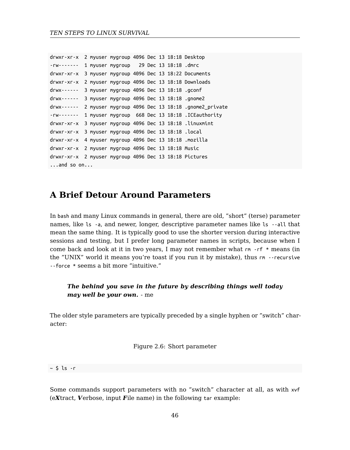```
drwxr-xr-x 2 myuser mygroup 4096 Dec 13 18:18 Desktop
-rw------- 1 myuser mygroup 29 Dec 13 18:18 .dmrc
drwxr-xr-x 3 myuser mygroup 4096 Dec 13 18:22 Documents
drwxr-xr-x 2 myuser mygroup 4096 Dec 13 18:18 Downloads
drwx------ 3 myuser mygroup 4096 Dec 13 18:18 .gconf
drwx------ 3 myuser mygroup 4096 Dec 13 18:18 .gnome2
drwx------ 2 myuser mygroup 4096 Dec 13 18:18 .gnome2_private
-rw------- 1 myuser mygroup 668 Dec 13 18:18 .ICEauthority
drwxr-xr-x 3 myuser mygroup 4096 Dec 13 18:18 .linuxmint
drwxr-xr-x 3 myuser mygroup 4096 Dec 13 18:18 .local
drwxr-xr-x 4 myuser mygroup 4096 Dec 13 18:18 .mozilla
drwxr-xr-x 2 myuser mygroup 4096 Dec 13 18:18 Music
drwxr-xr-x 2 myuser mygroup 4096 Dec 13 18:18 Pictures
...and so on...
```
# **A Brief Detour Around Parameters**

In bash and many Linux commands in general, there are old, "short" (terse) parameter names, like ls -a, and newer, longer, descriptive parameter names like ls --all that mean the same thing. It is typically good to use the shorter version during interactive sessions and testing, but I prefer long parameter names in scripts, because when I come back and look at it in two years, I may not remember what rm -rf \* means (in the "UNIX" world it means you're toast if you run it by mistake), thus rm --recursive --force \* seems a bit more "intuitive."

#### *The behind you save in the future by describing things well today may well be your own.* - me

The older style parameters are typically preceded by a single hyphen or "switch" character:

Figure 2.6: Short parameter

 $~\sim$  \$ ls -r

Some commands support parameters with no "switch" character at all, as with xvf (e*X*tract, *V*erbose, input *F*ile name) in the following tar example: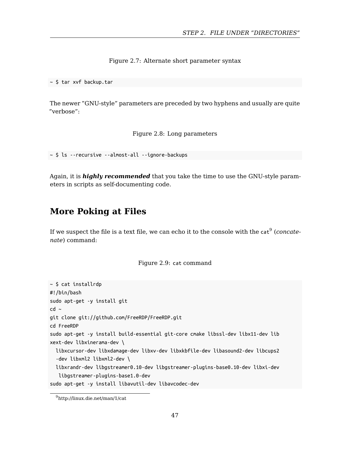Figure 2.7: Alternate short parameter syntax

~ \$ tar xvf backup.tar

The newer "GNU-style" parameters are preceded by two hyphens and usually are quite "verbose":

Figure 2.8: Long parameters

~ \$ ls --recursive --almost-all --ignore-backups

Again, it is *highly recommended* that you take the time to use the GNU-style parameters in scripts as self-documenting code.

# **More Poking at Files**

If we suspect the file is a text file, we can echo it to the console with the cat<sup>9</sup> (*concatenate*) command:

Figure 2.9: cat command

```
~ $ cat installrdp
#!/bin/bash
sudo apt-get -y install git
cd ~
git clone git://github.com/FreeRDP/FreeRDP.git
cd FreeRDP
sudo apt-get -y install build-essential git-core cmake libssl-dev libx11-dev lib
xext-dev libxinerama-dev \
  libxcursor-dev libxdamage-dev libxv-dev libxkbfile-dev libasound2-dev libcups2
  -dev libxml2 libxml2-dev \
  libxrandr-dev libgstreamer0.10-dev libgstreamer-plugins-base0.10-dev libxi-dev
  libgstreamer-plugins-base1.0-dev
sudo apt-get -y install libavutil-dev libavcodec-dev
```
<sup>9</sup>http://linux.die.net/man/1/cat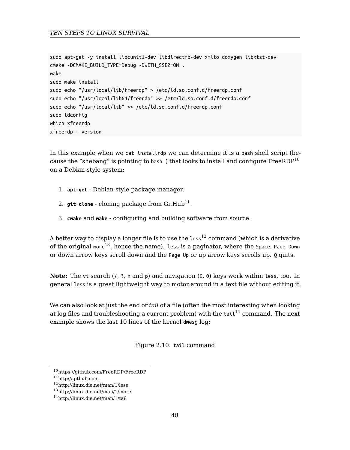```
sudo apt-get -y install libcunit1-dev libdirectfb-dev xmlto doxygen libxtst-dev
cmake -DCMAKE_BUILD_TYPE=Debug -DWITH_SSE2=ON .
make
sudo make install
sudo echo "/usr/local/lib/freerdp" > /etc/ld.so.conf.d/freerdp.conf
sudo echo "/usr/local/lib64/freerdp" >> /etc/ld.so.conf.d/freerdp.conf
sudo echo "/usr/local/lib" >> /etc/ld.so.conf.d/freerdp.conf
sudo ldconfig
which xfreerdp
xfreerdp --version
```
In this example when we cat installrdp we can determine it is a bash shell script (because the "shebang" is pointing to bash ) that looks to install and configure  $\rm FreeRDP^{10}$ on a Debian-style system:

- 1. **apt-get** Debian-style package manager.
- 2.  $\mathsf{git}\ \mathsf{clone}\ \text{-}\ \mathsf{cloning}\ \mathsf{package}\ \mathsf{from}\ \mathsf{GitHub}^{11}.$
- 3. **cmake** and **make** configuring and building software from source.

A better way to display a longer file is to use the  $less<sup>12</sup>$  command (which is a derivative of the original more<sup>13</sup>, hence the name). Less is a paginator, where the Space, Page Down or down arrow keys scroll down and the Page Up or up arrow keys scrolls up. Q quits.

<span id="page-47-0"></span>**Note:** [The](http://github.com) vi [search \(](https://github.com/FreeRDP/FreeRDP)*|, ?, n* and *p*) and navigation (*c, 0*) keys work within less, too. In general less [is a great light](http://linux.die.net/man/1/less)weight way to motor around in a text file without editing it.

We can also look at just the end or *tail* of a file (often the most interesting when looking at log files and troubleshooting a current problem) with the  $tail^{14}$  command. The next example shows the last 10 lines of the kernel dmesg log:

Figure 2.10: tail command

 $^{10}\mathrm{https://github.com/FreeRDP/FreeRDP}$ 

<sup>11</sup>http://github.com

<sup>12</sup>http://linux.die.net/man/1/less

<sup>13</sup>http://linux.die.net/man/1/more

<sup>14</sup>http://linux.die.net/man/1/tail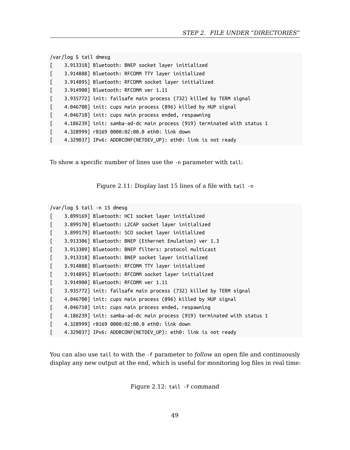|              | /var/log \$ tail dmesg                                                  |
|--------------|-------------------------------------------------------------------------|
| T.           | 3.913318] Bluetooth: BNEP socket layer initialized                      |
| $\mathbf{r}$ | 3.914888] Bluetooth: RFCOMM TTY layer initialized                       |
| $\lceil$     | 3.914895] Bluetooth: RFCOMM socket layer initialized                    |
| $\Gamma$     | 3.914900] Bluetooth: RFCOMM ver 1.11                                    |
| $\lceil$     | 3.935772] init: failsafe main process (732) killed by TERM signal       |
| $\Gamma$     | 4.046700] init: cups main process (896) killed by HUP signal            |
| $\lceil$     | 4.046710] init: cups main process ended, respawning                     |
| $\lceil$     | 4.186239] init: samba-ad-dc main process (919) terminated with status 1 |
| Đ            | 4.328999] r8169 0000:02:00.0 eth0: link down                            |
|              | 4.329037] IPv6: ADDRCONF(NETDEV_UP): eth0: link is not ready            |

To show a specific number of lines use the -n parameter with tail:

Figure 2.11: Display last 15 lines of a file with tail -n

```
/var/log $ tail -n 15 dmesg
```

```
[ 3.899169] Bluetooth: HCI socket layer initialized
[ 3.899170] Bluetooth: L2CAP socket layer initialized
[ 3.899179] Bluetooth: SCO socket layer initialized
[ 3.913306] Bluetooth: BNEP (Ethernet Emulation) ver 1.3
[ 3.913309] Bluetooth: BNEP filters: protocol multicast
[ 3.913318] Bluetooth: BNEP socket layer initialized
[ 3.914888] Bluetooth: RFCOMM TTY layer initialized
[ 3.914895] Bluetooth: RFCOMM socket layer initialized
[ 3.914900] Bluetooth: RFCOMM ver 1.11
[ 3.935772] init: failsafe main process (732) killed by TERM signal
[ 4.046700] init: cups main process (896) killed by HUP signal
[ 4.046710] init: cups main process ended, respawning
[ 4.186239] init: samba-ad-dc main process (919) terminated with status 1
[ 4.328999] r8169 0000:02:00.0 eth0: link down
[ 4.329037] IPv6: ADDRCONF(NETDEV_UP): eth0: link is not ready
```
You can also use tail to with the -f parameter to *follow* an open file and continuously display any new output at the end, which is useful for monitoring log files in real time:

Figure 2.12: tail -f command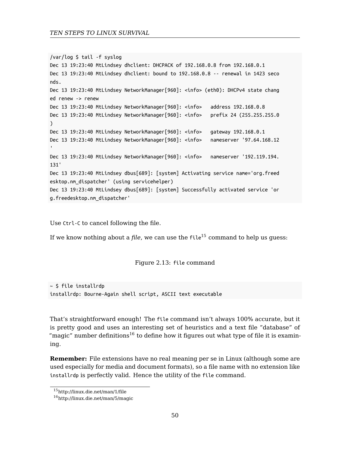```
/var/log $ tail -f syslog
Dec 13 19:23:40 MtLindsey dhclient: DHCPACK of 192.168.0.8 from 192.168.0.1
Dec 13 19:23:40 MtLindsey dhclient: bound to 192.168.0.8 -- renewal in 1423 seco
nds.
Dec 13 19:23:40 MtLindsey NetworkManager[960]: <info> (eth0): DHCPv4 state chang
ed renew -> renew
Dec 13 19:23:40 MtLindsey NetworkManager[960]: <info> address 192.168.0.8
Dec 13 19:23:40 MtLindsey NetworkManager[960]: <info> prefix 24 (255.255.255.0
)
Dec 13 19:23:40 MtLindsey NetworkManager[960]: <info> gateway 192.168.0.1
Dec 13 19:23:40 MtLindsey NetworkManager[960]: <info> nameserver '97.64.168.12
'Dec 13 19:23:40 MtLindsey NetworkManager[960]: <info> nameserver '192.119.194.
131'
Dec 13 19:23:40 MtLindsey dbus[689]: [system] Activating service name='org.freed
esktop.nm_dispatcher' (using servicehelper)
Dec 13 19:23:40 MtLindsey dbus[689]: [system] Successfully activated service 'or
g.freedesktop.nm_dispatcher'
```
Use Ctrl-C to cancel following the file.

If we know nothing about a *[fi](#page-49-1)le*, we can use the file<sup>15</sup> command to help us quess:

Figure 2.13: file command

<span id="page-49-1"></span><span id="page-49-0"></span> $~\sim$  \$ file installrdp in[stallrdp: Bourne-Again sh](http://linux.die.net/man/1/file)[ell](http://linux.die.net/man/5/magic) script, ASCII text executable

That's straightforward enough! The file command isn't always 100% accurate, but it is pretty good and uses an interesting set of heuristics and a text file "database" of "magic" number definitions<sup>16</sup> to define how it figures out what type of file it is examining.

**Remember:** File extensions have no real meaning per se in Linux (although some are used especially for media and document formats), so a file name with no extension like installrdp is perfectly valid. Hence the utility of the file command.

<sup>15</sup>http://linux.die.net/man/1/file

<sup>16</sup>http://linux.die.net/man/5/magic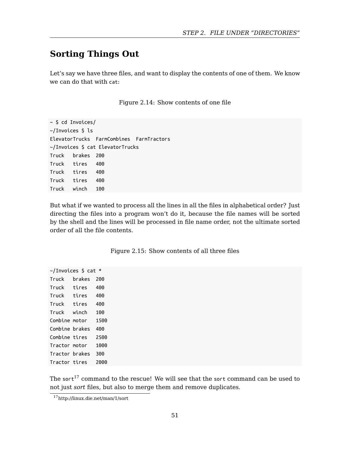# **Sorting Things Out**

Let's say we have three files, and want to display the contents of one of them. We know we can do that with cat:

Figure 2.14: Show contents of one file

~ \$ cd Invoices/ ~/Invoices \$ ls ElevatorTrucks FarmCombines FarmTractors ~/Invoices \$ cat ElevatorTrucks Truck brakes 200 Truck tires 400 Truck tires 400 Truck tires 400 Truck winch 100

But what if we wanted to process all the lines in all the files in alphabetical order? Just directing the files into a program won't do it, because the file names will be sorted by the shell and the lines will be processed in file name order, not the ultimate sorted order of all the file contents.

<span id="page-50-0"></span>~/Invoices \$ cat \* Truck [bra](#page-50-0)kes 200 Truck tires 400 Tr[uck tires 400](http://linux.die.net/man/1/sort) Truck tires 400 Truck winch 100 Combine motor 1500 Combine brakes 400 Combine tires 2500 Tractor motor 1000 Tractor brakes 300 Tractor tires 2000

The sort $^{17}$  command to the rescue! We will see that the sort command can be used to not just *sort* files, but also to merge them and remove duplicates.

<sup>17</sup>http://linux.die.net/man/1/sort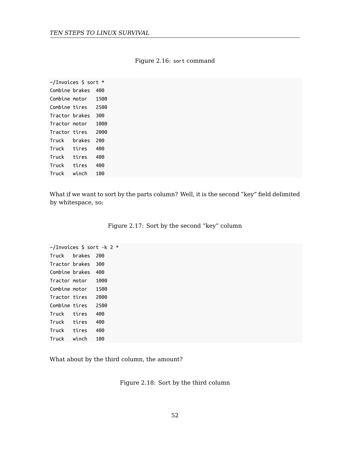|                | $\sim$ /Invoices \$ sort * |      |
|----------------|----------------------------|------|
| Combine brakes |                            | 400  |
| Combine motor  |                            | 1500 |
| Combine tires  |                            | 2500 |
| Tractor brakes |                            | 300  |
| Tractor motor  |                            | 1000 |
| Tractor tires  |                            | 2000 |
| Truck          | brakes                     | 200  |
| Truck          | tires                      | 400  |
| Truck          | tires                      | 400  |
| Truck          | tires                      | 400  |
| Truck          | winch                      | 100  |

#### Figure 2.16: sort command

What if we want to sort by the parts column? Well, it is the second "key" field delimited by whitespace, so:

|  |  | Figure 2.17: Sort by the second "key" column |  |
|--|--|----------------------------------------------|--|
|--|--|----------------------------------------------|--|

~/Invoices \$ sort -k 2 \* Truck brakes 200 Tractor brakes 300 Combine brakes 400 Tractor motor 1000 Combine motor 1500 Tractor tires 2000 Combine tires 2500 Truck tires 400 Truck tires 400 Truck tires 400 Truck winch 100

What about by the third column, the amount?

Figure 2.18: Sort by the third column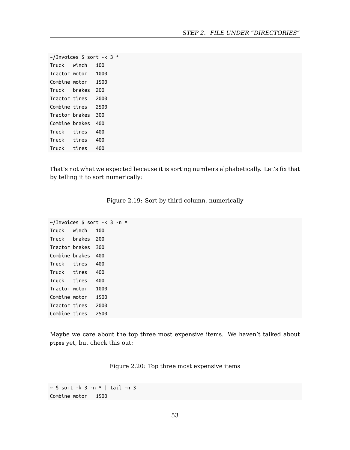~/Invoices \$ sort -k 3 \* Truck winch 100 Tractor motor 1000 Combine motor 1500 Truck brakes 200 Tractor tires 2000 Combine tires 2500 Tractor brakes 300 Combine brakes 400 Truck tires 400 Truck tires 400 Truck tires 400

That's not what we expected because it is sorting numbers alphabetically. Let's fix that by telling it to sort numerically:

| Figure 2.19: Sort by third column, numerically |  |  |  |
|------------------------------------------------|--|--|--|
|                                                |  |  |  |

~/Invoices \$ sort -k 3 -n \* Truck winch 100 Truck brakes 200 Tractor brakes 300 Combine brakes 400 Truck tires 400 Truck tires 400 Truck tires 400 Tractor motor 1000 Combine motor 1500 Tractor tires 2000 Combine tires 2500

Maybe we care about the top three most expensive items. We haven't talked about pipes yet, but check this out:

Figure 2.20: Top three most expensive items

```
~ $ sort -k 3 -n * | tail -n 3
Combine motor 1500
```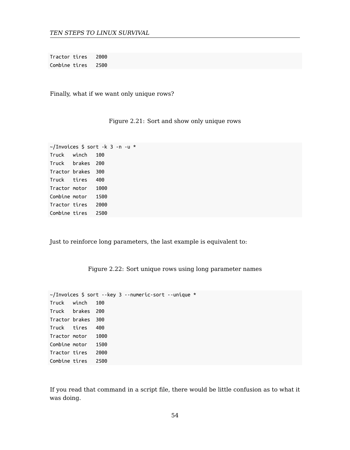Tractor tires 2000 Combine tires 2500

Finally, what if we want only unique rows?

#### Figure 2.21: Sort and show only unique rows

~/Invoices \$ sort -k 3 -n -u \* Truck winch 100 Truck brakes 200 Tractor brakes 300 Truck tires 400 Tractor motor 1000 Combine motor 1500 Tractor tires 2000 Combine tires 2500

Just to reinforce long parameters, the last example is equivalent to:

Figure 2.22: Sort unique rows using long parameter names

|                    |  | ~/Invoices \$ sort --key 3 --numeric-sort --unique * |  |
|--------------------|--|------------------------------------------------------|--|
| Truck winch 100    |  |                                                      |  |
| Truck brakes 200   |  |                                                      |  |
| Tractor brakes 300 |  |                                                      |  |
| Truck tires 400    |  |                                                      |  |
| Tractor motor 1000 |  |                                                      |  |
| Combine motor 1500 |  |                                                      |  |
| Tractor tires 2000 |  |                                                      |  |
| Combine tires 2500 |  |                                                      |  |

If you read that command in a script file, there would be little confusion as to what it was doing.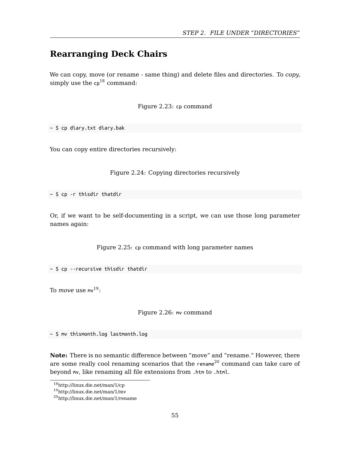# **Rearranging Deck Chairs**

We can copy, move (or rename - same thing) and delete files and directories. To *copy*, simply use the  $cp^{18}$  command:

Figure 2.23: cp command

~ \$ cp diary.txt diary.bak

You can copy entire directories recursively:

Figure 2.24: Copying directories recursively

 $~\sim$  \$ cp -r thisdir thatdir

Or, if we want to be self-documenting in a script, we can use those long parameter names again:

Figure 2.25: cp command with long parameter names

 $~\sim$  \$ cp --recursive thisdir thatdir

To *[move](http://linux.die.net/man/1/mv)* use  $mv^{19}$  $mv^{19}$  $mv^{19}$ :

Figure 2.26: mv command

~ \$ mv thismonth.log lastmonth.log

**Note:** There is no semantic difference between "move" and "rename." However, there are some really cool renaming scenarios that the rename<sup>20</sup> command can take care of beyond mv, like renaming all file extensions from .htm to .html.

<sup>18</sup>http://linux.die.net/man/1/cp

<sup>19</sup>http://linux.die.net/man/1/mv

<sup>20</sup>http://linux.die.net/man/1/rename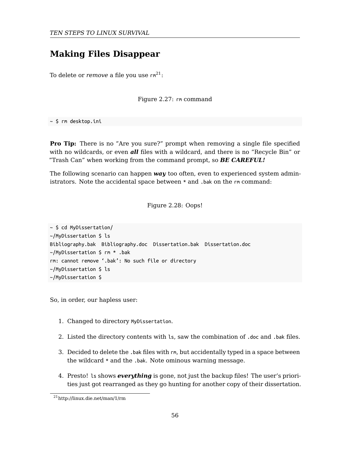# **Making Files Disappear**

To delete or *remove* a file you use  $rm^{-21}$ :

Figure 2.27: rm command

~ \$ rm desktop.ini

**Pro Tip:** There is no "Are you sure?" prompt when removing a single file specified with no wildcards, or even *all* files with a wildcard, and there is no "Recycle Bin" or "Trash Can" when working from the command prompt, so *BE CAREFUL!*

The following scenario can happen *way* too often, even to experienced system administrators. Note the accidental space between \* and .bak on the rm command:

Figure 2.28: Oops!

~ \$ cd MyDissertation/ ~/MyDissertation \$ ls Bibliography.bak Bibliography.doc Dissertation.bak Dissertation.doc ~/MyDissertation \$ rm \* .bak rm: cannot remove '.bak': No such file or directory ~/MyDissertation \$ ls ~/MyDissertation \$

So[, in order, our hapless u](http://linux.die.net/man/1/rm)ser:

- 1. Changed to directory MyDissertation.
- 2. Listed the directory contents with ls, saw the combination of .doc and .bak files.
- 3. Decided to delete the .bak files with rm, but accidentally typed in a space between the wildcard \* and the .bak. Note ominous warning message.
- 4. Presto! ls shows *everything* is gone, not just the backup files! The user's priorities just got rearranged as they go hunting for another copy of their dissertation.

<sup>21</sup>http://linux.die.net/man/1/rm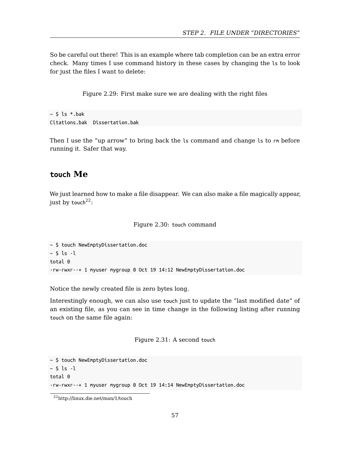So be careful out there! This is an example where tab completion can be an extra error check. Many times I use command history in these cases by changing the ls to look for just the files I want to delete:

Figure 2.29: First make sure we are dealing with the right files

#### $~\sim$  \$ ls \*.bak Citations.bak Dissertation.bak

Then I use the "up arrow" to bring back the ls command and change ls to rm before running it. Safer that way.

### **touch Me**

We just learned how to make a file disappear. We can also make a file magically appear, just by touch $22$ :

#### Figure 2.30: touch command

~ \$ touch NewEmptyDissertation.doc  $~\sim$  \$ ls -l total 0 -rw-rwxr--+ 1 myuser mygroup 0 Oct 19 14:12 NewEmptyDissertation.doc

Notice the newly created file is zero bytes long.

Int[erestingly enough, we can](http://linux.die.net/man/1/touch) also use touch just to update the "last modified date" of an existing file, as you can see in time change in the following listing after running touch on the same file again:

Figure 2.31: A second touch

~ \$ touch NewEmptyDissertation.doc  $~\sim$  \$ ls -l total 0 -rw-rwxr--+ 1 myuser mygroup 0 Oct 19 14:14 NewEmptyDissertation.doc

<sup>22</sup>http://linux.die.net/man/1/touch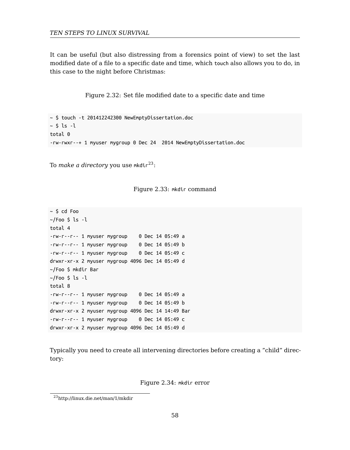It can be useful (but also distressing from a forensics point of view) to set the last modified date of a file to a specifi[c d](#page-57-0)ate and time, which touch also allows you to do, in this case to the night before Christmas:

Figure 2.32: Set file modified date to a specific date and time

~ \$ touch -t 201412242300 NewEmptyDissertation.doc  $~\sim$  \$ ls -l total 0 -rw-rwxr--+ 1 myuser mygroup 0 Dec 24 2014 NewEmptyDissertation.doc

To *make a directory* you use mkdir<sup>23</sup>:

Figure 2.33: mkdir command

~ \$ cd Foo  $\sim$ /Foo \$ ls -l total 4 -rw-r--r-- 1 myuser mygroup 0 Dec 14 05:49 a -rw-r--r-- 1 myuser mygroup 0 Dec 14 05:49 b -rw-r--r-- 1 myuser mygroup 0 Dec 14 05:49 c drwxr-xr-x 2 myuser mygroup 4096 Dec 14 05:49 d ~/Foo \$ mkdir Bar  $\sim$ /Foo \$ ls -l total 8 -r[w-r--r-- 1 myuser mygroup](http://linux.die.net/man/1/mkdir) 0 Dec 14 05:49 a -rw-r--r-- 1 myuser mygroup 0 Dec 14 05:49 b drwxr-xr-x 2 myuser mygroup 4096 Dec 14 14:49 Bar -rw-r--r-- 1 myuser mygroup 0 Dec 14 05:49 c drwxr-xr-x 2 myuser mygroup 4096 Dec 14 05:49 d

<span id="page-57-0"></span>Typically you need to create all intervening directories before creating a "child" directory:

Figure 2.34: mkdir error

<sup>23</sup>http://linux.die.net/man/1/mkdir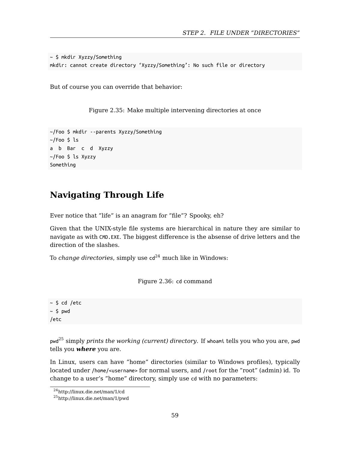~ \$ mkdir Xyzzy/Something mkdir: cannot create directory 'Xyzzy/Something': No such file or directory

But of course you can override that behavior:

Figure 2.35: Make multiple intervening directories at once

```
~/Foo $ mkdir --parents Xyzzy/Something
~/Foo $ ls
a b Bar c d Xyzzy
~/Foo $ ls Xyzzy
Something
```
# **Navigating Through Life**

Ever notice that "life" is an anagram for "file"? Spooky, eh?

Given that the UNIX-style file systems are hierarchical in nature they are similar to na[vig](#page-58-0)ate as with CMD.EXE. The biggest difference is the absense of drive letters and the direction of the slashes.

To *change directories*, simply use  $cd^{24}$  much like in Windows:

Figure 2.36: cd command

<span id="page-58-0"></span> $~\sim$  [\\$ cd /etc](http://linux.die.net/man/1/pwd)  $~\sim$  \$ pwd /etc

pwd<sup>25</sup> simply *prints the working (current) directory*. If whoami tells you who you are, pwd tells you *where* you are.

In Linux, users can have "home" directories (similar to Windows profiles), typically located under /home/<username> for normal users, and /root for the "root" (admin) id. To change to a user's "home" directory, simply use cd with no parameters:

<sup>24</sup>http://linux.die.net/man/1/cd

<sup>25</sup>http://linux.die.net/man/1/pwd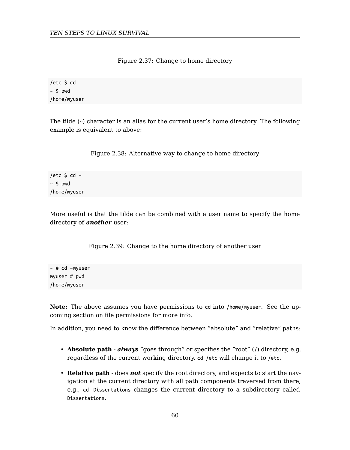Figure 2.37: Change to home directory

/etc \$ cd  $~\sim$  \$ pwd /home/myuser

The tilde (~) character is an alias for the current user's home directory. The following example is equivalent to above:

Figure 2.38: Alternative way to change to home directory

/etc  $$$  cd  $~$  $~\sim$  \$ pwd /home/myuser

More useful is that the tilde can be combined with a user name to specify the home directory of *another* user:

Figure 2.39: Change to the home directory of another user

~ # cd ~myuser myuser # pwd /home/myuser

**Note:** The above assumes you have permissions to cd into /home/myuser. See the upcoming section on file permissions for more info.

In addition, you need to know the difference between "absolute" and "relative" paths:

- **Absolute path** *always* "goes through" or specifies the "root" (/) directory, e.g. regardless of the current working directory, cd /etc will change it to /etc.
- **Relative path** does *not* specify the root directory, and expects to start the navigation at the current directory with all path components traversed from there, e.g., cd Dissertations changes the current directory to a subdirectory called Dissertations.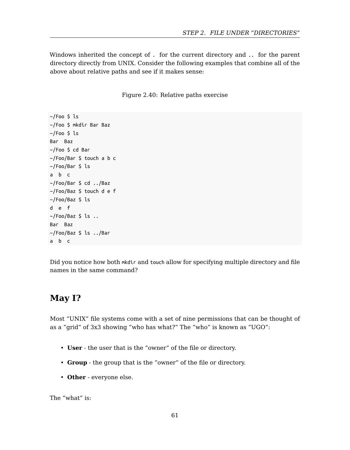Windows inherited the concept of . for the current directory and .. for the parent directory directly from UNIX. Consider the following examples that combine all of the above about relative paths and see if it makes sense:

Figure 2.40: Relative paths exercise

```
~/Foo $ ls
~/Foo $ mkdir Bar Baz
~/Foo $ ls
Bar Baz
~/Foo $ cd Bar
~/Foo/Bar $ touch a b c
~/Foo/Bar $ ls
a b c
~/Foo/Bar $ cd ../Baz
~/Foo/Baz $ touch d e f
~/Foo/Baz $ ls
d e f
\sim/Foo/Baz $ ls ..
Bar Baz
~/Foo/Baz $ ls ../Bar
a b c
```
Did you notice how both mkdir and touch allow for specifying multiple directory and file names in the same command?

# **May I?**

Most "UNIX" file systems come with a set of nine permissions that can be thought of as a "grid" of 3x3 showing "who has what?" The "who" is known as "UGO":

- **User** the user that is the "owner" of the file or directory.
- **Group** the group that is the "owner" of the file or directory.
- **Other** everyone else.

The "what" is: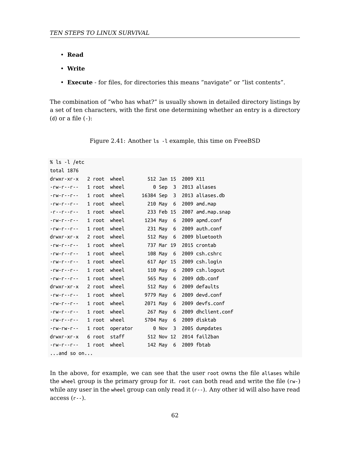- **Read**
- **Write**
- **Execute** for files, for directories this means "navigate" or "list contents".

The combination of "who has what?" is usually shown in detailed directory listings by a set of ten characters, with the first one determining whether an entry is a directory (d) or a file  $(-)$ :

| Figure 2.41: Another 1s -1 example, this time on FreeBSD |  |  |  |
|----------------------------------------------------------|--|--|--|
|----------------------------------------------------------|--|--|--|

```
% ls -l /etc
total 1876
drwxr-xr-x 2 root wheel 512 Jan 15 2009 X11
-rw-r--r-- 1 root wheel 0 Sep 3 2013 aliases
-rw-r--r-- 1 root wheel 16384 Sep 3 2013 aliases.db
-rw-r--r-- 1 root wheel 210 May 6 2009 amd.map
-r--r--r-- 1 root wheel 233 Feb 15 2007 amd.map.snap
-rw-r--r-- 1 root wheel 1234 May 6 2009 apmd.conf
-rw-r--r-- 1 root wheel 231 May 6 2009 auth.conf
drwxr-xr-x 2 root wheel 512 May 6 2009 bluetooth
-rw-r--r-- 1 root wheel 737 Mar 19 2015 crontab
-rw-r--r-- 1 root wheel 108 May 6 2009 csh.cshrc
-rw-r--r-- 1 root wheel 617 Apr 15 2009 csh.login
-rw-r--r-- 1 root wheel 110 May 6 2009 csh.logout
-rw-r--r-- 1 root wheel 565 May 6 2009 ddb.conf
drwxr-xr-x 2 root wheel 512 May 6 2009 defaults
-rw-r--r-- 1 root wheel 9779 May 6 2009 devd.conf
-rw-r--r-- 1 root wheel 2071 May 6 2009 devfs.conf
-rw-r--r-- 1 root wheel 267 May 6 2009 dhclient.conf
-rw-r--r-- 1 root wheel 5704 May 6 2009 disktab
-rw-rw-r-- 1 root operator 0 Nov 3 2005 dumpdates
drwxr-xr-x 6 root staff 512 Nov 12 2014 fail2ban
-rw-r--r-- 1 root wheel 142 May 6 2009 fbtab
...and so on...
```
In the above, for example, we can see that the user root owns the file aliases while the wheel group is the primary group for it. root can both read and write the file (rw-) while any user in the wheel group can only read it (r--). Any other id will also have read  $access(r-).$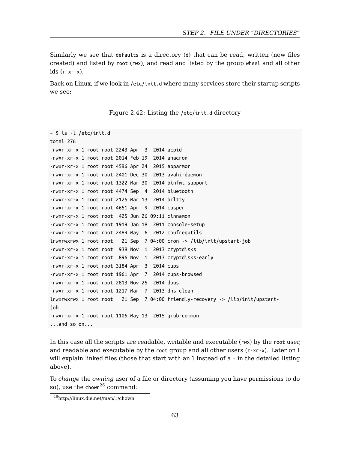Similarly we see that defaults is a directory (d) that can be read, written (new files created) and listed by root (rwx), and read and listed by the group wheel and all other ids  $(r - xr - x)$ .

Back on Linux, if we look in /etc/init.d where many services store their startup scripts we see:

Figure 2.42: Listing the /etc/init.d directory

```
~ $ ls -l /etc/init.d
total 276
-rwxr-xr-x 1 root root 2243 Apr 3 2014 acpid
-rwxr-xr-x 1 root root 2014 Feb 19 2014 anacron
-rwxr-xr-x 1 root root 4596 Apr 24 2015 apparmor
-rwxr-xr-x 1 root root 2401 Dec 30 2013 avahi-daemon
-rwxr-xr-x 1 root root 1322 Mar 30 2014 binfmt-support
-rwxr-xr-x 1 root root 4474 Sep 4 2014 bluetooth
-rwxr-xr-x 1 root root 2125 Mar 13 2014 brltty
-rwxr-xr-x 1 root root 4651 Apr 9 2014 casper
-rwxr-xr-x 1 root root 425 Jun 26 09:11 cinnamon
-rwxr-xr-x 1 root root 1919 Jan 18 2011 console-setup
-rwxr-xr-x 1 root root 2489 May 6 2012 cpufrequtils
lrwxrwxrwx 1 root root 21 Sep 7 04:00 cron -> /lib/init/upstart-job
-rwxr-xr-x 1 root root 938 Nov 1 2013 cryptdisks
-rwxr-xr-x 1 root root 896 Nov 1 2013 cryptdisks-early
-rwxr-xr-x 1 root root 3184 Apr 3 2014 cups
-rwxr-xr-x 1 root root 1961 Apr 7 2014 cups-browsed
-rwxr-xr-x 1 root root 2813 Nov 25 2014 dbus
-rwxr-xr-x 1 root root 1217 Mar 7 2013 dns-clean
lrwxrwxrwx 1 root root 21 Sep 7 04:00 friendly-recovery -> /lib/init/upstart-
job
-rwxr-xr-x 1 root root 1105 May 13 2015 grub-common
...and so on...
```
<span id="page-62-0"></span>In this case all the scripts are readable, writable and executable (rwx) by the root user, and readable and executable by the root group and all other users (r-xr-x). Later on I will explain linked files (those that start with an l instead of a - in the detailed listing above).

To *change* the *owning* user of a file or directory (assuming you have permissions to do so), use the chown<sup>26</sup> command:

<sup>26</sup>http://linux.die.net/man/1/chown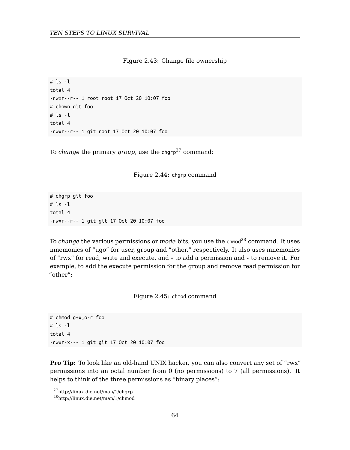Figure 2.43: Change file ownership

# ls -l total 4 -rwxr--r-- 1 root root 17 Oct 20 10:07 foo # chown git foo # ls -l total 4 -rwxr--r-- 1 git root 17 Oct 20 10:07 foo

To *change* the primary *group*, use the chgrp<sup>27</sup> command:

Figure 2.44: chgrp command

# chgrp git foo # ls -l total 4 -rwxr--r-- 1 git git 17 Oct 20 10:07 foo

To *change* the various permissions or *mode* bits, you use the chmod<sup>28</sup> command. It uses mnemonics of "ugo" for user, group and "other," respectively. It also uses mnemonics of "rwx" for read, write and execute, and + to add a permission and - to remove it. For example, to add the execute permission for the group and remove read permission for "other":

[F](http://linux.die.net/man/1/chmod)igure 2.45: chmod command

# chmod g+x,o-r foo # ls -l total 4 -rwxr-x--- 1 git git 17 Oct 20 10:07 foo

**Pro Tip:** To look like an old-hand UNIX hacker, you can also convert any set of "rwx" permissions into an octal number from 0 (no permissions) to 7 (all permissions). It helps to think of the three permissions as "binary places":

<sup>27</sup>http://linux.die.net/man/1/chgrp

<sup>28</sup>http://linux.die.net/man/1/chmod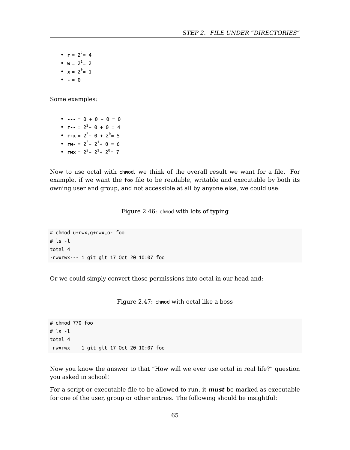•  $r = 2^2 = 4$ 

- $w = 2^1 = 2$
- $x = 2^0 = 1$
- **-** = 0

Some examples:

• **---** = 0 + 0 + 0 = 0 •  $r = = 2^2 + 0 + 0 = 4$ •  $r-x = 2^2 + 0 + 2^0 = 5$ •  $rw = 2^2 + 2^1 + 0 = 6$ •  $rwx = 2^2 + 2^1 + 2^0 = 7$ 

Now to use octal with chmod, we think of the overall result we want for a file. For example, if we want the foo file to be readable, writable and executable by both its owning user and group, and not accessible at all by anyone else, we could use:

Figure 2.46: chmod with lots of typing

```
# chmod u+rwx,g+rwx,o- foo
# ls -l
total 4
-rwxrwx--- 1 git git 17 Oct 20 10:07 foo
```
Or we could simply convert those permissions into octal in our head and:

Figure 2.47: chmod with octal like a boss

# chmod 770 foo  $#$  ls  $-1$ total 4 -rwxrwx--- 1 git git 17 Oct 20 10:07 foo

Now you know the answer to that "How will we ever use octal in real life?" question you asked in school!

For a script or executable file to be allowed to run, it *must* be marked as executable for one of the user, group or other entries. The following should be insightful: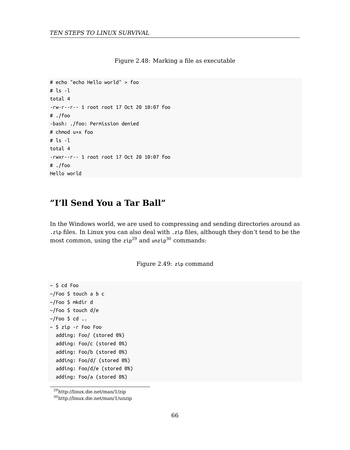Figure 2.48: Marking a file as executable

```
# echo "echo Hello world" > foo
# ls -l
total 4
-rw-r--r-- 1 root root 17 Oct 20 10:07 foo
# ./foo
-bash: ./foo: Permission denied
# chmod u+x foo
# ls -l
total 4
-rwxr--r-- 1 root root 17 Oct 20 10:07 foo
# ./foo
Hello world
```
# **"I'll Send You a Tar Ball"**

In the Windows world, we are used to compressing and sending directories around as .zip files. In Linux you can also deal with .zip files, although they don't tend to be the most common, using the  $zip^{29}$  and  $unzip^{30}$  commands:

Figure 2.49: zip command

 $~\sim$  \$ cd Foo ~/[Foo \\$ touch a b c](http://linux.die.net/man/1/zip) ~/[Foo \\$ mkdir d](http://linux.die.net/man/1/unzip) ~/Foo \$ touch d/e  $\sim$ /Foo \$ cd  $\ldots$ ~ \$ zip -r Foo Foo adding: Foo/ (stored 0%) adding: Foo/c (stored 0%) adding: Foo/b (stored 0%) adding: Foo/d/ (stored 0%) adding: Foo/d/e (stored 0%) adding: Foo/a (stored 0%)

<sup>29</sup>http://linux.die.net/man/1/zip

<sup>30</sup>http://linux.die.net/man/1/unzip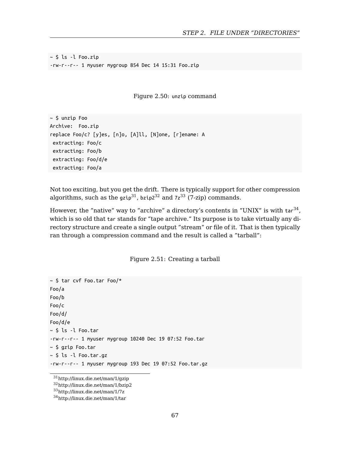~ \$ ls -l Foo.zip -rw-r--r-- 1 myuser mygroup 854 Dec 14 15:31 Foo.zip

[F](#page-66-0)igure [2.](#page-66-1)50: unz[ip](#page-66-2) command

~ \$ unzip Foo Archive: Foo.zip replace Foo/c? [y]es, [n]o, [A]ll, [N]one, [r]ename: A extracting: Foo/c extracting: Foo/b extracting: Foo/d/e extracting: Foo/a

Not too exciting, but you get the drift. There is typically support for other compression algorithms, such as the gzip $31$ , bzip2 $32$  and 7z $33$  (7-zip) commands.

However, the "native" way to "archive" a directory's contents in "UNIX" is with tar $^{34}$ , which is so old that tar stands for "tape archive." Its purpose is to take virtually any directory structure and create a single output "stream" or file of it. That is then typically ran through a compression command and the result is called a "tarball":

Figure 2.51: Creating a tarball

<span id="page-66-2"></span><span id="page-66-1"></span><span id="page-66-0"></span>~ [\\$ tar cvf Foo.tar Foo/\\*](http://linux.die.net/man/1/gzip) Fo[o/a](http://linux.die.net/man/1/7z) Fo[o/b](http://linux.die.net/man/1/tar) Foo/c Foo/d/ Foo/d/e ~ \$ ls -l Foo.tar -rw-r--r-- 1 myuser mygroup 10240 Dec 19 07:52 Foo.tar ~ \$ gzip Foo.tar ~ \$ ls -l Foo.tar.gz -rw-r--r-- 1 myuser mygroup 193 Dec 19 07:52 Foo.tar.gz

 $^{31}\mathrm{http://linux.die.net/man/1/gzip}$ 

<sup>32</sup>http://linux.die.net/man/1/bzip2

<sup>33</sup>http://linux.die.net/man/1/7z

<sup>34</sup>http://linux.die.net/man/1/tar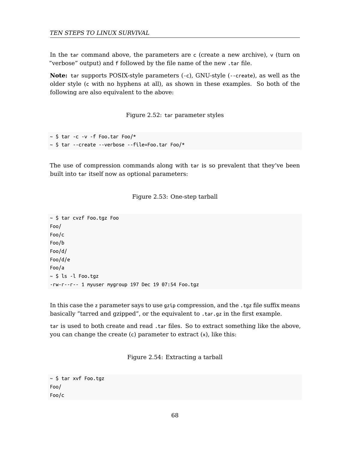In the tar command above, the parameters are c (create a new archive), v (turn on "verbose" output) and f followed by the file name of the new .tar file.

**Note:** tar supports POSIX-style parameters (-c), GNU-style (--create), as well as the older style (c with no hyphens at all), as shown in these examples. So both of the following are also equivalent to the above:

Figure 2.52: tar parameter styles

```
\sim $ tar -c -v -f Foo.tar Foo/*
~ $ tar --create --verbose --file=Foo.tar Foo/*
```
The use of compression commands along with tar is so prevalent that they've been built into tar itself now as optional parameters:



~ \$ tar cvzf Foo.tgz Foo Foo/ Foo/c Foo/b Foo/d/ Foo/d/e Foo/a ~ \$ ls -l Foo.tgz -rw-r--r-- 1 myuser mygroup 197 Dec 19 07:54 Foo.tgz

In this case the z parameter says to use gzip compression, and the .tgz file suffix means basically "tarred and gzipped", or the equivalent to .tar.gz in the first example.

tar is used to both create and read .tar files. So to extract something like the above, you can change the create (c) parameter to extract (x), like this:

Figure 2.54: Extracting a tarball

~ \$ tar xvf Foo.tgz Foo/ Foo/c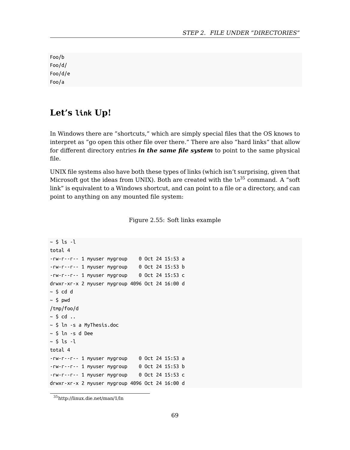Foo/b Foo/d/ Foo/d/e Foo/a

# **Let's link Up!**

In Windows there are "shortcuts," which are simply special files that the OS knows to interpret as "go open this other file over there." There are also "hard links" that allow for different directory entries *in the same file system* to point to the same physical file.

UNIX file systems also have both these types of links (which isn't surprising, given that Microsoft got the ideas from UNIX). Both are created with the  $\ln^{35}$  command. A "soft link" is equivalent to a Windows shortcut, and can point to a file or a directory, and can point to anything on any mounted file system:

Figure 2.55: Soft links example

```
~\sim $ ls -l
total 4
-rw-r--r-- 1 myuser mygroup 0 Oct 24 15:53 a
-rw-r--r-- 1 myuser mygroup 0 Oct 24 15:53 b
-rw-r--r-- 1 myuser mygroup 0 Oct 24 15:53 c
drwxr-xr-x 2 myuser mygroup 4096 Oct 24 16:00 d
~\sim $ cd d
~\sim $ pwd
/tmp/foo/d
~\sim $ cd ~\ldots~ $ ln -s a MyThesis.doc
~ $ ln -s d Dee
~\sim $ ls -l
total 4
-rw-r--r-- 1 myuser mygroup 0 Oct 24 15:53 a
-rw-r--r-- 1 myuser mygroup 0 Oct 24 15:53 b
-rw-r--r-- 1 myuser mygroup 0 Oct 24 15:53 c
drwxr-xr-x 2 myuser mygroup 4096 Oct 24 16:00 d
```
 $\rm ^{35}$ http://linux.die.net/man/1/ln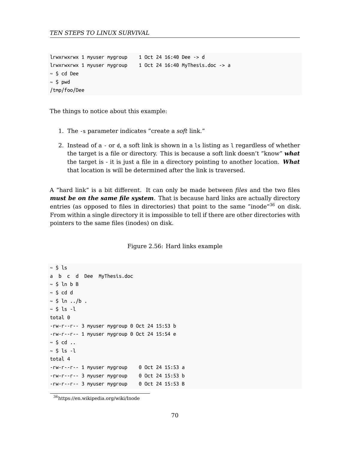```
lrwxrwxrwx 1 myuser mygroup 1 Oct 24 16:40 Dee -> d
lrwxrwxrwx 1 myuser mygroup 1 Oct 24 16:40 MyThesis.doc -> a
~ $ cd Dee
~\sim $ pwd
/tmp/foo/Dee
```
The things to notice about this example:

- 1. The -s parameter indicates "create a *soft* link."
- 2. Instead of a or d, a soft link is shown in a ls listing as l regardless of whether the target is a file or directory. This is because a soft link doesn't "know" *what* the target is - it is just a file in a directory pointing to another location. *What* that location is will be determined after the link is traversed.

A "hard link" is a bit different. It can only be made between *files* and the two files *must be on the same file system*. That is because hard links are actually directory entries (as opposed to files in directories) that point to the same "inode"<sup>36</sup> on disk. From within a single directory it is impossible to tell if there are other directories with pointers to the same files (inodes) on disk.

Figure 2.56: Hard links example

```
~ $ ls
a b c d Dee MyThesis.doc
~5 ln b B
~\sim $ cd d
~\sim $ ln ../b .
~\sim $ ls -l
total 0
-rw-r--r-- 3 myuser mygroup 0 Oct 24 15:53 b
-rw-r--r-- 1 myuser mygroup 0 Oct 24 15:54 e
~\sim $ cd ~\ldots~\sim $ ls -l
total 4
-rw-r--r-- 1 myuser mygroup 0 Oct 24 15:53 a
-rw-r--r-- 3 myuser mygroup 0 Oct 24 15:53 b
-rw-r--r-- 3 myuser mygroup 0 Oct 24 15:53 B
```
 $\rm{^{36}https://en.wikipedia.org/wiki/Inode}$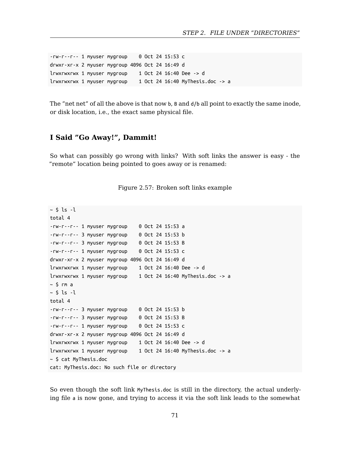-rw-r--r-- 1 myuser mygroup 0 Oct 24 15:53 c drwxr-xr-x 2 myuser mygroup 4096 Oct 24 16:49 d lrwxrwxrwx 1 myuser mygroup 1 Oct 24 16:40 Dee -> d lrwxrwxrwx 1 myuser mygroup 1 Oct 24 16:40 MyThesis.doc -> a

The "net net" of all the above is that now b, B and  $d/b$  all point to exactly the same inode, or disk location, i.e., the exact same physical file.

#### **I Said "Go Away!", Dammit!**

So what can possibly go wrong with links? With soft links the answer is easy - the "remote" location being pointed to goes away or is renamed:



```
~\sim $ ls -l
total 4
-rw-r--r-- 1 myuser mygroup 0 Oct 24 15:53 a
-rw-r--r-- 3 myuser mygroup 0 Oct 24 15:53 b
-rw-r--r-- 3 myuser mygroup 0 Oct 24 15:53 B
-rw-r--r-- 1 myuser mygroup 0 Oct 24 15:53 c
drwxr-xr-x 2 myuser mygroup 4096 Oct 24 16:49 d
lrwxrwxrwx 1 myuser mygroup 1 Oct 24 16:40 Dee -> d
lrwxrwxrwx 1 myuser mygroup 1 Oct 24 16:40 MyThesis.doc -> a
~\sim $ rm a
~5 ls ~1total 4
-rw-r--r-- 3 myuser mygroup 0 Oct 24 15:53 b
-rw-r--r-- 3 myuser mygroup 0 Oct 24 15:53 B
-rw-r--r-- 1 myuser mygroup 0 Oct 24 15:53 c
drwxr-xr-x 2 myuser mygroup 4096 Oct 24 16:49 d
lrwxrwxrwx 1 myuser mygroup 1 Oct 24 16:40 Dee -> d
lrwxrwxrwx 1 myuser mygroup 1 Oct 24 16:40 MyThesis.doc -> a
~ $ cat MyThesis.doc
cat: MyThesis.doc: No such file or directory
```
So even though the soft link MyThesis.doc is still in the directory, the actual underlying file a is now gone, and trying to access it via the soft link leads to the somewhat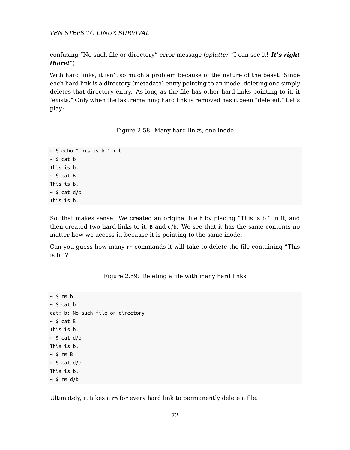confusing "No such file or directory" error message (*splutter* "I can see it! *It's right there!*")

With hard links, it isn't so much a problem because of the nature of the beast. Since each hard link is a directory (metadata) entry pointing to an inode, deleting one simply deletes that directory entry. As long as the file has other hard links pointing to it, it "exists." Only when the last remaining hard link is removed has it been "deleted." Let's play:

Figure 2.58: Many hard links, one inode

```
~\sim $ echo "This is b." > b
~5 cat ~bThis is b.
~\sim $ cat B
This is b.
~\sim $ cat d/b
This is b.
```
So, that makes sense. We created an original file b by placing "This is b." in it, and then created two hard links to it, B and d/b. We see that it has the same contents no matter how we access it, because it is pointing to the same inode.

Can you guess how many rm commands it will take to delete the file containing "This is b."?

Figure 2.59: Deleting a file with many hard links

```
~\sim $ rm ~\rm b~\sim $ cat b
cat: b: No such file or directory
~\sim $ cat B
This is b.
~\sim $ cat d/b
This is b.
~\sim 5 rm B
~\sim $ cat d/b
This is b.
~\sim $ rm d/b
```
Ultimately, it takes a rm for every hard link to permanently delete a file.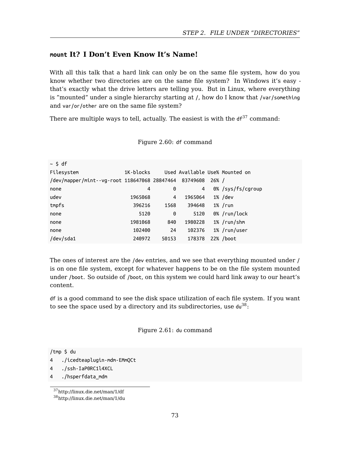#### *STEP 2. FILE UNDER "DIRECTORIES"*

### **mount It? I Don't Even Know It's Name!**

With all this talk that a hard link can only be on the same file system, how do you know whether two directories are on the same file system? In Windows it's easy that's exactly what the drive letters are telling you. But in Linux, where everything is "mounted" under a single hierarchy starting at /, how do I know that /var/something and var/or/other are on the same file system?

There are multiple ways to tell, actually. The easiest is with the  $\texttt{df}^{\text{37}}$  command:

#### Figure 2.60: df command

| $~\sim$ \$ df                                         |                |       |         |       |                                |
|-------------------------------------------------------|----------------|-------|---------|-------|--------------------------------|
| Filesystem                                            | $1K$ -blocks   |       |         |       | Used Available Use% Mounted on |
| /dev/mapper/mint--vg-root 118647068 28847464 83749608 |                |       |         | 26% / |                                |
| none                                                  | $\overline{4}$ | 0     | 4       |       | 0% /sys/fs/cgroup              |
| udev                                                  | 1965068        | 4     | 1965064 |       | $1\%$ /dev                     |
| tmpfs                                                 | 396216         | 1568  | 394648  |       | $1\%$ /run                     |
| none                                                  | 5120           | 0     | 5120    |       | 0% /run/lock                   |
| none                                                  | 1981068        | 840   | 1980228 |       | 1% /run/shm                    |
| none                                                  | 102400         | 24    | 102376  |       | 1% /run/user                   |
| /dev/sda1                                             | 240972         | 50153 | 178378  |       | 22% /boot                      |

The ones of interest are the /dev entries, and we see that everything mounted under / is on one file system, except for whatever happens to be on the file system mounted under /boot. So outside of /boot, on this system we could hard link away to our heart's content.

df [is a good command to s](http://linux.die.net/man/1/du)ee the disk space utilization of each file system. If you want to see the space used by a directory and its subdirectories, use  $du^{38}$ :

Figure 2.61: du command

/tmp \$ du

- 4 ./icedteaplugin-mdm-EMmQCt
- 4 ./ssh-IaP0RC1l4XCL
- 4 ./hsperfdata mdm

<sup>37</sup>http://linux.die.net/man/1/df

<sup>38</sup>http://linux.die.net/man/1/du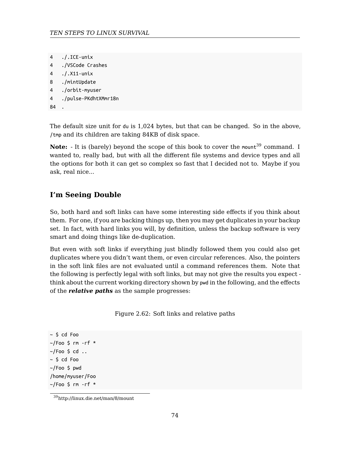```
TEN STEPS TO LINUX SURVIVAL
```

```
4 ./.ICE-unix
```
- 4 ./VSCode Crashes
- 4 ./.X11-unix
- 8 ./mintUpdate
- 4 ./orbit-myuser

```
4 ./pulse-PKdhtXMmr18n
```
84

The default size unit for du is 1,024 bytes, but that can be changed. So in the above, /tmp and its children are taking 84KB of disk space.

Note: - It is (barely) beyond the scope of this book to cover the mount<sup>39</sup> command. I wanted to, really bad, but with all the different file systems and device types and all the options for both it can get so complex so fast that I decided not to. Maybe if you ask, real nice...

### **I'm Seeing Double**

So, both hard and soft links can have some interesting side effects if you think about them. For one, if you are backing things up, then you may get duplicates in your backup set. In fact, with hard links you will, by definition, unless the backup software is very smart and doing things like de-duplication.

But even with soft links if everything just blindly followed them you could also get duplicates where you didn't want them, or even circular references. Also, the pointers in the soft link files are not evaluated until a command references them. Note that the following is perfectly legal with soft links, but may not give the results you expect think about the current working directory shown by pwd in the following, and the effects of the *relative paths* as the sample progresses:

Figure 2.62: Soft links and relative paths

```
~ $ cd Foo
~/Foo $ rm -rf *
\sim/Foo $ cd \ldots~ $ cd Foo
~/Foo $ pwd
/home/myuser/Foo
~/Foo $ rm -rf *
```
<sup>39</sup>http://linux.die.net/man/8/mount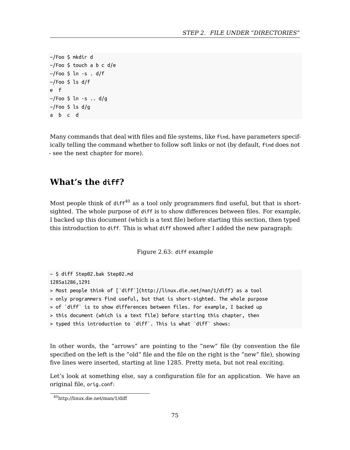*STEP 2. FILE UNDER "DIRECTORIES"*

```
~/Foo $ mkdir d
~/Foo $ touch a b c d/e
~/Foo $ ln -s . d/f
\sim/Foo $ ls d/f
e f
~/Foo $ ln -s .. d/g
~/Foo $ ls d/g
a b c d
```
Many commands that deal with files and file systems, like find, have parameters specifically telling the command whether to follow soft links or not (by default, find does not - see the next chapter for more).

### **What's the diff?**

Most people think of  $diff^{40}$  as a tool only programmers find useful, but that is shortsighted. The whole purpose of diff is to show differences between files. For example, I backed up this document (which is a text file) before starting this section, then typed this introduction to diff. This is what diff showed after I added the new paragraph:

Figure 2.63: diff example

~ \$ diff Step02.bak Step02.md 1285a1286,1291 > Most people think of [`diff`](http://linux.die.net/man/1/diff) as a tool > [only programmers find use](http://linux.die.net/man/1/diff)ful, but that is short-sighted. The whole purpose > of `diff` is to show differences between files. For example, I backed up > this document (which is a text file) before starting this chapter, then > typed this introduction to `diff`. This is what `diff` shows:

In other words, the "arrows" are pointing to the "new" file (by convention the file specified on the left is the "old" file and the file on the right is the "new" file), showing five lines were inserted, starting at line 1285. Pretty meta, but not real exciting.

Let's look at something else, say a configuration file for an application. We have an original file, orig.conf:

<sup>40</sup>http://linux.die.net/man/1/diff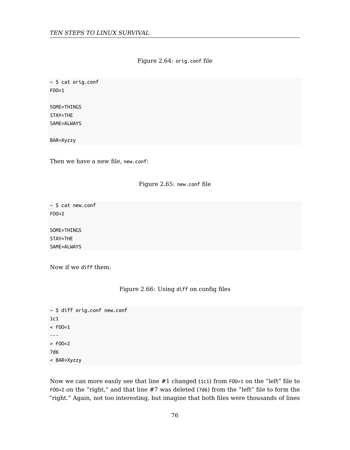#### Figure 2.64: orig.conf file

~ \$ cat orig.conf FOO=1

SOME=THINGS STAY=THE SAME=ALWAYS

BAR=Xyzzy

Then we have a new file, new.conf:

#### Figure 2.65: new.conf file

~ \$ cat new.conf  $FOO=2$ 

SOME=THINGS STAY=THE SAME=ALWAYS

Now if we diff them:

#### Figure 2.66: Using diff on config files

```
~ $ diff orig.conf new.conf
1c1< FOO=1
---
> FOO=2
7d6
< BAR=Xyzzy
```
Now we can more easily see that line #1 changed (1c1) from F00=1 on the "left" file to FOO=2 on the "right," and that line #7 was deleted (7d6) from the "left" file to form the "right." Again, not too interesting, but imagine that both files were thousands of lines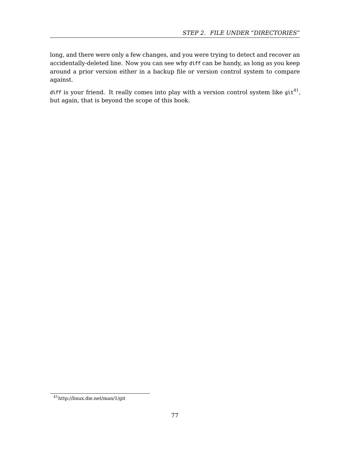#### *STEP 2. FILE UNDER "DIRECTORIES"*

long, and there were only a few changes, and you were trying to detect and recover an accidentally-deleted line. Now you can see why diff can be handy, as long as you keep around a prior version either in a backup file or version control system to compare against.

diff is your friend. It really comes into play with a version control system like git $^{41}$ , but again, that is beyond the scope of this book.

<sup>41</sup>http://linux.die.net/man/1/git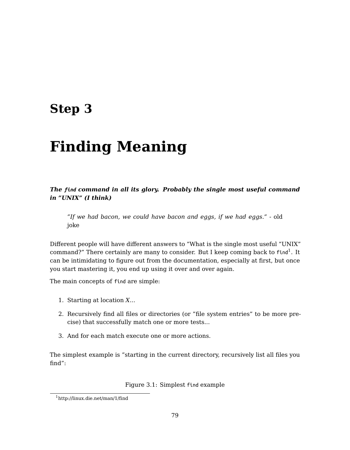# **Step 3**

# **Finding Meaning**

*The find command in all its glory. Probably the single most useful command in "UNIX" (I think)*

*"If we had bacon, we could have bacon and eggs, if we had eggs."* - old joke

Different people will have different answers to "What is the single most useful "UNIX" command?" There certainly are many to consider. But I keep coming back to <code>find $^1$ . It</code> can be intimidating to figure out from the documentation, especially at first, but once you start mastering it, you end up using it over and over again.

The main concepts of find are simple:

- 1. [Starting at location](http://linux.die.net/man/1/find) *X*...
- 2. Recursively find all files or directories (or "file system entries" to be more precise) that successfully match one or more tests...
- 3. And for each match execute one or more actions.

The simplest example is "starting in the current directory, recursively list all files you find":

Figure 3.1: Simplest find example

<sup>1</sup>http://linux.die.net/man/1/find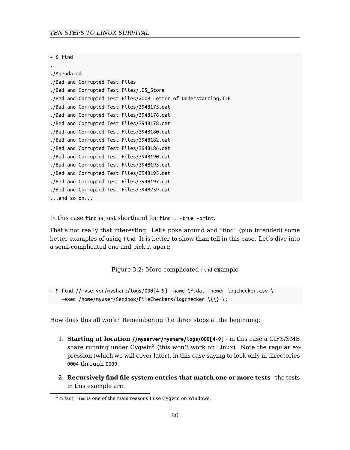#### *TEN STEPS TO LINUX SURVIVAL*

| S. | find |
|----|------|
|    |      |

```
./Agenda.md
./Bad and Corrupted Test Files
./Bad and Corrupted Test Files/.DS_Store
./Bad and Corrupted Test Files/2008 Letter of Understanding.TIF
./Bad and Corrupted Test Files/3948175.dat
./Bad and Corrupted Test Files/3948176.dat
./Bad and Corrupted Test Files/3948178.dat
./Bad and Corrupted Test Files/3948180.dat
./Bad and Corrupted Test Files/3948182.dat
./Bad and Corrupted Test Files/3948186.dat
./Bad and Corrupted Test Files/3948190.dat
./Bad and Corrupted Test Files/3948193.dat
./Bad and Corrupted Test Files/3948195.dat
./Bad and Corrupted Test Files/3948197.dat
./Bad and Corrupted Test Files/3948259.dat
...and so on...
```
In this case find is just shorthand for find . -true -print.

That's not really that interesting. Let's poke around and "find" (pun intended) some better examples of using find. It is better to show than tell in this case. Let's dive into a semi-complicated one and pick it [a](#page-79-0)part:

Figure 3.2: More complicated find example

<span id="page-79-0"></span> $\sim$  \$ find //myserver/myshare/logs/000[4-9] -name \\*.dat -newer logchecker.csv \ -exec /home/myuser/Sandbox/FileCheckers/logchecker \{\} \;

How does this all work? Remembering the three steps at the beginning:

- 1. **Starting at location //myserver/myshare/logs/000[4-9]** in this case a CIFS/SMB share running under Cygwin $^2$  (this won't work on Linux). Note the regular expression (which we will cover later), in this case saying to look only in directories 0004 through 0009.
- 2. **Recursively find file system entries that match one or more tests** the tests in this example are:

 ${}^{2}$ In fact, find is one of the main reasons I use Cygwin on Windows.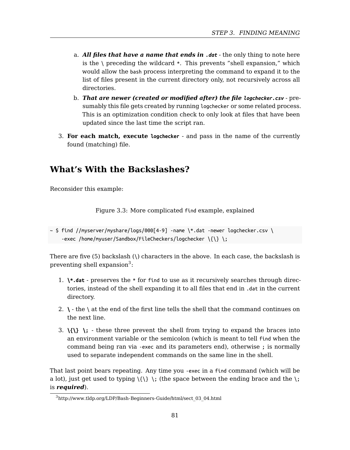*STEP 3. FINDING MEANING*

- a. *All files that have a name that ends in .dat* the only thing to note here is the  $\Box$  preceding the wildcard  $*$ . This prevents "shell expansion," which would allow the bash process interpreting the command to expand it to the list of files present in the current directory only, not recursively across all directories.
- b. *That are newer (created or modified after) the file logchecker.csv* presumably this file gets created by running logchecker or some related process. This is an optimization condition check to only look at files that have been updated since the last time the script ran.
- 3. **For each match, execute logchecker** and pass in the name of the currently found (matching) file.

### **What's With the Backslashes?**

Reconsider this example:

Figure 3.3: More complicated find example, explained

```
\sim $ find //myserver/myshare/logs/000[4-9] -name \*.dat -newer logchecker.csv \
    -exec /home/myuser/Sandbox/FileCheckers/logchecker \{\} \;
```
There are five (5) backslash (\) characters in the above. In each case, the backslash is preventing shell expansion $3$ :

- 1. **\\*.dat** preserves the \* for find to use as it recursively searches through directories, instead of the shell expanding it to all files that end in .dat in the current [directory.](http://www.tldp.org/LDP/Bash-Beginners-Guide/html/sect_03_04.html)
- 2. **\** the \ at the end of the first line tells the shell that the command continues on the next line.
- 3.  $\{\{\}\}$  : these three prevent the shell from trying to expand the braces into an environment variable or the semicolon (which is meant to tell find when the command being ran via -exec and its parameters end), otherwise ; is normally used to separate independent commands on the same line in the shell.

That last point bears repeating. Any time you -exec in a find command (which will be a lot), just get used to typing  $\{\{\}\ \}$  (the space between the ending brace and the  $\}$ ; is *required*).

<sup>3</sup>http://www.tldp.org/LDP/Bash-Beginners-Guide/html/sect\_03\_04.html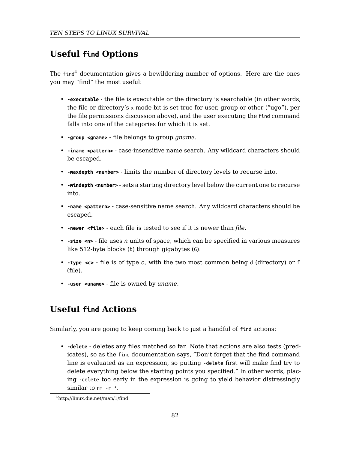#### *TEN STEPS TO LINUX SURVIVAL*

### **Useful find Options**

The  $find<sup>4</sup> documentation gives a bewildering number of options. Here are the ones$ you may "find" the most useful:

- **-executable** the file is executable or the directory is searchable (in other words, the file or directory's x mode bit is set true for user, group or other ("ugo"), per the file permissions discussion above), and the user executing the find command falls into one of the categories for which it is set.
- **-group <gname>** file belongs to group *gname*.
- **-iname <pattern>** case-insensitive name search. Any wildcard characters should be escaped.
- **-maxdepth <number>** limits the number of directory levels to recurse into.
- **-mindepth <number>** sets a starting directory level below the current one to recurse into.
- **-name <pattern>** case-sensitive name search. Any wildcard characters should be escaped.
- **-newer <file>** each file is tested to see if it is newer than *file*.
- **-size <n>** file uses *n* units of space, which can be specified in various measures like 512-byte blocks (b) through gigabytes (G).
- **-type <c>** file is of type *c*, with the two most common being d (directory) or f (file).
- **-user <uname>** file is owned by *uname*.

### **Useful find Actions**

Similarly, you are going to keep coming back to just a handful of find actions:

• **-delete** - deletes any files matched so far. Note that actions are also tests (predicates), so as the find documentation says, "Don't forget that the find command line is evaluated as an expression, so putting -delete first will make find try to delete everything below the starting points you specified." In other words, placing -delete too early in the expression is going to yield behavior distressingly similar to rm -r \*.

<sup>4</sup>http://linux.die.net/man/1/find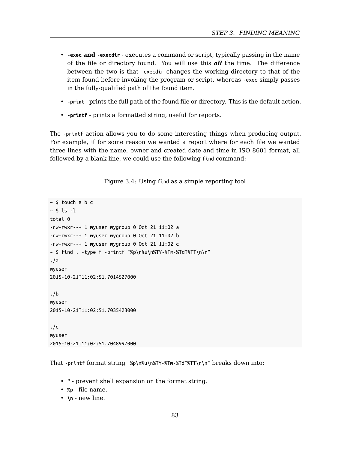- **-exec and -execdir** executes a command or script, typically passing in the name of the file or directory found. You will use this *all* the time. The difference between the two is that -execdir changes the working directory to that of the item found before invoking the program or script, whereas -exec simply passes in the fully-qualified path of the found item.
- **-print** prints the full path of the found file or directory. This is the default action.
- **-printf** prints a formatted string, useful for reports.

The -printf action allows you to do some interesting things when producing output. For example, if for some reason we wanted a report where for each file we wanted three lines with the name, owner and created date and time in ISO 8601 format, all followed by a blank line, we could use the following find command:

Figure 3.4: Using find as a simple reporting tool

```
~\sim $ touch a b c
~5 ls ~1total 0
-rw-rwxr--+ 1 myuser mygroup 0 Oct 21 11:02 a
-rw-rwxr--+ 1 myuser mygroup 0 Oct 21 11:02 b
-rw-rwxr--+ 1 myuser mygroup 0 Oct 21 11:02 c
~ $ find . -type f -printf "%p\n%u\n%TY-%Tm-%TdT%TT\n\n"
./a
myuser
2015-10-21T11:02:51.7014527000
./b
myuser
2015-10-21T11:02:51.7035423000
./c
myuser
2015-10-21T11:02:51.7048997000
```
That -printf format string "%p\n%u\n%TY-%Tm-%TdT%TT\n\n" breaks down into:

- **"** prevent shell expansion on the format string.
- **%p** file name.
- **\n** new line.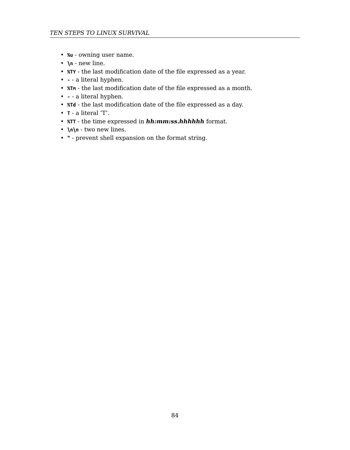- **%u** owning user name.
- **\n** new line.
- **%TY** the last modification date of the file expressed as a year.
- **-** a literal hyphen.
- **%Tm** the last modification date of the file expressed as a month.
- **-** a literal hyphen.
- **%Td** the last modification date of the file expressed as a day.
- **T** a literal 'T'.
- **%TT** the time expressed in *hh:mm:ss.hhhhhh* format.
- **\n\n** two new lines.
- **"** prevent shell expansion on the format string.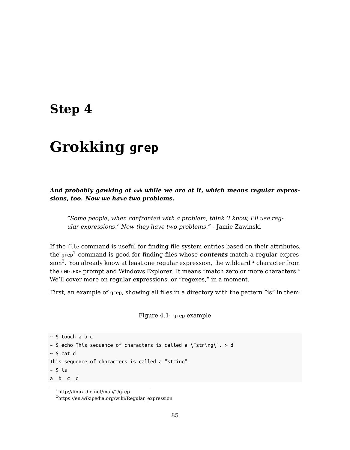## **Step 4**

# **Gr[o](#page-84-0)kking grep**

*And probably gawking at awk while we are at it, which means regular expressions, too. Now we have two problems.*

*"Some people, when confronted with a problem, think 'I know, I'll use regular expressions.' Now they have two problems."* - Jamie Zawinski

If the file command is useful for finding file system entries based on their attributes, the grep<sup>1</sup> command is good for finding files whose  $\boldsymbol{contents}$  match a regular expres- $\sin^2$ . You already know at least one regular expression, the wildcard \* character from the CMD.EXE prompt and Windows Explorer. It means "match zero or more characters." We'll cover more on regular expressions, or "regexes," in a moment.

<span id="page-84-0"></span>Fi[rst, an example of](http://linux.die.net/man/1/grep) grep, showing all files in a directory with the pattern "is" in them:

Figure 4.1: grep example

```
~\sim $ touch a b c
\sim $ echo This sequence of characters is called a \"string\". > d
~\sim $ cat d
This sequence of characters is called a "string".
~\sim $ ls
a b c d
```
<sup>1</sup>http://linux.die.net/man/1/grep

 $^2$ https://en.wikipedia.org/wiki/Regular\_expression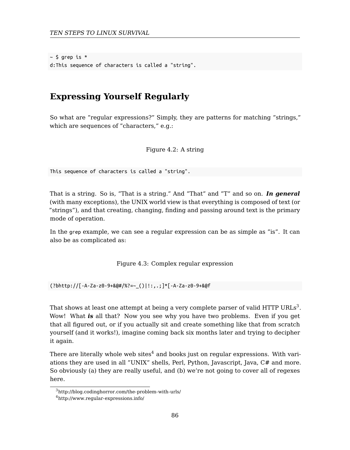*TEN STEPS TO LINUX SURVIVAL*

 $~\sim$  \$ grep is  $~^*$ d:This sequence of characters is called a "string".

### **Expressing Yourself Regularly**

So what are "regular expressions?" Simply, they are patterns for matching "strings," which are sequences of "characters," e.g.:

Figure 4.2: A string

This sequence of characters is called a "string".

That is a string. So is, "That is a string." And "That" and "T" and so on. *In general* (with many exceptions), the UNIX world view is that everything is composed of text ([or](#page-85-0) "strings"), and that creating, changing, finding and passing around text is the primary mode of operation.

In the grep example, we can see a regular expression can be as simple as "is". It can also be as complicated as:

Figure 4.3: Complex regular expression

<span id="page-85-0"></span>(?bhttp://[-A-Za-z0-9+&@#/%?=~\_()|!:,.;]\*[-A-Za-z0-9+&@f

That shows at least one attempt at being a very complete parser of valid HTTP URLs $^3.$ Wow! What *is* all that? Now you see why you have two problems. Even if you get that all figured out, or if you actually sit and create something like that from scratch yourself (and it works!), imagine coming back six months later and trying to decipher it again.

There are literally whole web sites $4$  and books just on regular expressions. With variations they are used in all "UNIX" shells, Perl, Python, Javascript, Java, C# and more. So obviously (a) they are really useful, and (b) we're not going to cover all of regexes here.

<sup>3</sup>http://blog.codinghorror.com/the-problem-with-urls/

<sup>4</sup>http://www.regular-expressions.info/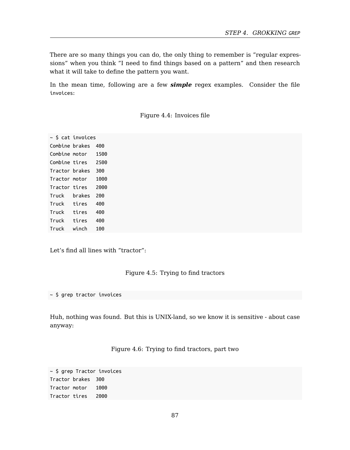There are so many things you can do, the only thing to remember is "regular expressions" when you think "I need to find things based on a pattern" and then research what it will take to define the pattern you want.

In the mean time, following are a few *simple* regex examples. Consider the file invoices:

Figure 4.4: Invoices file

~ \$ cat invoices Combine brakes 400 Combine motor 1500 Combine tires 2500 Tractor brakes 300 Tractor motor 1000 Tractor tires 2000 Truck brakes 200 Truck tires 400 Truck tires 400 Truck tires 400 Truck winch 100

Let's find all lines with "tractor":

#### Figure 4.5: Trying to find tractors

~ \$ grep tractor invoices

Huh, nothing was found. But this is UNIX-land, so we know it is sensitive - about case anyway:

Figure 4.6: Trying to find tractors, part two

~ \$ grep Tractor invoices Tractor brakes 300 Tractor motor 1000 Tractor tires 2000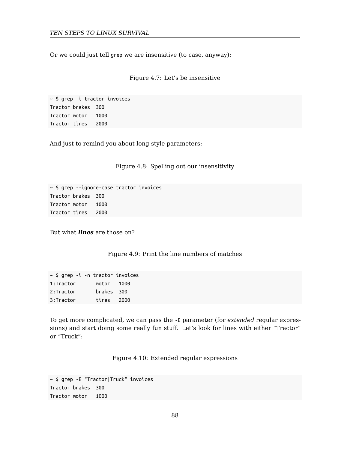Or we could just tell grep we are insensitive (to case, anyway):

#### Figure 4.7: Let's be insensitive

~ \$ grep -i tractor invoices Tractor brakes 300 Tractor motor 1000 Tractor tires 2000

And just to remind you about long-style parameters:

Figure 4.8: Spelling out our insensitivity

~ \$ grep --ignore-case tractor invoices Tractor brakes 300 Tractor motor 1000 Tractor tires 2000

But what *lines* are those on?

Figure 4.9: Print the line numbers of matches

| $\sim$ \$ grep -i -n tractor invoices |            |  |
|---------------------------------------|------------|--|
| 1:Tractor                             | motor 1000 |  |
| 2:Tractor                             | brakes 300 |  |
| 3:Tractor                             | tires 2000 |  |

To get more complicated, we can pass the -E parameter (for *extended* regular expressions) and start doing some really fun stuff. Let's look for lines with either "Tractor" or "Truck":

Figure 4.10: Extended regular expressions

~ \$ grep -E "Tractor|Truck" invoices Tractor brakes 300 Tractor motor 1000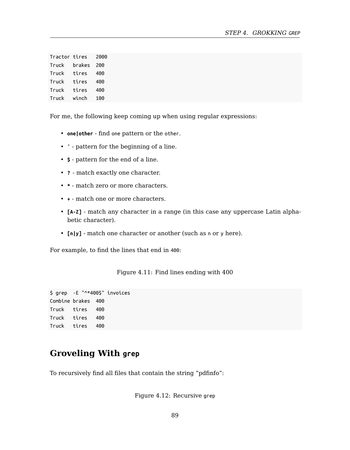| Tractor tires |        | 2000 |
|---------------|--------|------|
| Truck         | brakes | 200  |
| Truck         | tires  | 400  |
| Truck         | tires  | 400  |
| Truck         | tires  | 400  |
| Truck         | winch  | 100  |

For me, the following keep coming up when using regular expressions:

- **one|other** find one pattern or the other.
- **ˆ** pattern for the beginning of a line.
- **\$** pattern for the end of a line.
- **?** match exactly one character.
- **\*** match zero or more characters.
- **+** match one or more characters.
- **[A-Z]** match any character in a range (in this case any uppercase Latin alphabetic character).
- **[n|y]** match one character or another (such as n or y here).

For example, to find the lines that end in 400:

Figure 4.11: Find lines ending with 400

\$ grep -E "^\*400\$" invoices Combine brakes 400 Truck tires 400 Truck tires 400 Truck tires 400

### **Groveling With grep**

To recursively find all files that contain the string "pdfinfo":

Figure 4.12: Recursive grep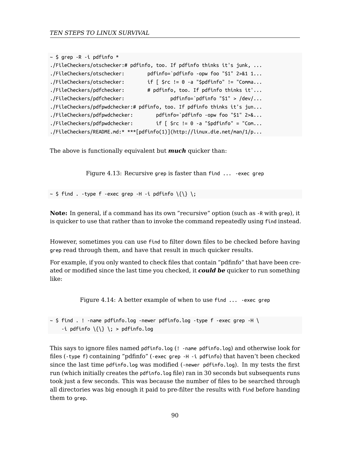```
~\sim $ grep -R -i pdfinfo *./FileCheckers/otschecker:# pdfinfo, too. If pdfinfo thinks it's junk, ...
./FileCheckers/otschecker: pdfinfo=`pdfinfo -opw foo "$1" 2>&1 1...
./FileCheckers/otschecker: if [ $rc != 0 -a "$pdfinfo" != "Comma...
./FileCheckers/pdfchecker: # pdfinfo, too. If pdfinfo thinks it'...
./FileCheckers/pdfchecker: pdfinfo=`pdfinfo "$1" > /dev/...
./FileCheckers/pdfpwdchecker:# pdfinfo, too. If pdfinfo thinks it's jun...
./FileCheckers/pdfpwdchecker: pdfinfo=`pdfinfo -opw foo "$1" 2>&...
./FileCheckers/pdfpwdchecker: if [ $rc != 0 -a "$pdfinfo" = "Com...
./FileCheckers/README.md:* ***[pdfinfo(1)](http://linux.die.net/man/1/p...
```
The above is functionally equivalent but *much* quicker than:

Figure 4.13: Recursive grep is faster than find ... -exec grep

 $\sim$  \$ find . -type f -exec grep -H -i pdfinfo  $\{\{\}\ \}$ 

**Note:** In general, if a command has its own "recursive" option (such as -R with grep), it is quicker to use that rather than to invoke the command repeatedly using find instead.

However, sometimes you can use find to filter down files to be checked before having grep read through them, and have that result in much quicker results.

For example, if you only wanted to check files that contain "pdfinfo" that have been created or modified since the last time you checked, it *could be* quicker to run something like:

Figure 4.14: A better example of when to use find ... -exec grep

 $\sim$  \$ find . ! -name pdfinfo.log -newer pdfinfo.log -type f -exec grep -H \ -i pdfinfo  $\{\{\}\ \$ ; > pdfinfo.log

This says to ignore files named pdfinfo.log (! -name pdfinfo.log) and otherwise look for files (-type f) containing "pdfinfo" (-exec grep -H -i pdfinfo) that haven't been checked since the last time pdfinfo.log was modified (-newer pdfinfo.log). In my tests the first run (which initially creates the pdfinfo.log file) ran in 30 seconds but subsequents runs took just a few seconds. This was because the number of files to be searched through all directories was big enough it paid to pre-filter the results with find before handing them to grep.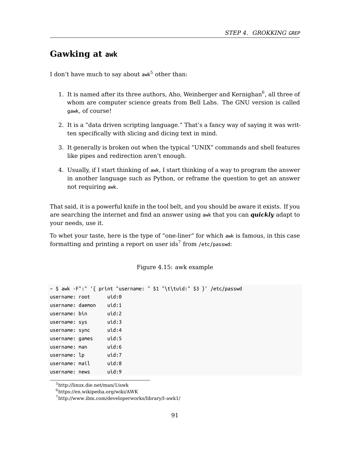#### *STEP 4. GROKKING GREP*

### **Gawking at awk**

I don't have much to say about  $\mathsf{awk}^5$  other than:

- 1. It is named after its three authors, Aho, Weinberger and Kernighan $^6$ , all three of whom are computer science greats from Bell Labs. The GNU version is called gawk, of course!
- 2. It is a "data driven scripting language." That's a fancy way of saying it was written specifically with slicing and dicing text in mind.
- 3. It generally is broken out when the typical "UNIX" commands and shell features like pipes and redirection aren't enough.
- 4. Usually, if I start thinking of awk, I start thinking of a way to program the answer in another language such as Python, or reframe the question to get an answer not requiring awk.

That said, it is a powerful knife in the tool belt, and you should be aware it exists. If you are searching the internet and find an answer using awk that you can *quickly* adapt to your needs, use it.

To whet your taste, here is the type of "one-liner" for which awk is famous, in this case formatting and printing a report on user ids $^7$  from /etc/passwd:

#### Figure 4.15: awk example

|                  | ~ \$ awk -F":" '{ print "username: " \$1 "\t\tuid:" \$3 }' /etc/passwd |  |  |
|------------------|------------------------------------------------------------------------|--|--|
| username: root   | uid:0                                                                  |  |  |
| username: daemon | uid:1                                                                  |  |  |
| username: bin    | uid:2                                                                  |  |  |
| username: sys    | uid:3                                                                  |  |  |
| username: sync   | uid:4                                                                  |  |  |
| username: games  | uid:5                                                                  |  |  |
| username: man    | uid:6                                                                  |  |  |
| username: lp     | uid:7                                                                  |  |  |
| username: mail   | uid:8                                                                  |  |  |
| username: news   | uid:9                                                                  |  |  |
|                  |                                                                        |  |  |

 ${\rm ^5}$ http://linux.die.net/man/1/awk

 $6$ https://en.wikipedia.org/wiki/AWK

 $^7$ http://www.ibm.com/developerworks/library/l-awk1/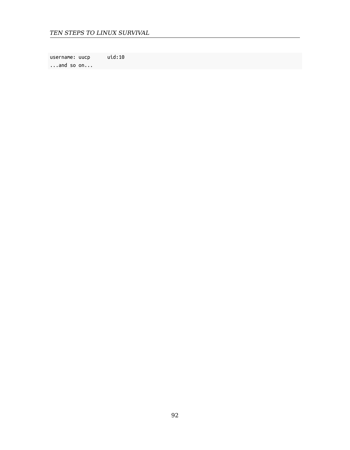username: uucp uid:10 ...and so on...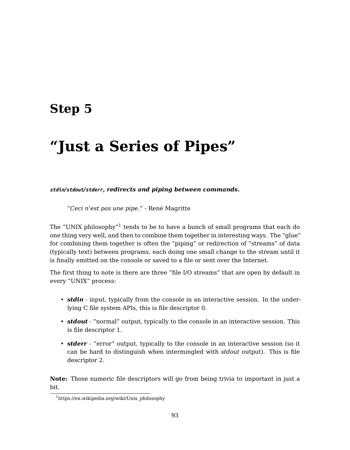## **Step 5**

# **"Just a Series of Pipes"**

*stdin/stdout/stderr, redirects and piping between commands.*

*"Ceci n'est pas une pipe."* - René Magritte

The "UNIX philosophy" $1$  tends to be to have a bunch of small programs that each do one thing very well, and then to combine them together in interesting ways. The "glue" for combining them together is often the "piping" or redirection of "streams" of data (typically text) between programs, each doing one small change to the stream until it is finally emitted on the console or saved to a file or sent over the Internet.

The first thing to note is there are three "file I/O streams" that are open by default in every "UNIX" process:

- *stdin*  [input, typically from the c](https://en.wikipedia.org/wiki/Unix_philosophy)onsole in an interactive session. In the underlying C file system APIs, this is file descriptor 0.
- *stdout* "normal" output, typically to the console in an interactive session. This is file descriptor 1.
- *stderr* "error" output, typically to the console in an interactive session (so it can be hard to distinguish when intermingled with *stdout* output). This is file descriptor 2.

**Note:** Those numeric file descriptors will go from being trivia to important in just a bit.

<sup>1</sup>https://en.wikipedia.org/wiki/Unix\_philosophy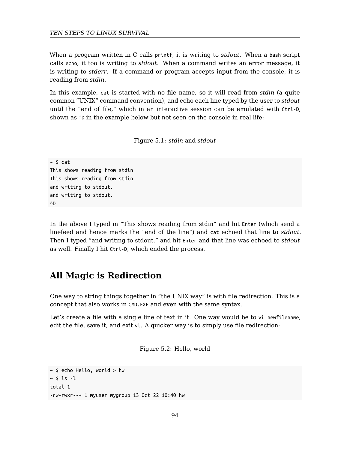#### *TEN STEPS TO LINUX SURVIVAL*

When a program written in C calls printf, it is writing to *stdout*. When a bash script calls echo, it too is writing to *stdout*. When a command writes an error message, it is writing to *stderr*. If a command or program accepts input from the console, it is reading from *stdin*.

In this example, cat is started with no file name, so it will read from *stdin* (a quite common "UNIX" command convention), and echo each line typed by the user to *stdout* until the "end of file," which in an interactive session can be emulated with Ctrl-D, shown as  $\hat{p}$  in the example below but not seen on the console in real life:

Figure 5.1: *stdin* and *stdout*

```
~\sim $ cat
This shows reading from stdin
This shows reading from stdin
and writing to stdout.
and writing to stdout.
^D
```
In the above I typed in "This shows reading from stdin" and hit Enter (which send a linefeed and hence marks the "end of the line") and cat echoed that line to *stdout*. Then I typed "and writing to stdout." and hit Enter and that line was echoed to *stdout* as well. Finally I hit Ctrl-D, which ended the process.

### **All Magic is Redirection**

One way to string things together in "the UNIX way" is with file redirection. This is a concept that also works in CMD.EXE and even with the same syntax.

Let's create a file with a single line of text in it. One way would be to vi newfilename, edit the file, save it, and exit vi. A quicker way is to simply use file redirection:

Figure 5.2: Hello, world

```
~\sim $ echo Hello, world > hw
~5 ls -1total 1
-rw-rwxr--+ 1 myuser mygroup 13 Oct 22 10:40 hw
```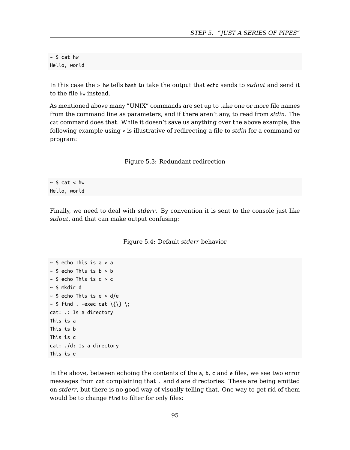$~\sim$  \$ cat hw Hello, world

In this case the > hw tells bash to take the output that echo sends to *stdout* and send it to the file hw instead.

As mentioned above many "UNIX" commands are set up to take one or more file names from the command line as parameters, and if there aren't any, to read from *stdin*. The cat command does that. While it doesn't save us anything over the above example, the following example using < is illustrative of redirecting a file to *stdin* for a command or program:

Figure 5.3: Redundant redirection

 $~5$  cat < hw Hello, world

Finally, we need to deal with *stderr*. By convention it is sent to the console just like *stdout*, and that can make output confusing:

#### Figure 5.4: Default *stderr* behavior

```
~\sim $ echo This is a > a
~\sim $ echo This is b > b~\sim $ echo This is c > c
~ $ mkdir d
~\sim $ echo This is e > d/e
\sim $ find . -exec cat \{\{\}\} \;
cat: .: Is a directory
This is a
This is b
This is c
cat: ./d: Is a directory
This is e
```
In the above, between echoing the contents of the a, b, c and e files, we see two error messages from cat complaining that . and d are directories. These are being emitted on *stderr*, but there is no good way of visually telling that. One way to get rid of them would be to change find to filter for only files: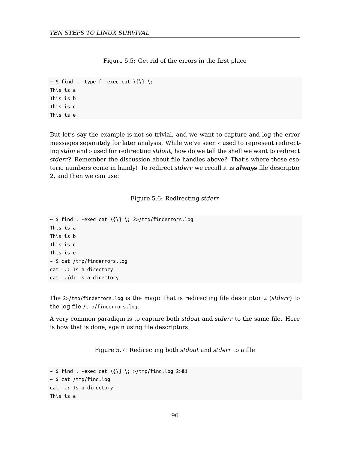Figure 5.5: Get rid of the errors in the first place

```
\sim $ find . -type f -exec cat \{\{\}\};
This is a
This is b
This is c
This is e
```
But let's say the example is not so trivial, and we want to capture and log the error messages separately for later analysis. While we've seen < used to represent redirecting *stdin* and > used for redirecting *stdout*, how do we tell the shell we want to redirect *stderr*? Remember the discussion about file handles above? That's where those esoteric numbers come in handy! To redirect *stderr* we recall it is *always* file descriptor 2, and then we can use:

Figure 5.6: Redirecting *stderr*

```
\sim $ find . -exec cat \{\} \; 2>/tmp/finderrors.log
This is a
This is b
This is c
This is e
~ $ cat /tmp/finderrors.log
cat: .: Is a directory
cat: ./d: Is a directory
```
The 2>/tmp/finderrors.log is the magic that is redirecting file descriptor 2 (*stderr*) to the log file /tmp/finderrors.log.

A very common paradigm is to capture both *stdout* and *stderr* to the same file. Here is how that is done, again using file descriptors:

Figure 5.7: Redirecting both *stdout* and *stderr* to a file

```
\sim $ find . -exec cat \{\{\}\} ; >/tmp/find.log 2>&1
~\sim $ cat /tmp/find.log
cat: .: Is a directory
This is a
```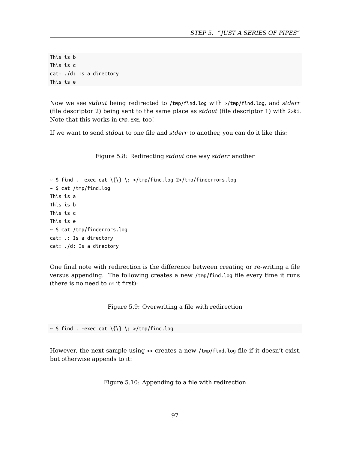This is b This is c cat: ./d: Is a directory This is e

Now we see *stdout* being redirected to /tmp/find.log with >/tmp/find.log, and *stderr* (file descriptor 2) being sent to the same place as *stdout* (file descriptor 1) with 2>&1. Note that this works in CMD.EXE, too!

If we want to send *stdout* to one file and *stderr* to another, you can do it like this:

Figure 5.8: Redirecting *stdout* one way *stderr* another

```
\sim $ find . -exec cat \{\{\}\ \ : >/tmp/find.log 2>/tmp/finderrors.log
~\sim $ cat /tmp/find.log
This is a
This is b
This is c
This is e
~ $ cat /tmp/finderrors.log
cat: .: Is a directory
cat: ./d: Is a directory
```
One final note with redirection is the difference between creating or re-writing a file versus appending. The following creates a new /tmp/find.log file every time it runs (there is no need to rm it first):

Figure 5.9: Overwriting a file with redirection

 $\sim$  \$ find . -exec cat  $\{\{\}\}$  : >/tmp/find.log

However, the next sample using >> creates a new /tmp/find.log file if it doesn't exist, but otherwise appends to it:

Figure 5.10: Appending to a file with redirection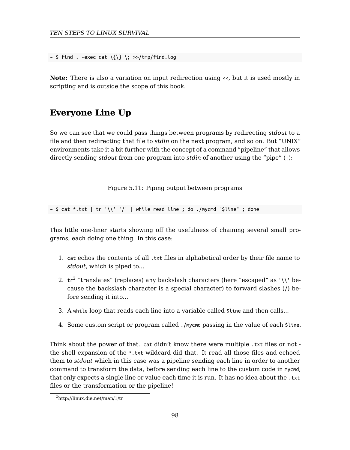*TEN STEPS TO LINUX SURVIVAL*

 $\sim$  \$ find . -exec cat  $\{\{\}\ \}$  : >>/tmp/find.log

**Note:** There is also a variation on input redirection using <<, but it is used mostly in scripting and is outside the scope of this book.

### **Everyone Line Up**

So we can see that we could pass things between programs by redirecting *stdout* to a file and then redirecting that file to *stdin* on the next program, and so on. But "UNIX" environments take it a bit further with the concept of a command "pipeline" that allows directly sending *stdout* from one program into *stdin* of another using the "pipe" (|):

Figure 5.11: Piping output between programs

 $\sim$  \$ cat \*.txt | tr '\\' '/' | while read line ; do ./mycmd "\$line" ; done

This little one-liner starts showing off the usefulness of chaining several small programs, each doing one thing. In this case:

- 1. cat echos the contents of all .txt files in alphabetical order by their file name to *stdout*, which is piped to...
- 2.  $\,$  tr $^{2}$  "translates" (replaces) any backslash characters (here "escaped" as '\\' because the backslash character is a special character) to forward slashes (/) be[fore sending it into.](http://linux.die.net/man/1/tr)..
- 3. A while loop that reads each line into a variable called \$line and then calls...
- 4. Some custom script or program called ./mycmd passing in the value of each \$line.

Think about the power of that. cat didn't know there were multiple .txt files or not the shell expansion of the \*.txt wildcard did that. It read all those files and echoed them to *stdout* which in this case was a pipeline sending each line in order to another command to transform the data, before sending each line to the custom code in mycmd, that only expects a single line or value each time it is run. It has no idea about the .txt files or the transformation or the pipeline!

<sup>2</sup>http://linux.die.net/man/1/tr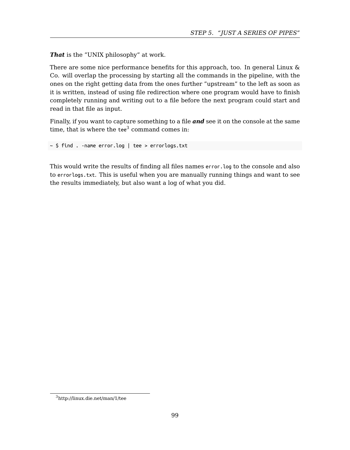#### *STEP 5. "JUST A SERIES OF PIPES"*

*That* is the "UNIX philosophy" at work.

There are some nice performance benefits for this approach, too. In general Linux & Co. will overlap the processing by starting all the commands in the pipeline, with the ones on the right getting data from the ones further "upstream" to the left as soon as it is written, instead of using file redirection where one program would have to finish completely running and writing out to a file before the next program could start and read in that file as input.

Finally, if you want to capture something to a file *and* see it on the console at the same time, that is where the tee $3$  command comes in:

~ \$ find . -name error.log | tee > errorlogs.txt

This would write the results of finding all files names error.log to the console and also to errorlogs.txt. This is useful when you are manually running things and want to see the results immediately, but also want a log of what you did.

<sup>3</sup>http://linux.die.net/man/1/tee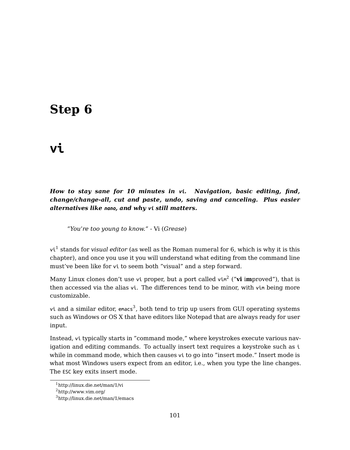## **Step 6**

### **[vi](#page-100-0)**

*How to stay sane for 10 minutes in vi. Navigation, basic editing, find, change/change-all, cut and paste, undo, saving and canceling. Plus easier alternatives like nano, and [w](#page-100-1)hy vi still matters.*

*"You're too young to know."* - Vi (*Grease*)

vi<sup>1</sup> stands for *visual editor* (as well as the Roman numeral for 6, which is why it is this chapter), and once you use it you will understand what editing from the command line must've been like for vi to seem both "visual" and a step forward.

<span id="page-100-0"></span>Many Linux clones don't use vi proper, but a port called vim<sup>2</sup> ("**vi** i**m**proved"), that is th[en accessed via the alia](http://linux.die.net/man/1/vi)s vi. The differences tend to be minor, with vim being more cu[stomizable.](http://linux.die.net/man/1/emacs)

<span id="page-100-1"></span>vi and a similar editor,  $\epsilon$ macs<sup>3</sup>, both tend to trip up users from GUI operating systems such as Windows or OS X that have editors like Notepad that are always ready for user input.

Instead, vi typically starts in "command mode," where keystrokes execute various navigation and editing commands. To actually insert text requires a keystroke such as i while in command mode, which then causes vi to go into "insert mode." Insert mode is what most Windows users expect from an editor, i.e., when you type the line changes. The ESC key exits insert mode.

 $^1$ http://linux.die.net/man/1/vi

<sup>2</sup>http://www.vim.org/

<sup>3</sup>http://linux.die.net/man/1/emacs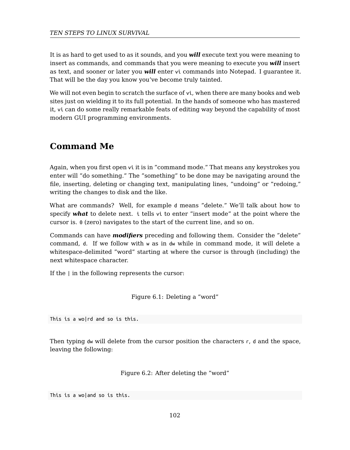It is as hard to get used to as it sounds, and you *will* execute text you were meaning to insert as commands, and commands that you were meaning to execute you *will* insert as text, and sooner or later you *will* enter vi commands into Notepad. I guarantee it. That will be the day you know you've become truly tainted.

We will not even begin to scratch the surface of vi, when there are many books and web sites just on wielding it to its full potential. In the hands of someone who has mastered it, vi can do some really remarkable feats of editing way beyond the capability of most modern GUI programming environments.

### **Command Me**

Again, when you first open vi it is in "command mode." That means any keystrokes you enter will "do something." The "something" to be done may be navigating around the file, inserting, deleting or changing text, manipulating lines, "undoing" or "redoing," writing the changes to disk and the like.

What are commands? Well, for example d means "delete." We'll talk about how to specify *what* to delete next. i tells vi to enter "insert mode" at the point where the cursor is. 0 (zero) navigates to the start of the current line, and so on.

Commands can have *modifiers* preceding and following them. Consider the "delete" command, d. If we follow with w as in dw while in command mode, it will delete a whitespace-delimited "word" starting at where the cursor is through (including) the next whitespace character.

If the | in the following represents the cursor:

Figure 6.1: Deleting a "word"

This is a wo|rd and so is this.

Then typing  $dw$  will delete from the cursor position the characters  $r$ ,  $d$  and the space, leaving the following:

Figure 6.2: After deleting the "word"

This is a wo|and so is this.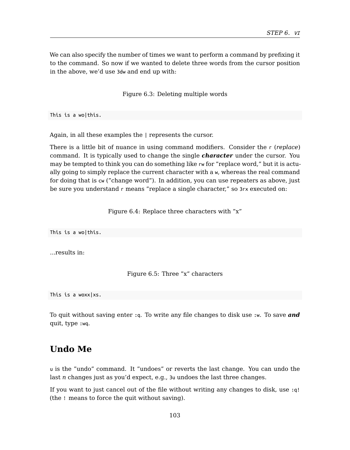We can also specify the number of times we want to perform a command by prefixing it to the command. So now if we wanted to delete three words from the cursor position in the above, we'd use 3dw and end up with:

Figure 6.3: Deleting multiple words

This is a wo|this.

Again, in all these examples the | represents the cursor.

There is a little bit of nuance in using command modifiers. Consider the r (*replace*) command. It is typically used to change the single *character* under the cursor. You may be tempted to think you can do something like rw for "replace word," but it is actually going to simply replace the current character with a w, whereas the real command for doing that is cw ("change word"). In addition, you can use repeaters as above, just be sure you understand r means "replace a single character," so 3rx executed on:

Figure 6.4: Replace three characters with "x"

This is a wo|this.

...results in:

Figure 6.5: Three "x" characters

This is a woxx|xs.

To quit without saving enter :q. To write any file changes to disk use :w. To save *and* quit, type :wq.

### **Undo Me**

u is the "undo" command. It "undoes" or reverts the last change. You can undo the last *n* changes just as you'd expect, e.g., 3u undoes the last three changes.

If you want to just cancel out of the file without writing any changes to disk, use :q! (the ! means to force the quit without saving).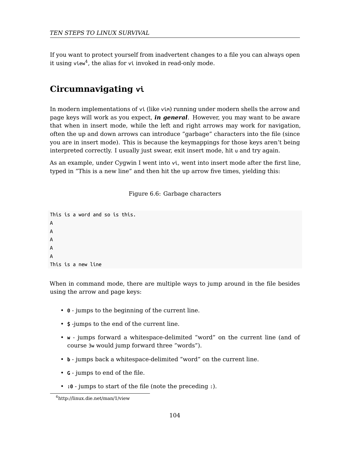#### *TEN STEPS TO LINUX SURVIVAL*

If you want to protect yourself from inadvertent changes to a file you can always open it using view $^4$ , the alias for vi invoked in read-only mode.

### **Circumnavigating vi**

In modern implementations of vi (like vim) running under modern shells the arrow and page keys will work as you expect, *in general*. However, you may want to be aware that when in insert mode, while the left and right arrows may work for navigation, often the up and down arrows can introduce "garbage" characters into the file (since you are in insert mode). This is because the keymappings for those keys aren't being interpreted correctly. I usually just swear, exit insert mode, hit u and try again.

As an example, under Cygwin I went into vi, went into insert mode after the first line, typed in "This is a new line" and then hit the up arrow five times, yielding this:

#### Figure 6.6: Garbage characters

This is a word and so is this. A A A A A This is a new line

When in command mode, there are multiple ways to jump around in the file besides using the arrow and page keys:

- **0** jumps to the beginning of the current line.
- **\$** -jumps to the end of the current line.
- **w** jumps forward a whitespace-delimited "word" on the current line (and of course 3w would jump forward three "words").
- **b** jumps back a whitespace-delimited "word" on the current line.
- **G** jumps to end of the file.
- **:0** jumps to start of the file (note the preceding :).

<sup>4</sup>http://linux.die.net/man/1/view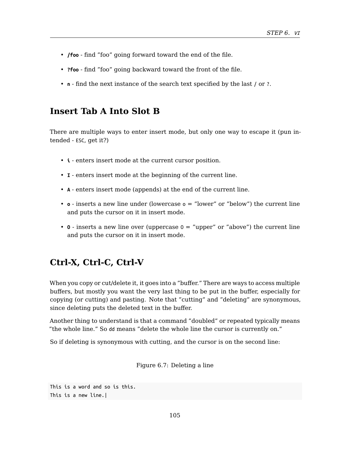- **/foo** find "foo" going forward toward the end of the file.
- **?foo** find "foo" going backward toward the front of the file.
- **n** find the next instance of the search text specified by the last / or ?.

### **Insert Tab A Into Slot B**

There are multiple ways to enter insert mode, but only one way to escape it (pun intended - ESC, get it?)

- **i** enters insert mode at the current cursor position.
- **I** enters insert mode at the beginning of the current line.
- **A** enters insert mode (appends) at the end of the current line.
- **o** inserts a new line under (lowercase o = "lower" or "below") the current line and puts the cursor on it in insert mode.
- **O** inserts a new line over (uppercase O = "upper" or "above") the current line and puts the cursor on it in insert mode.

### **Ctrl-X, Ctrl-C, Ctrl-V**

When you copy or cut/delete it, it goes into a "buffer." There are ways to access multiple buffers, but mostly you want the very last thing to be put in the buffer, especially for copying (or cutting) and pasting. Note that "cutting" and "deleting" are synonymous, since deleting puts the deleted text in the buffer.

Another thing to understand is that a command "doubled" or repeated typically means "the whole line." So dd means "delete the whole line the cursor is currently on."

So if deleting is synonymous with cutting, and the cursor is on the second line:

Figure 6.7: Deleting a line

```
This is a word and so is this.
This is a new line.|
```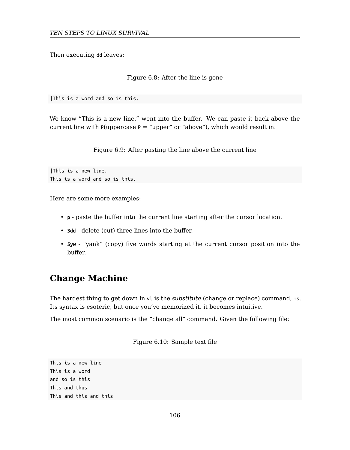Then executing dd leaves:

#### Figure 6.8: After the line is gone

|This is a word and so is this.

We know "This is a new line." went into the buffer. We can paste it back above the current line with P(uppercase  $P =$  "upper" or "above"), which would result in:

Figure 6.9: After pasting the line above the current line

|This is a new line. This is a word and so is this.

Here are some more examples:

- **p** paste the buffer into the current line starting after the cursor location.
- **3dd** delete (cut) three lines into the buffer.
- **5yw** "yank" (copy) five words starting at the current cursor position into the buffer.

### **Change Machine**

The hardest thing to get down in vi is the *substitute* (change or replace) command, :s. Its syntax is esoteric, but once you've memorized it, it becomes intuitive.

The most common scenario is the "change all" command. Given the following file:

Figure 6.10: Sample text file

This is a new line This is a word and so is this This and thus This and this and this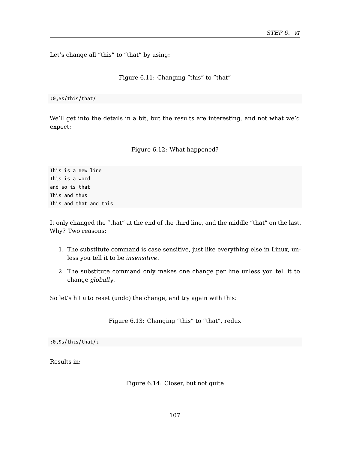Let's change all "this" to "that" by using:

Figure 6.11: Changing "this" to "that"

:0,\$s/this/that/

We'll get into the details in a bit, but the results are interesting, and not what we'd expect:

Figure 6.12: What happened?

This is a new line This is a word and so is that This and thus This and that and this

It only changed the "that" at the end of the third line, and the middle "that" on the last. Why? Two reasons:

- 1. The substitute command is case sensitive, just like everything else in Linux, unless you tell it to be *insensitive*.
- 2. The substitute command only makes one change per line unless you tell it to change *globally*.

So let's hit u to reset (undo) the change, and try again with this:

Figure 6.13: Changing "this" to "that", redux

:0,\$s/this/that/i

Results in:

Figure 6.14: Closer, but not quite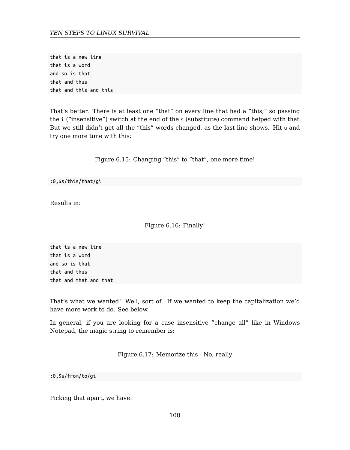that is a new line that is a word and so is that that and thus that and this and this

That's better. There is at least one "that" on every line that had a "this," so passing the i ("insensitive") switch at the end of the s (substitute) command helped with that. But we still didn't get all the "this" words changed, as the last line shows. Hit u and try one more time with this:

Figure 6.15: Changing "this" to "that", one more time!

:0,\$s/this/that/gi

Results in:

Figure 6.16: Finally!

that is a new line that is a word and so is that that and thus that and that and that

That's what we wanted! Well, sort of. If we wanted to keep the capitalization we'd have more work to do. See below.

In general, if you are looking for a case insensitive "change all" like in Windows Notepad, the magic string to remember is:

Figure 6.17: Memorize this - No, really

:0,\$s/from/to/gi

Picking that apart, we have: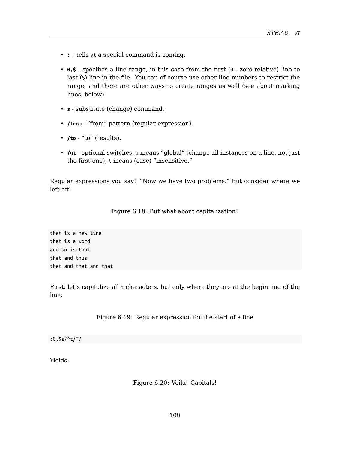- **:** tells vi a special command is coming.
- **0,\$** specifies a line range, in this case from the first (0 zero-relative) line to last (\$) line in the file. You can of course use other line numbers to restrict the range, and there are other ways to create ranges as well (see about marking lines, below).
- **s** substitute (change) command.
- **/from** "from" pattern (regular expression).
- **/to** "to" (results).
- **/gi** optional switches, g means "global" (change all instances on a line, not just the first one), i means (case) "insensitive."

Regular expressions you say! "Now we have two problems." But consider where we left off:

#### Figure 6.18: But what about capitalization?

that is a new line that is a word and so is that that and thus that and that and that

First, let's capitalize all t characters, but only where they are at the beginning of the line:

Figure 6.19: Regular expression for the start of a line

:0,\$s/^t/T/

Yields:

Figure 6.20: Voila! Capitals!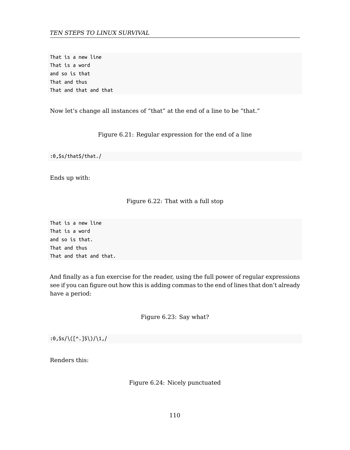That is a new line That is a word and so is that That and thus That and that and that

Now let's change all instances of "that" at the end of a line to be "that."

Figure 6.21: Regular expression for the end of a line

:0,\$s/that\$/that./

Ends up with:

#### Figure 6.22: That with a full stop

That is a new line That is a word and so is that. That and thus That and that and that.

And finally as a fun exercise for the reader, using the full power of regular expressions see if you can figure out how this is adding commas to the end of lines that don't already have a period:

Figure 6.23: Say what?

 $:0,$ \$s/\([^.]\$\)/\1,/

Renders this:

Figure 6.24: Nicely punctuated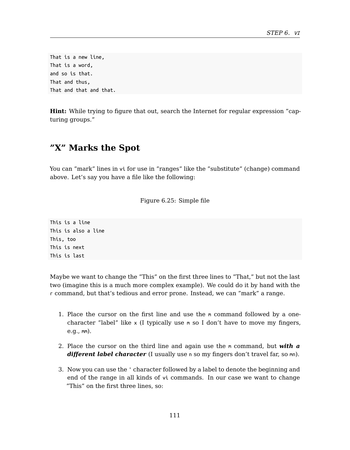That is a new line, That is a word, and so is that. That and thus, That and that and that.

**Hint:** While trying to figure that out, search the Internet for regular expression "capturing groups."

## **"X" Marks the Spot**

You can "mark" lines in vi for use in "ranges" like the "substitute" (change) command above. Let's say you have a file like the following:

Figure 6.25: Simple file

This is a line This is also a line This, too This is next This is last

Maybe we want to change the "This" on the first three lines to "That," but not the last two (imagine this is a much more complex example). We could do it by hand with the r command, but that's tedious and error prone. Instead, we can "mark" a range.

- 1. Place the cursor on the first line and use the m command followed by a onecharacter "label" like  $x$  (I typically use  $m$  so I don't have to move my fingers, e.g., mm).
- 2. Place the cursor on the third line and again use the m command, but *with a different label character* (I usually use n so my fingers don't travel far, so mn).
- 3. Now you can use the ' character followed by a label to denote the beginning and end of the range in all kinds of vi commands. In our case we want to change "This" on the first three lines, so: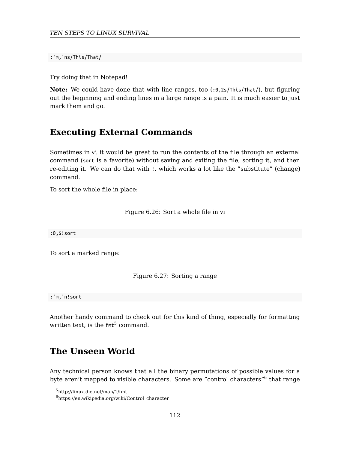:'m,'ns/This/That/

Try doing that in Notepad!

**Note:** We could have done that with line ranges, too (:0,2s/This/That/), but figuring out the beginning and ending lines in a large range is a pain. It is much easier to just mark them and go.

## **Executing External Commands**

Sometimes in vi it would be great to run the contents of the file through an external command (sort is a favorite) without saving and exiting the file, sorting it, and then re-editing it. We can do that with !, which works a lot like the "substitute" (change) command.

To sort the whole file in place:

Figure 6.26: Sort a whole file in vi

:0,\$!sort

To sort a marked range:

Figure 6.27: Sorting a range

:'[m,'n!sort](https://en.wikipedia.org/wiki/Control_character)

Another handy command to check out for this kind of thing, especially for formatting written text, is the  $fnt^5$  command.

## **The Unseen World**

Any technical person knows that all the binary permutations of possible values for a byte aren't mapped to visible characters. Some are "control characters" $^6$  that range

<sup>5</sup>http://linux.die.net/man/1/fmt

 $<sup>6</sup>$ https://en.wikipedia.org/wiki/Control\_character</sup>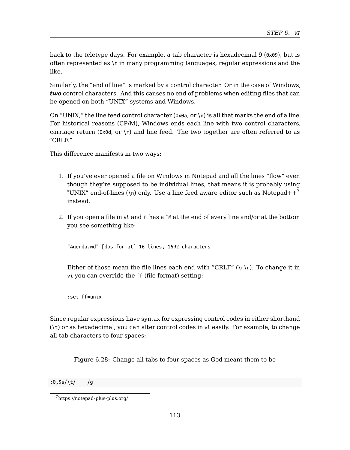*STEP 6. VI*

back to the teletype days. For example, a tab character is hexadecimal 9 (0x09), but is often represented as \t in many programming languages, regular expressions and the like.

Similarly, the "end of line" is marked by a control character. Or in the case of Windows, *two* control characters. And this causes no end of problems when editing files that ca[n](#page-112-0) be opened on both "UNIX" systems and Windows.

On "UNIX," the line feed control character  $(0 \times 0)$  a, or \n) is all that marks the end of a line. For historical reasons (CP/M), Windows ends each line with two control characters, carriage return ( $0 \times 0d$ , or \r) and line feed. The two together are often referred to as "CRLF."

This difference manifests in two ways:

- 1. If you've ever opened a file on Windows in Notepad and all the lines "flow" even though they're supposed to be individual lines, that means it is probably using "UNIX" end-of-lines ( $\ln$ ) only. Use a line feed aware editor such as Notepad++<sup>7</sup> instead.
- 2. If you open a file in vi and it has a ˆM at the end of every line and/or at the bottom you see something like:

"Agenda.md" [dos format] 16 lines, 1692 characters

Either of those mean the file lines each end with "CRLF" ( $\(\r \)$ n). To change it in vi you can override the ff (file format) setting:

<span id="page-112-0"></span>[:set ff=unix](https://notepad-plus-plus.org/)

Since regular expressions have syntax for expressing control codes in either shorthand (\t) or as hexadecimal, you can alter control codes in vi easily. For example, to change all tab characters to four spaces:

Figure 6.28: Change all tabs to four spaces as God meant them to be

:0,\$s/\t/ /g

<sup>7</sup>https://notepad-plus-plus.org/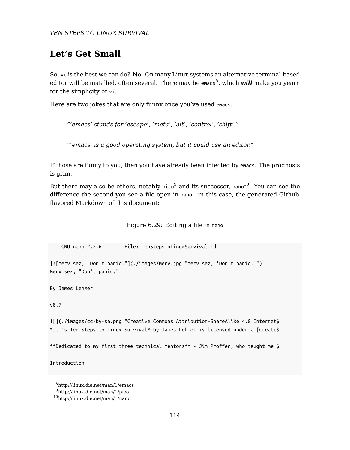## **Let's Get Small**

So, vi is the best we can do? No. On many Linux systems an alternative terminal-based [e](#page-113-0)ditor [wil](#page-113-1)l be installed, often several. There may be emacs<sup>8</sup>, which **will** make you yearn for the simplicity of vi.

Here are two jokes that are only funny once you've used emacs:

*"'emacs' stands for 'escape', 'meta', 'alt', 'control', 'shift'."*

*"'emacs' is a good operating system, but it could use an editor."*

If those are funny to you, then you have already been infected by emacs. The prognosis is grim.

But there may also be others, notably  $\text{pico}^9$  and its successor, nano<sup>10</sup>. You can see the difference the second you see a file open in nano - in this case, the generated Githubflavored Markdown of this document:

Figure 6.29: Editing a file in nano

GNU nano 2.2.6 File: TenStepsToLinuxSurvival.md

|![Merv sez, "Don't panic."](./images/Merv.jpg "Merv sez, 'Don't panic.'") Merv sez, "Don't panic."

<span id="page-113-1"></span><span id="page-113-0"></span>By [James Lehmer](http://linux.die.net/man/1/emacs)

v0.7

![](./images/cc-by-sa.png "Creative Commons Attribution-ShareAlike 4.0 Internat\$ \*Jim's Ten Steps to Linux Survival\* by James Lehmer is licensed under a [Creati\$

\*\*Dedicated to my first three technical mentors\*\* - Jim Proffer, who taught me \$

Introduction

============

<sup>8</sup>http://linux.die.net/man/1/emacs

<sup>9</sup>http://linux.die.net/man/1/pico

<sup>10</sup>http://linux.die.net/man/1/nano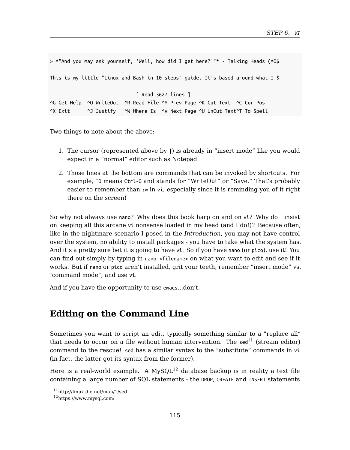*STEP 6. VI*

```
> *"And you may ask yourself, 'Well, how did I get here?'"* - Talking Heads (*O$
This is my little "Linux and Bash in 10 steps" guide. It's based around what I $
                             [ Read 3627 lines ]
^G Get Help ^O WriteOut ^R Read File ^Y Prev Page ^K Cut Text ^C Cur Pos
^X Exit ^J Justify ^W Where Is ^V Next Page ^U UnCut Text^T To Spell
```
Two things to note about the above:

- 1. The cursor (represented above by |) is already in "insert mode" like you would expect in a "normal" editor such as Notepad.
- 2. Those lines at the bottom are commands that can be invoked by shortcuts. For example, ˆO means Ctrl-O and stands for "WriteOut" or "Save." That's probably easier to remember than :w in vi, especially since it is reminding you of it right there on the screen!

So why not always use nano? Why does this book harp on and on vi? Why do I insist on keeping all this arcane vi nonsense loaded in my head (and I do!)? Because often, like in the nightmare scenario I posed in the *Introduction*, you may not have control over the system, no ability to install packages - you have to take w[hat](#page-114-0) the system has. And it's a pretty sure bet it is going to have vi. So if you have nano (or pico), use it! You can find out simply by typing in nano <filename> on what you want to edit and see if it works. But if nano or pico aren't installed, [gr](#page-114-1)it your teeth, remember "insert mode" vs. "command mode", and use vi.

<span id="page-114-1"></span><span id="page-114-0"></span>An[d if you have the opport](http://linux.die.net/man/1/sed)unity to use emacs...don't.

## **Editing on the Command Line**

Sometimes you want to script an edit, typically something similar to a "replace all" that needs to occur on a file without human intervention. The  $\text{sed}^{11}$  (stream editor) command to the rescue! sed has a similar syntax to the "substitute" commands in vi (in fact, the latter got its syntax from the former).

Here is a real-world example. A  $MvSOL<sup>12</sup>$  database backup is in reality a text file containing a large number of SQL statements - the DROP, CREATE and INSERT statements

<sup>11</sup>http://linux.die.net/man/1/sed

 $\rm ^{12}https://www.mysql.com/$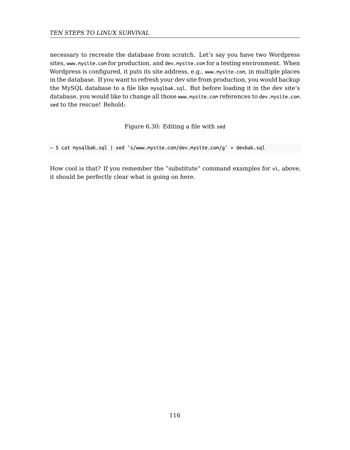necessary to recreate the database from scratch. Let's say you have two Wordpress sites, www.mysite.com for production, and dev.mysite.com for a testing environment. When Wordpress is configured, it puts its site address, e.g., www.mysite.com, in multiple places in the database. If you want to refresh your dev site from production, you would backup the MySQL database to a file like mysqlbak.sql. But before loading it in the dev site's database, you would like to change all those www.mysite.com references to dev.mysite.com. sed to the rescue! Behold:

Figure 6.30: Editing a file with sed

~ \$ cat mysqlbak.sql | sed 's/www.mysite.com/dev.mysite.com/g' > devbak.sql

How cool is that? If you remember the "substitute" command examples for vi, above, it should be perfectly clear what is going on here.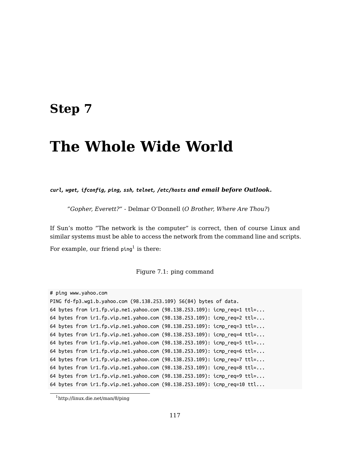## **Step 7**

# **The Whol[e](#page-116-0) Wide World**

*curl, wget, ifconfig, ping, ssh, telnet, /etc/hosts and email before Outlook.*

*"Gopher, Everett?"* - Delmar O'Donnell (*O Brother, Where Are Thou?*)

If Sun's motto "The network is the computer" is correct, then of course Linux and similar systems must be able to access the network from the command line and scripts.

For example, our friend  $p$ ing<sup>1</sup> is there:

Figure 7.1: ping command

```
# ping www.yahoo.com
```

```
PING fd-fp3.wg1.b.yahoo.com (98.138.253.109) 56(84) bytes of data.
64 bytes from ir1.fp.vip.ne1.yahoo.com (98.138.253.109): icmp_req=1 ttl=...
64 bytes from ir1.fp.vip.ne1.yahoo.com (98.138.253.109): icmp_req=2 ttl=...
64 bytes from ir1.fp.vip.ne1.yahoo.com (98.138.253.109): icmp_req=3 ttl=...
64 bytes from ir1.fp.vip.ne1.yahoo.com (98.138.253.109): icmp_req=4 ttl=...
64 bytes from ir1.fp.vip.ne1.yahoo.com (98.138.253.109): icmp_req=5 ttl=...
64 bytes from ir1.fp.vip.ne1.yahoo.com (98.138.253.109): icmp_req=6 ttl=...
64 bytes from ir1.fp.vip.ne1.yahoo.com (98.138.253.109): icmp_req=7 ttl=...
64 bytes from ir1.fp.vip.ne1.yahoo.com (98.138.253.109): icmp_req=8 ttl=...
64 bytes from ir1.fp.vip.ne1.yahoo.com (98.138.253.109): icmp_req=9 ttl=...
64 bytes from ir1.fp.vip.ne1.yahoo.com (98.138.253.109): icmp_req=10 ttl...
```
<sup>1</sup>http://linux.die.net/man/8/ping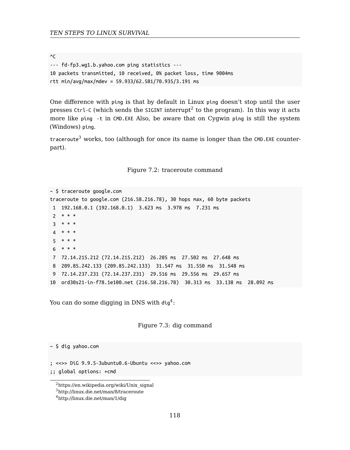$^{\wedge}$ C --- fd-fp3.wg1.b.yahoo.com ping statistics --- 10 packets transmitted, 10 received, 0% packet loss, time 9004ms rtt min/avg/max/mdev = 59.933/62.581/70.935/3.191 ms

One difference with ping is that by default in Linux ping doesn't stop until the user presses <code>Ctrl-C</code> (which sends the <code>SIGINT</code> interrupt $^2$  to the program). In this way it acts more like ping -t in CMD.EXE Also, be aware that on Cygwin ping is still the system (Windows) ping.

traceroute<sup>3</sup> works, too (although for once its name is longer than the CMD.EXE counterpart).

Figure 7.2: traceroute command

```
~ $ traceroute google.com
traceroute to google.com (216.58.216.78), 30 hops max, 60 byte packets
 1 192.168.0.1 (192.168.0.1) 3.623 ms 3.978 ms 7.231 ms
 2 * * *
 3 * * *
 4 * * *
 5 * * * *6 * * *
 7 72.14.215.212 (72.14.215.212) 26.205 ms 27.502 ms 27.648 ms
 8 209.85.242.133 (209.85.242.133) 31.547 ms 31.550 ms 31.548 ms
 9 72.14.237.231 (72.14.237.231) 29.516 ms 29.556 ms 29.657 ms
10 ord30s21-in-f78.1e100.net (216.58.216.78) 30.313 ms 33.138 ms 28.092 ms
```
<span id="page-117-1"></span><span id="page-117-0"></span>Yo[u can do some digging in](http://linux.die.net/man/1/dig) DNS with dig $^4\colon$ 

Figure 7.3: dig command

~ \$ dig yahoo.com

; <<>> DiG 9.9.5-3ubuntu0.6-Ubuntu <<>> yahoo.com

;; global options: +cmd

<sup>2</sup>https://en.wikipedia.org/wiki/Unix\_signal <sup>3</sup>http://linux.die.net/man/8/traceroute

<sup>4</sup>http://linux.die.net/man/1/dig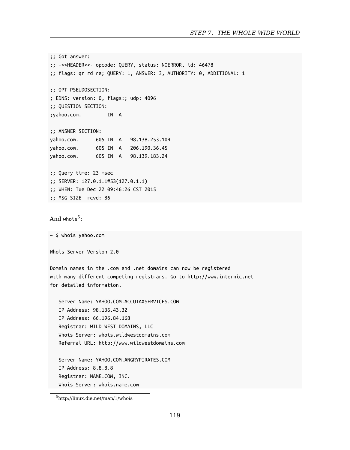*STEP 7. THE WHOLE WIDE WORLD*

;; Got answer: ;; ->>HEADER<<- opcode: QUERY, status: NOERROR, id: 46478 ;; flags: qr rd ra; QUERY: 1, ANSWER: 3, AUTHORITY: 0, ADDITIONAL: 1 ;; OPT PSEUDOSECTION: ; EDNS: version: 0, flags:; udp: 4096 ;; QUESTION SECTION: ;yahoo.co[m.](#page-118-0) IN A ;; ANSWER SECTION: yahoo.com. 605 IN A 98.138.253.109 yahoo.com. 605 IN A 206.190.36.45 yahoo.com. 605 IN A 98.139.183.24 ;; Query time: 23 msec ;; SERVER: 127.0.1.1#53(127.0.1.1) ;; WHEN: Tue Dec 22 09:46:26 CST 2015 ;; MSG SIZE rcvd: 86  $And$  whois $^5$ : ~ \$ whois yahoo.com Whois Server Version 2.0 Domain names in the .com and .net domains can now be registered with many different competing registrars. Go to http://www.internic.net for detailed information. [Server Name: YAHOO.COM.ACC](http://linux.die.net/man/1/whois)UTAXSERVICES.COM IP Address: 98.136.43.32 IP Address: 66.196.84.168 Registrar: WILD WEST DOMAINS, LLC Whois Server: whois.wildwestdomains.com Referral URL: http://www.wildwestdomains.com Server Name: YAHOO.COM.ANGRYPIRATES.COM IP Address: 8.8.8.8 Registrar: NAME.COM, INC. Whois Server: whois.name.com

<span id="page-118-0"></span><sup>5</sup>http://linux.die.net/man/1/whois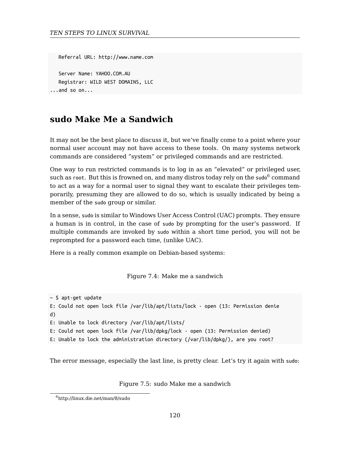```
Referral URL: http://www.name.com
```
Server Name: YAHOO.COM.AU Registrar: WILD WEST DOMAINS, LLC ...and so on...

## **sudo Make Me a Sandwich**

It may not be the best place to discuss it, but we've finally come to a point where your normal user account may not have access to these tools. On many systems network commands are considered "system" or privileged commands and are restricted.

One way to run restricted commands is to log in as an "elevated" or privileged user, such as root. But this is frowned on, and many distros today rely on the sudo $^6$  command to act as a way for a normal user to signal they want to escalate their privileges temporarily, presuming they are allowed to do so, which is usually indicated by being a member of the sudo group or similar.

In a sense, sudo is similar to Windows User Access Control (UAC) prompts. They ensure a human is in control, in the case of sudo by prompting for the user's password. If multiple commands are invoked by sudo within a short time period, you will not be reprompted for a password each time, (unlike UAC).

Here is a really common example on Debian-based systems:

Figure 7.4: Make me a sandwich

~ [\\$ apt-get update](http://linux.die.net/man/8/sudo) E: Could not open lock file /var/lib/apt/lists/lock - open (13: Permission denie d) E: Unable to lock directory /var/lib/apt/lists/

E: Could not open lock file /var/lib/dpkg/lock - open (13: Permission denied)

E: Unable to lock the administration directory (/var/lib/dpkg/), are you root?

The error message, especially the last line, is pretty clear. Let's try it again with sudo:

Figure 7.5: sudo Make me a sandwich

<sup>6</sup>http://linux.die.net/man/8/sudo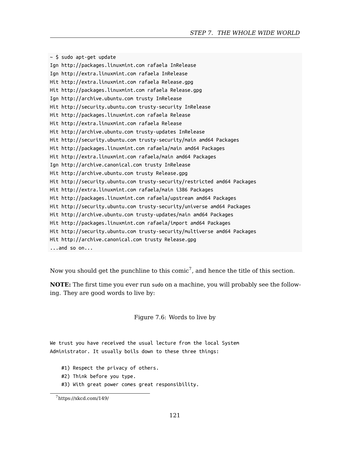#### *STEP 7. THE WHOLE WIDE WORLD*

~ \$ sudo apt-get update Ign http://packages.linuxmint.com rafaela InRelease Ign http://extra.linuxmint.com rafaela InRelease Hit http://extra.linuxmint.com rafaela Release.gpg Hit http://packages.linuxmint.com rafaela Release.gpg Ign http://archive.ubuntu.com trusty InRelease Hit http://security.ubuntu.com trusty-security InRelease Hit http://packages.linuxmint.com rafaela Release Hit http://extra.linuxmint.com rafaela Release Hit http://archive.ubuntu.com trusty-updates InRelease Hit http://security.ubuntu.com trusty-security/main amd64 Packages Hit http://packages.linuxmint.com rafaela/main amd64 Packages Hit http://extra.linuxmint.com rafaela/main amd64 Packages Ign http://archive.canonical.com trusty InReleas[e](#page-120-0) Hit http://archive.ubuntu.com trusty Release.gpg Hit http://security.ubuntu.com trusty-security/restricted amd64 Packages Hit http://extra.linuxmint.com rafaela/main i386 Packages Hit http://packages.linuxmint.com rafaela/upstream amd64 Packages Hit http://security.ubuntu.com trusty-security/universe amd64 Packages Hit http://archive.ubuntu.com trusty-updates/main amd64 Packages Hit http://packages.linuxmint.com rafaela/import amd64 Packages Hit http://security.ubuntu.com trusty-security/multiverse amd64 Packages Hit http://archive.canonical.com trusty Release.gpg ...and so on...

Now you should get the punchline to this comic<sup>7</sup>, and hence the title of this section.

<span id="page-120-0"></span>**NOTE:** The first time you ever run sudo on a machine, you will probably see the followin[g. They are good w](https://xkcd.com/149/)ords to live by:

Figure 7.6: Words to live by

We trust you have received the usual lecture from the local System Administrator. It usually boils down to these three things:

- #1) Respect the privacy of others.
- #2) Think before you type.
- #3) With great power comes great responsibility.

<sup>7</sup>https://xkcd.com/149/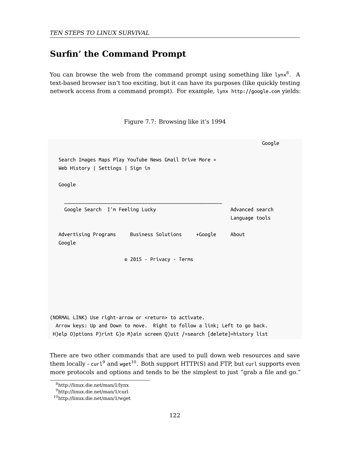## **Surfin' the Command Prompt**

You can browse the web from the command prompt using something like lynx<sup>8</sup>. A text-based browser isn't too exciting, but it can have its purposes (like quickly testing network access from a command prompt). For example, lynx http://google.com yields:

Google Search Images Maps Play YouTube News Gmail Drive More » Web History | Settings | Sign in Google \_\_\_\_\_\_\_\_\_\_\_\_\_\_\_\_\_\_\_\_\_\_\_\_\_\_\_\_\_\_\_\_\_\_\_\_\_\_\_\_\_\_\_\_\_\_\_\_\_\_\_\_\_\_\_ Google Search I'm Feeling Lucky Advanced search Language tools Advertising Programs Business Solutions +Google About Google © [201](#page-121-0)5 - Privacy - Terms (NORMAL LINK) Use right-arrow or <return> to activate. Arrow keys: Up and Down to move. Right to follow a link; Left to go back. H)elp O)ptions P)rint G)o M)ain screen Q)uit /=search [delete]=history list

Figure 7.7: Browsing like it's 1994

<span id="page-121-0"></span>There are two other commands that are used to pull down web resources and save them locally -  $curl^9$  and wget<sup>10</sup>. Both support HTTP(S) and FTP, but curl supports even more protocols and options and tends to be the simplest to just "grab a file and go."

<sup>8</sup>http://linux.die.net/man/1/lynx

<sup>9</sup>http://linux.die.net/man/1/curl

<sup>10</sup>http://linux.die.net/man/1/wget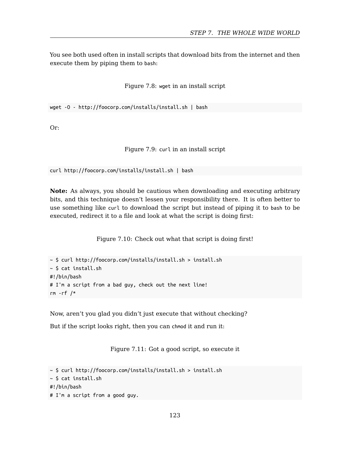You see both used often in install scripts that download bits from the internet and then execute them by piping them to bash:

Figure 7.8: wget in an install script

wget -O - http://foocorp.com/installs/install.sh | bash

Or:

Figure 7.9: curl in an install script

curl http://foocorp.com/installs/install.sh | bash

**Note:** As always, you should be cautious when downloading and executing arbitrary bits, and this technique doesn't lessen your responsibility there. It is often better to use something like curl to download the script but instead of piping it to bash to be executed, redirect it to a file and look at what the script is doing first:

Figure 7.10: Check out what that script is doing first!

```
~ $ curl http://foocorp.com/installs/install.sh > install.sh
~ $ cat install.sh
#!/bin/bash
# I'm a script from a bad guy, check out the next line!
rm -rf /*
```
Now, aren't you glad you didn't just execute that without checking?

But if the script looks right, then you can chmod it and run it:

Figure 7.11: Got a good script, so execute it

```
~ $ curl http://foocorp.com/installs/install.sh > install.sh
~ $ cat install.sh
#!/bin/bash
# I'm a script from a good guy.
```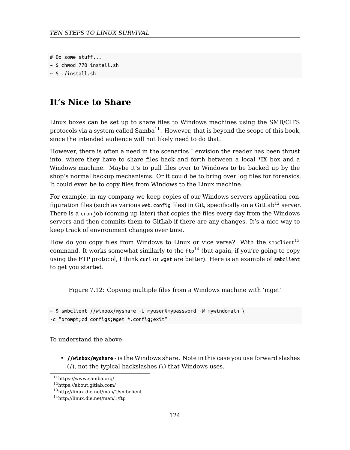# Do some stuff...  $~\sim$  \$ chmod 770 install.sh

 $~\sim$  \$ ./install.sh

## **It's Nice to Share**

Linux boxes can be set up to share files to Windows machines using the SMB/CIFS protocols via a system called  $Samba<sup>11</sup>$ . However, that is beyond the scope of this book, since the intended audience will not likely need to do that.

However, there is often a need in the scenariosI [en](#page-123-0)vision the reader has been thrust into, where they have to share files back and forth between a local \*IX box and a Windows machine. Maybe it's to pull files over to Windows to be backed up by the shop's normal backup mechanisms. Or it could be to bring over log files for forensics. It could even be to copy files from Windows to the Linux machine.

For example, in my company we keep copies of our Windows servers application configuration files (such as various web.config files) in Git, specifically on a GitLab<sup>12</sup> server. There is a cron job (coming up later) that copies the files every day from the Windows servers and then commits them to GitLab if there are any changes. It's a nice way to keep track of environment changes over time.

How do you copy files from Windows to Linux or vice versa? With the smbclient<sup>13</sup> command. It works somewhat similarly to the  $ftp^{14}$  (but again, if you're going to copy using the FTP protocol, I think curl or wget are better). Here is an example of smbclient to get you started.

<span id="page-123-0"></span>[Figure 7.12: Copying mu](http://linux.die.net/man/1/smbclient)ltiple files from a Windows machine with 'mget'

 $\sim$  \$ smbclient //winbox/myshare -U myuser%mypassword -W mywindomain \ -c "prompt;cd configs;mget \*.config;exit"

To understand the above:

• **//winbox/myshare** - is the Windows share. Note in this case you use forward slashes (/), not the typical backslashes (\) that Windows uses.

<sup>11</sup>https://www.samba.org/

<sup>12</sup>https://about.gitlab.com/

<sup>13</sup>http://linux.die.net/man/1/smbclient

<sup>14</sup>http://linux.die.net/man/1/ftp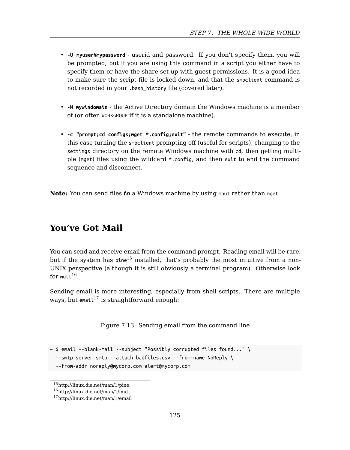#### *STEP 7. THE WHOLE WIDE WORLD*

- **-U myuser%mypassword** userid and password. If you don't specify them, you will be prompted, but if you are using this command in a script you either have to specify them or have the share set up with guest permissions. It is a good idea to make sure the script file is locked down, and that the smbclient command is not recorded in your .bash\_history file (covered later).
- **-W mywindomain** the Active Directory domain the Windows machine is a member of (or often WORKGROUP if it is a standalone machine).
- **-c "prompt;cd configs;mget \*.config;exit"** the remote commands to execute, in this case turning the smbclient prompting off (useful for scripts), changing to the settings directory on the remote Windows machine with cd, then getting multiple (mget) files usin[g th](#page-124-0)e wildcard \*.config, and then exit to end the command sequence and disconnect.

**Note:** You can [se](#page-124-1)nd files *to* a Windows machine by using mput rather than mget.

## **You've Got Mail**

You can send and receive email from the command prompt. Reading email will be rare, but if the system has pine<sup>15</sup> installed, that's probably the most intuitive from a non-UNIX perspective (although it is still obviously a terminal program). Otherwise look  $\,$  for mutt $^{16}.$ 

<span id="page-124-1"></span><span id="page-124-0"></span>Se[nding email is more inte](http://linux.die.net/man/1/mutt)resting, especially from shell scripts. There are multiple ways, but email<sup>17</sup> [is straightf](http://linux.die.net/man/1/email)orward enough:

Figure 7.13: Sending email from the command line

```
\sim $ email --blank-mail --subject "Possibly corrupted files found..." \
```
--smtp-server smtp --attach badfiles.csv --from-name NoReply \

<sup>--</sup>from-addr noreply@mycorp.com alert@mycorp.com

<sup>15</sup>http://linux.die.net/man/1/pine

<sup>16</sup>http://linux.die.net/man/1/mutt

<sup>17</sup>http://linux.die.net/man/1/email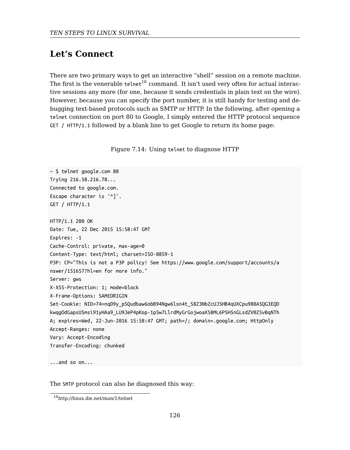## **Let's Connect**

There are two primary ways to get an interactive "shell" session on a remote machine. The first is the venerable telnet<sup>18</sup> command. It isn't used very often for actual interactive sessions any more (for one, because it sends credentials in plain text on the wire). However, because you can specify the port number, it is still handy for testing and debugging text-based protocols such as SMTP or HTTP. In the following, after opening a telnet connection on port 80 to Google, I simply entered the HTTP protocol sequence GET / HTTP/1.1 followed by a blank line to get Google to return its home page:

|  | Figure 7.14: Using telnet to diagnose HTTP |  |
|--|--------------------------------------------|--|
|  |                                            |  |

~ \$ telnet google.com 80 Trying 216.58.216.78... Connected to google.com. Escape character is '^]'. GET / HTTP/1.1 HTTP/1.1 200 OK Date: Tue, 22 Dec 2015 15:58:47 GMT Expires: -1 Cache-Control: private, max-age=0 Content-Type: text/html; charset=ISO-8859-1 P3P: CP="This is not a P3P policy! See https://www.google.com/support/accounts/a nswer/151657?hl=en for more info." Server: gws X-XSS-Protection: 1; mode=block X-[Frame-Options: SAMEORIGIN](http://linux.die.net/man/1/telnet) Set-Cookie: NID=74=nqD9y\_pSQudbaw6obB94Ngw6lsn4t\_S8Z3NbZcUJ5HB4qUXCpu988A5QG3EQD kwqgOdGapsUSmsi91yHAa9\_LU9JeP4pKop-1p5w7LlrdMyGrGojwoaX58ML6PSH5nGLsdZV0Z5vBqNTh A; expires=Wed, 22-Jun-2016 15:58:47 GMT; path=/; domain=.google.com; HttpOnly Accept-Ranges: none Vary: Accept-Encoding Transfer-Encoding: chunked ...and so on...

The SMTP protocol can also be diagnosed this way:

<sup>18</sup>http://linux.die.net/man/1/telnet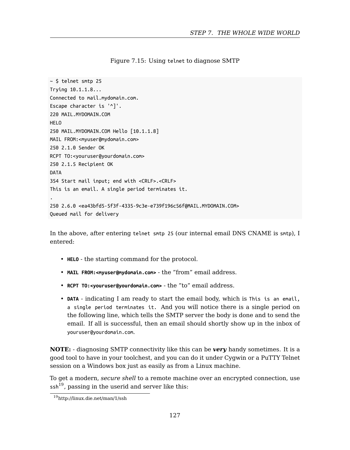#### *STEP 7. THE WHOLE WIDE WORLD*

Figure 7.15: Using telnet to diagnose SMTP

```
~ $ telnet smtp 25
Trying 10.1.1.8...
Connected to mail.mydomain.com.
Escape character is '^]'.
220 MAIL.MYDOMAIN.COM
HELO
250 MAIL.MYDOMAIN.COM Hello [10.1.1.8]
MAIL FROM:<myuser@mydomain.com>
250 2.1.0 Sender OK
RCPT TO:<youruser@yourdomain.com>
250 2.1.5 Recipient OK
DATA
354 Start mail input; end with <CRLF>.<CRLF>
This is an email. A single period terminates it.
.
250 2.6.0 <ea43bfd5-5f3f-4335-9c3e-e739f196c56f@MAIL.MYDOMAIN.COM>
Queued mail for delivery
```
In the above, after entering telnet smtp 25 (our internal email DNS CNAME is smtp), I entered:

- **HELO** the starting command for the protocol.
- **MAIL FROM:<myuser@mydomain.com>** the "from" email address.
- [•](#page-126-0) **RCPT TO:<youruser@yourdomain.com>** the "to" email address.
- <span id="page-126-0"></span>• **DATA** [- indicating I am](http://linux.die.net/man/1/ssh) ready to start the email body, which is This is an email, a single period terminates it. And you will notice there is a single period on the following line, which tells the SMTP server the body is done and to send the email. If all is successful, then an email should shortly show up in the inbox of youruser@yourdomain.com.

**NOTE:** - diagnosing SMTP connectivity like this can be *very* handy sometimes. It is a good tool to have in your toolchest, and you can do it under Cygwin or a PuTTY Telnet session on a Windows box just as easily as from a Linux machine.

To get a modern, *secure shell* to a remote machine over an encrypted connection, use  $\sin^{19}$ , passing in the userid and server like this:

<sup>19</sup>http://linux.die.net/man/1/ssh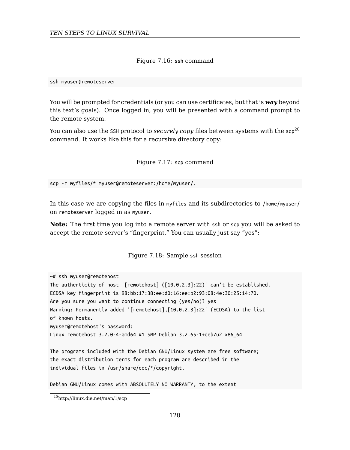Figure 7.16: ssh command

ssh myuser@remoteserver

You will be prompted for credentials (or you can use certificates, but that is *way* beyond this text's goals). Once logged in, you will be presented with a command prompt to the remote system.

You can also use the SSH protocol to *securely copy* files between systems with the  $\mathsf{sr}^{20}$ command. It works like this for a recursive directory copy:

Figure 7.17: scp command

scp -r myfiles/\* myuser@remoteserver:/home/myuser/.

In this case we are copying the files in myfiles and its subdirectories to /home/myuser/ on remoteserver logged in as myuser.

**Note:** The first time you log into a remote server with ssh or scp you will be asked to accept the remote server's "fingerprint." You can usually just say "yes":

Figure 7.18: Sample ssh session

~# ssh myuser@remotehost The authenticity of host '[remotehost] ([10.0.2.3]:22)' can't be established. ECDSA key fingerprint is 98:bb:17:38:ee:d0:16:ee:b2:93:08:4e:30:25:14:70. Ar[e you sure you want to co](http://linux.die.net/man/1/scp)ntinue connecting (yes/no)? yes Warning: Permanently added '[remotehost],[10.0.2.3]:22' (ECDSA) to the list of known hosts. myuser@remotehost's password: Linux remotehost 3.2.0-4-amd64 #1 SMP Debian 3.2.65-1+deb7u2 x86\_64

The programs included with the Debian GNU/Linux system are free software; the exact distribution terms for each program are described in the individual files in /usr/share/doc/\*/copyright.

Debian GNU/Linux comes with ABSOLUTELY NO WARRANTY, to the extent

 $\rm ^{20}$ http://linux.die.net/man/1/scp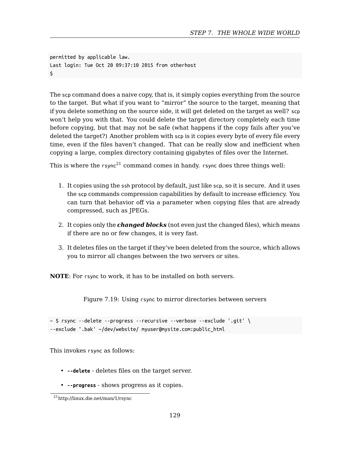#### *STEP 7. THE WHOLE WIDE WORLD*

permitted by applicable law. Last login: Tue Oct 20 [09](#page-128-0):37:10 2015 from otherhost \$

The scp command does a naive copy, that is, it simply copies everything from the source to the target. But what if you want to "mirror" the source to the target, meaning that if you delete something on the source side, it will get deleted on the target as well? scp won't help you with that. You could delete the target directory completely each time before copying, but that may not be safe (what happens if the copy fails after you've deleted the target?) Another problem with scp is it copies every byte of every file every time, even if the files haven't changed. That can be really slow and inefficient when copying a large, complex directory containing gigabytes of files over the Internet.

This is where the  $rsync^{21}$  command comes in handy.  $rsync$  does three things well:

- 1. It copies using the ssh protocol by default, just like scp, so it is secure. And it uses the scp commands compression capabilities by default to increase efficiency. You can turn that behavior off via a parameter when copying files that are already compressed, such as JPEGs.
- 2. It copies only the *changed blocks* (not even just the changed files), which means if there are no or few changes, it is very fast.
- 3. It deletes files on the target if they've been deleted from the source, which allows you to mirror all changes between the two servers or sites.

<span id="page-128-0"></span>**NOTE**: For rsync to work, it has to be installed on both servers.

[Figure 7.19: Usin](http://linux.die.net/man/1/rsync)g rsync to mirror directories between servers

~ \$ rsync --delete --progress --recursive --verbose --exclude '.git' \ --exclude '.bak' ~/dev/website/ myuser@mysite.com:public\_html

This invokes rsync as follows:

- **--delete** deletes files on the target server.
- **--progress** shows progress as it copies.

<sup>21</sup>http://linux.die.net/man/1/rsync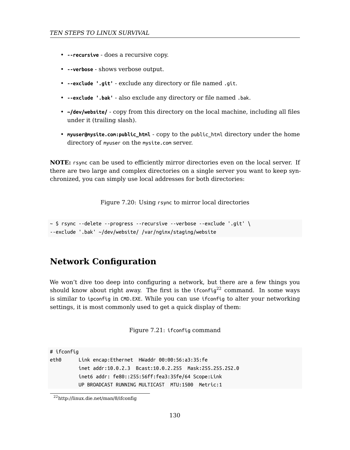- **--recursive** does a recursive copy.
- **--verbose** shows verbose output.
- **--exclude '.git'** exclude any directory or file named .git.
- **--exclude '.bak'** also exclude any directory or file named .bak.
- **~/dev/website/** copy from this directory on the local machine, including all files under it (trailing slash).
- **myuser@mysite.com:public\_html** copy to the public\_html directory under the home directory of myuser on the mysite.com server.

**NOTE:** rsync can be used to efficiently mirror directories even on the local server. If there are two large and complex directories on a single server you want to keep synchronized, you can simply use local addresses for both directories:

Figure 7.20: Using rsync to mirror local directories

```
~ $ rsync --delete --progress --recursive --verbose --exclude '.git' \
--exclude '.bak' ~/dev/website/ /var/nginx/staging/website
```
### **Network Configuration**

We won't dive too deep into configuring a network, but there are a few things you should know about right away. The first is the  $i$ fconfig<sup>22</sup> command. In some ways is [similar to](http://linux.die.net/man/8/ifconfig) ipconfig in CMD.EXE. While you can use ifconfig to alter your networking settings, it is most commonly used to get a quick display of them:

Figure 7.21: ifconfig command

# ifconfig

eth0 Link encap:Ethernet HWaddr 00:00:56:a3:35:fe inet addr:10.0.2.3 Bcast:10.0.2.255 Mask:255.255.252.0 inet6 addr: fe80::255:56ff:fea3:35fe/64 Scope:Link UP BROADCAST RUNNING MULTICAST MTU:1500 Metric:1

 $\rm ^{22}$ http://linux.die.net/man/8/ifconfig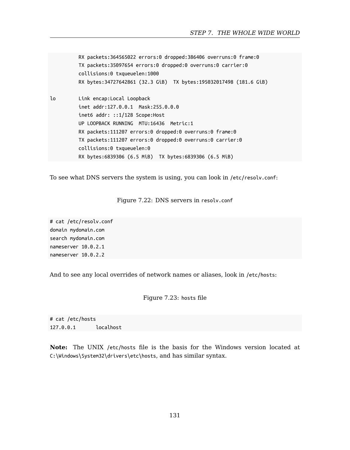```
RX packets:364565022 errors:0 dropped:386406 overruns:0 frame:0
         TX packets:35097654 errors:0 dropped:0 overruns:0 carrier:0
         collisions:0 txqueuelen:1000
         RX bytes:34727642861 (32.3 GiB) TX bytes:195032017498 (181.6 GiB)
lo Link encap:Local Loopback
         inet addr:127.0.0.1 Mask:255.0.0.0
         inet6 addr: ::1/128 Scope:Host
         UP LOOPBACK RUNNING MTU:16436 Metric:1
         RX packets:111207 errors:0 dropped:0 overruns:0 frame:0
         TX packets:111207 errors:0 dropped:0 overruns:0 carrier:0
         collisions:0 txqueuelen:0
         RX bytes:6839306 (6.5 MiB) TX bytes:6839306 (6.5 MiB)
```
To see what DNS servers the system is using, you can look in /etc/resolv.conf:

#### Figure 7.22: DNS servers in resolv.conf

# cat /etc/resolv.conf domain mydomain.com search mydomain.com nameserver 10.0.2.1 nameserver 10.0.2.2

And to see any local overrides of network names or aliases, look in /etc/hosts:

Figure 7.23: hosts file

# cat /etc/hosts 127.0.0.1 localhost

**Note:** The UNIX /etc/hosts file is the basis for the Windows version located at C:\Windows\System32\drivers\etc\hosts, and has similar syntax.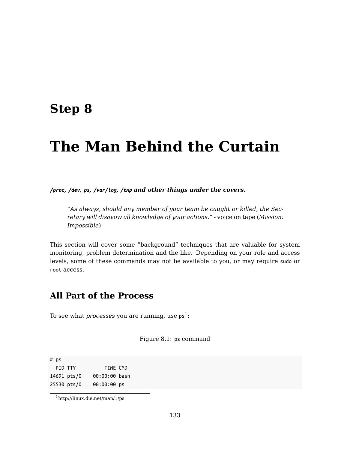## **Step 8**

# **The Man Behind the Curtain**

*/proc, /dev, ps, /var/log, /tmp and other things under the covers.*

*"As always, should any member of your team be caught or killed, the Secretary will disavow all knowledge of you[r a](#page-132-0)ctions."* - voice on tape (*Mission: Impossible*)

This section will cover some "background" techniques that are valuable for system monitoring, problem determination and the like. Depending on your role and access levels, some of these commands may not be available to you, or may require sudo or root access.

## <span id="page-132-0"></span>**A[ll Part of the Pr](http://linux.die.net/man/1/ps)ocess**

To see what  $processes$  you are running, use  ${\sf ps}^1\colon$ 

Figure 8.1: ps command

# ps PID TTY TIME CMD 14691 pts/0 00:00:00 bash 25530 pts/0 00:00:00 ps

 $^1$ http://linux.die.net/man/1/ps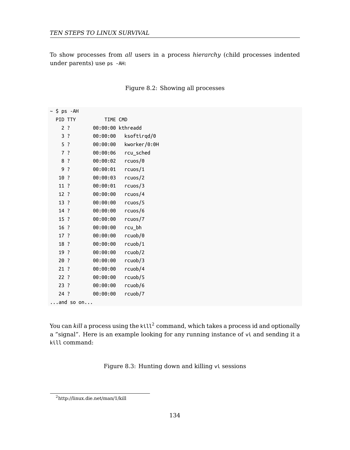To show processes from *all* users in a process *hierarchy* (child processes indented under parents) use ps -AH:

| ∼ \$ ps -AH        |                |          |                   |
|--------------------|----------------|----------|-------------------|
|                    | PID TTY        | TIME CMD |                   |
|                    | 2 <sup>2</sup> |          | 00:00:00 kthreadd |
|                    | $3$ ?          | 00:00:00 | ksoftirgd/0       |
|                    | 5 ?            | 00:00:00 | kworker/0:0H      |
|                    | 7 ?            | 00:00:06 | rcu_sched         |
|                    | 8 ?            | 00:00:02 | rcuos/0           |
|                    | 9 ?            | 00:00:01 | rcuos/1           |
| $10$ ?             |                | 00:00:03 | rcuos/2           |
| 11 ?               |                | 00:00:01 | rcuos/3           |
| $12$ ?             |                | 00:00:00 | rcuos/4           |
| 13.7               |                | 00:00:00 | rcuos/5           |
| 14 ?               |                | 00:00:00 | rcuos/6           |
| $15$ ?             |                | 00:00:00 | rcuos/7           |
| $16$ ?             |                | 00:00:00 | rcu_bh            |
| 17 ?               |                | 00:00:00 | rcuob/0           |
| 18 ?               |                | 00:00:00 | rcuob/1           |
| 19 ?               |                | 00:00:00 | rcuob/2           |
| 20?                |                | 00:00:00 | rcuob/3           |
| $21$ ?             |                | 00:00:00 | rcuob/4           |
| 22?                |                | 00:00:00 | rcuob/5           |
| $23$ ?             |                | 00:00:00 | rcuob/6           |
| $24$ ?             |                | 00:00:00 | rcuob/7           |
| $\ldots$ and so on |                |          |                   |

Figure 8.2: Showing all processes

You can  $k$ ill a process using the  $k$ ill $^2$  command, which takes a process id and optionally a "signal". Here is an example looking for any running instance of vi and sending it a kill command:

Figure 8.3: Hunting down and killing vi sessions

<sup>2</sup>http://linux.die.net/man/1/kill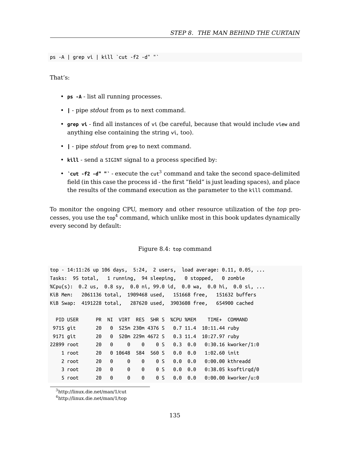#### *STEP 8. THE MAN BEHIND THE CURTAIN*

ps -A | grep vi | kill `cut -f2 -d" "`

That's:

- **ps -A** list all running processes.
- **|** pipe *stdout* f[ro](#page-134-0)m ps to next command.
- **grep vi** find all instances of vi (be careful, because that would include view and anything else containing the string vi, too).
- **|** pipe *stdout* from grep to next command.
- **kill** send a SIGINT signal to a process specified by:
- $\cdot$  **`cut -f2 -d"** " $\cdot$  execute the cut<sup>3</sup> command and take the second space-delimited field (in this case the process id - the first "field" is just leading spaces), and place the results of the command execution as the parameter to the kill command.

To monitor the ongoing CPU, memory and other resource utilization of the *top* processes, you use the  $\mathsf{top}^4$  command, which unlike most in this book updates dynamically every second by default:

Figure 8.4: top command

<span id="page-134-0"></span>

|            |          |           |          |             |           |                |                |                             |                 |                                                                   | top - 14:11:26 up 106 days, 5:24, 2 users, load average: 0.11, 0.05, |
|------------|----------|-----------|----------|-------------|-----------|----------------|----------------|-----------------------------|-----------------|-------------------------------------------------------------------|----------------------------------------------------------------------|
|            |          |           |          |             |           |                |                |                             |                 | Tasks: 95 total, 1 running, 94 sleeping, 0 stopped, 0 zombie      |                                                                      |
| %Cpu(s):   |          |           |          |             |           |                |                |                             |                 |                                                                   | 0.2 us, 0.8 sy, 0.0 ni, 99.0 id, 0.0 wa, 0.0 hi, 0.0 si,             |
| KiB Mem:   |          |           |          |             |           |                |                |                             |                 |                                                                   | 2061136 total, 1909468 used, 151668 free, 151632 buffers             |
|            |          |           |          |             |           |                |                |                             |                 | KiB Swap: 4191228 total, 287620 used, 3903608 free, 654900 cached |                                                                      |
|            |          |           |          |             |           |                |                |                             |                 |                                                                   |                                                                      |
|            | PID USER | <b>PR</b> |          | NI VIRT     | RFS SHR S |                |                | %CPU %MEM                   |                 |                                                                   | TIME+ COMMAND                                                        |
| 9715 git   |          | 20        |          |             |           |                |                |                             |                 | 0 525m 230m 4376 S 0.7 11.4 10:11.44 ruby                         |                                                                      |
| 9171 git   |          | 20        |          |             |           |                |                | 0 520m 229m 4672 S 0.3 11.4 |                 | 10:27.97 ruby                                                     |                                                                      |
| 22899 root |          | 20        | 0        | 0           | 0         | 0 <sup>5</sup> |                |                             |                 |                                                                   | $0.3$ 0.0 0:30.16 kworker/1:0                                        |
|            | 1 root   | 20        |          | 0 10648 584 |           | 560 S          |                |                             | $0.0 \quad 0.0$ | $1:02.60$ init                                                    |                                                                      |
|            | 2 root   | 20        | 0        | $\Theta$    | $\Theta$  | 0 <sup>5</sup> |                |                             | $0.0 \quad 0.0$ |                                                                   | $0:00.00$ kthreadd                                                   |
|            | 3 root   | 20        | $\Theta$ | $\Theta$    | $\Theta$  |                | 0 <sup>5</sup> |                             | $0.0 \quad 0.0$ |                                                                   | $0:38.05$ ksoftirgd/0                                                |
|            | 5 root   | 20        | 0        | 0           | 0         |                | 0 <sup>5</sup> |                             | $0.0 \quad 0.0$ |                                                                   | $0:00.00$ kworker/u:0                                                |

<sup>3</sup>http://linux.die.net/man/1/cut

<sup>4</sup>http://linux.die.net/man/1/top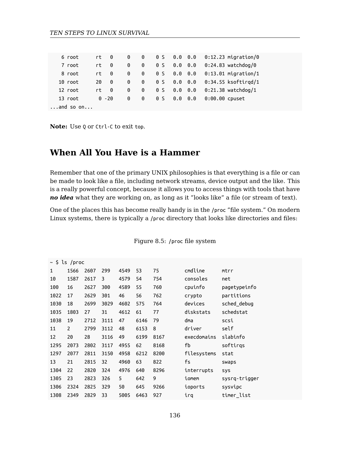| 6 root             | rt. | 0        | 0 | 0 | 0 <sup>5</sup> | 0.0 | 0.0 | $0:12.23$ migration/0 |  |
|--------------------|-----|----------|---|---|----------------|-----|-----|-----------------------|--|
| 7 root             | rt. | 0        | 0 | 0 | 0 <sup>5</sup> | 0.0 | 0.0 | $0:24.83$ watchdog/0  |  |
| 8 root             | rt. | 0        | 0 | 0 | 0 <sup>5</sup> | 0.0 | 0.0 | $0:13.01$ migration/1 |  |
| 10 root            | 20  | 0        | 0 | 0 | 0 <sup>5</sup> | 0.0 | 0.0 | $0:34.55$ ksoftirad/1 |  |
| 12 root            | rt. | 0        | 0 | 0 | 0 <sup>5</sup> | 0.0 | 0.0 | $0:21.38$ watchdog/1  |  |
| 13 root            |     | $0 - 20$ | 0 | 0 | 0 <sub>S</sub> | 0.0 | 0.0 | $0:00.00$ cpuset      |  |
| $\ldots$ and so on |     |          |   |   |                |     |     |                       |  |

**Note:** Use Q or Ctrl-C to exit top.

## **When All You Have is a Hammer**

Remember that one of the primary UNIX philosophies is that everything is a file or can be made to look like a file, including network streams, device output and the like. This is a really powerful concept, because it allows you to access things with tools that have *no idea* what they are working on, as long as it "looks like" a file (or stream of text).

One of the places this has become really handy is in the /proc "file system." On modern Linux systems, there is typically a /proc directory that looks like directories and files:

|      | $\sim$ \$ ls /proc |      |      |      |      |      |             |               |
|------|--------------------|------|------|------|------|------|-------------|---------------|
| 1    | 1566               | 2607 | 299  | 4549 | 53   | 75   | cmdline     | mtrr          |
| 10   | 1587               | 2617 | 3    | 4579 | 54   | 754  | consoles    | net           |
| 100  | 16                 | 2627 | 300  | 4589 | 55   | 760  | cpuinfo     | pagetypeinfo  |
| 1022 | 17                 | 2629 | 301  | 46   | 56   | 762  | crypto      | partitions    |
| 1030 | 18                 | 2699 | 3029 | 4602 | 575  | 764  | devices     | sched debug   |
| 1035 | 1803               | 27   | 31   | 4612 | 61   | 77   | diskstats   | schedstat     |
| 1038 | 19                 | 2712 | 3111 | 47   | 6146 | 79   | dma         | scsi          |
| 11   | $\overline{2}$     | 2799 | 3112 | 48   | 6153 | 8    | driver      | self          |
| 12   | 20                 | 28   | 3116 | 49   | 6199 | 8167 | execdomains | slabinfo      |
| 1295 | 2073               | 2802 | 3117 | 4955 | 62   | 8168 | fb          | softirgs      |
| 1297 | 2077               | 2811 | 3150 | 4958 | 6212 | 8200 | filesystems | stat          |
| 13   | 21                 | 2815 | 32   | 4960 | 63   | 822  | fs          | swaps         |
| 1304 | 22                 | 2820 | 324  | 4976 | 640  | 8296 | interrupts  | sys           |
| 1305 | 23                 | 2823 | 326  | 5    | 642  | 9    | iomem       | sysrq-trigger |
| 1306 | 2324               | 2825 | 329  | 50   | 645  | 9266 | ioports     | sysvipc       |
| 1308 | 2349               | 2829 | 33   | 5005 | 6463 | 927  | irq         | timer list    |

Figure 8.5: /proc file system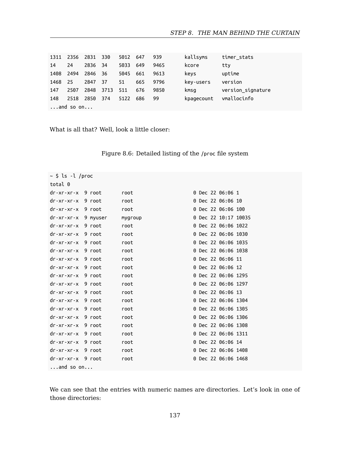| 1311 | 2356 2831 330      |         |      | 5012 647 |     | 939  | kallsyms   | timer stats       |  |
|------|--------------------|---------|------|----------|-----|------|------------|-------------------|--|
| 14   | 24                 | 2836 34 |      | 5033     | 649 | 9465 | kcore      | tty               |  |
| 1408 | 2494               | 2846    | - 36 | 5045 661 |     | 9613 | keys       | uptime            |  |
| 1468 | - 25               | 2847    | - 37 | 51       | 665 | 9796 | key-users  | version           |  |
| 147  | 2507               | 2848    | 3713 | 511      | 676 | 9850 | kmsg       | version signature |  |
| 148  | 2518 2850          |         | 374  | 5122     | 686 | 99   | kpagecount | vmallocinfo       |  |
|      | $\ldots$ and so on |         |      |          |     |      |            |                   |  |

What is all that? Well, look a little closer:

| ~ \$ ls -l /proc            |                     |         |                      |
|-----------------------------|---------------------|---------|----------------------|
| total 0                     |                     |         |                      |
| dr-xr-xr-x 9 root           |                     | root    | 0 Dec 22 06:06 1     |
| dr-xr-xr-x 9 root           |                     | root    | 0 Dec 22 06:06 10    |
| dr-xr-xr-x 9 root           |                     | root    | 0 Dec 22 06:06 100   |
|                             | dr-xr-xr-x 9 myuser | mygroup | 0 Dec 22 10:17 10035 |
| dr-xr-xr-x 9 root           |                     | root    | 0 Dec 22 06:06 1022  |
| dr-xr-xr-x 9 root           |                     | root    | 0 Dec 22 06:06 1030  |
| dr-xr-xr-x 9 root           |                     | root    | 0 Dec 22 06:06 1035  |
| $dr - xr - xr - x = 9$ root |                     | root    | 0 Dec 22 06:06 1038  |
| dr-xr-xr-x 9 root           |                     | root    | 0 Dec 22 06:06 11    |
| dr-xr-xr-x 9 root           |                     | root    | 0 Dec 22 06:06 12    |
| dr-xr-xr-x 9 root           |                     | root    | 0 Dec 22 06:06 1295  |
| dr-xr-xr-x 9 root           |                     | root    | 0 Dec 22 06:06 1297  |
| $dr - xr - xr - x = 9$ root |                     | root    | 0 Dec 22 06:06 13    |
| dr-xr-xr-x 9 root           |                     | root    | 0 Dec 22 06:06 1304  |
| $dr - xr - xr - x = 9$ root |                     | root    | 0 Dec 22 06:06 1305  |
| dr-xr-xr-x 9 root           |                     | root    | 0 Dec 22 06:06 1306  |
| dr-xr-xr-x 9 root           |                     | root    | 0 Dec 22 06:06 1308  |
| dr-xr-xr-x 9 root           |                     | root    | 0 Dec 22 06:06 1311  |
| dr-xr-xr-x 9 root           |                     | root    | 0 Dec 22 06:06 14    |
| dr-xr-xr-x 9 root           |                     | root    | 0 Dec 22 06:06 1408  |
| dr-xr-xr-x 9 root           |                     | root    | 0 Dec 22 06:06 1468  |
| $\ldots$ and so on          |                     |         |                      |

Figure 8.6: Detailed listing of the /proc file system

We can see that the entries with numeric names are directories. Let's look in one of those directories: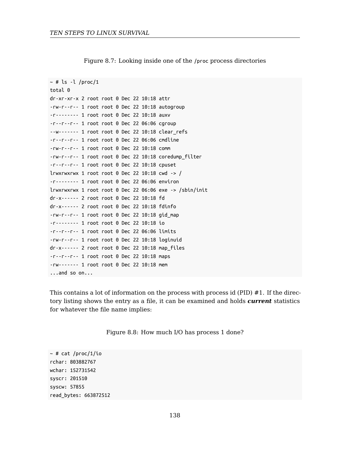Figure 8.7: Looking inside one of the /proc process directories

```
~\sim # ls -l /proc/1
total 0
dr-xr-xr-x 2 root root 0 Dec 22 10:18 attr
-rw-r--r-- 1 root root 0 Dec 22 10:18 autogroup
-r-------- 1 root root 0 Dec 22 10:18 auxv
-r--r--r-- 1 root root 0 Dec 22 06:06 cgroup
--w------- 1 root root 0 Dec 22 10:18 clear refs
-r--r--r-- 1 root root 0 Dec 22 06:06 cmdline
-rw-r--r-- 1 root root 0 Dec 22 10:18 comm
-rw-r--r-- 1 root root 0 Dec 22 10:18 coredump_filter
-r--r--r-- 1 root root 0 Dec 22 10:18 cpuset
lrwxrwxrwx 1 root root 0 Dec 22 10:18 cm - /
-r-------- 1 root root 0 Dec 22 06:06 environ
lrwxrwxrwx 1 root root 0 Dec 22 06:06 exe -> /sbin/init
dr-x------ 2 root root 0 Dec 22 10:18 fd
dr-x------ 2 root root 0 Dec 22 10:18 fdinfo
-rw-r--r-- 1 root root 0 Dec 22 10:18 gid_map
-r-------- 1 root root 0 Dec 22 10:18 io
-r--r--r-- 1 root root 0 Dec 22 06:06 limits
-rw-r--r-- 1 root root 0 Dec 22 10:18 loginuid
dr-x------ 2 root root 0 Dec 22 10:18 map_files
-r--r--r-- 1 root root 0 Dec 22 10:18 maps
-rw------- 1 root root 0 Dec 22 10:18 mem
...and so on...
```
This contains a lot of information on the process with process id (PID) #1. If the directory listing shows the entry as a file, it can be examined and holds *current* statistics for whatever the file name implies:

Figure 8.8: How much I/O has process 1 done?

 $~\sim$  # cat /proc/1/io rchar: 803882767 wchar: 152731542 syscr: 201510 syscw: 57855 read\_bytes: 663872512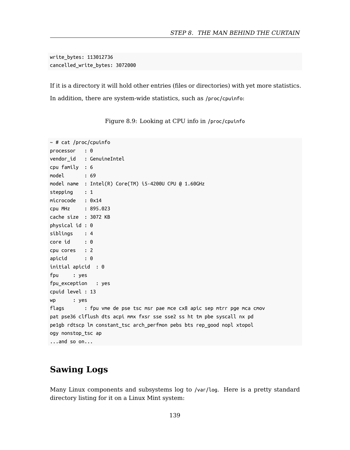write\_bytes: 113012736 cancelled\_write\_bytes: 3072000

If it is a directory it will hold other entries (files or directories) with yet more statistics. In addition, there are system-wide statistics, such as /proc/cpuinfo:

```
~ # cat /proc/cpuinfo
processor : 0
vendor_id : GenuineIntel
cpu family : 6
model : 69
model name : Intel(R) Core(TM) i5-4200U CPU @ 1.60GHz
stepping : 1
microcode : 0x14
cpu MHz : 895.023
cache size : 3072 KB
physical id : 0
siblings : 4
core id : 0
cpu cores : 2
apicid : 0
initial apicid : 0
fpu : yes
fpu_exception : yes
cpuid level : 13
wp : yes
flags : fpu vme de pse tsc msr pae mce cx8 apic sep mtrr pge mca cmov
pat pse36 clflush dts acpi mmx fxsr sse sse2 ss ht tm pbe syscall nx pd
pe1gb rdtscp lm constant_tsc arch_perfmon pebs bts rep_good nopl xtopol
ogy nonstop_tsc ap
...and so on...
```
Figure 8.9: Looking at CPU info in /proc/cpuinfo

## **Sawing Logs**

Many Linux components and subsystems log to /var/log. Here is a pretty standard directory listing for it on a Linux Mint system: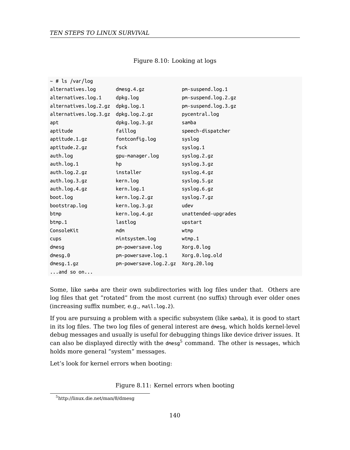#### Figure 8.10: Looking at logs

| ~ # ls /var/log       |                       |                     |
|-----------------------|-----------------------|---------------------|
| alternatives.log      | $d$ mesg. $4.9z$      | pm-suspend.log.1    |
| alternatives.log.1    | dpkg.log              | pm-suspend.log.2.gz |
| alternatives.log.2.gz | dpkg.log.1            | pm-suspend.log.3.gz |
| alternatives.log.3.gz | dpkg.log.2.gz         | pycentral.log       |
| apt                   | dpkg.log.3.gz         | samba               |
| aptitude              | faillog               | speech-dispatcher   |
| aptitude.1.gz         | fontconfig.log        | syslog              |
| aptitude.2.gz         | fsck                  | syslog.1            |
| auth.log              | gpu-manager.log       | syslog.2.gz         |
| auth.log.1            | hp                    | syslog.3.gz         |
| auth.log.2.gz         | installer             | syslog.4.gz         |
| auth.log.3.gz         | kern.log              | syslog.5.gz         |
| auth.log.4.gz         | kern.log.1            | syslog.6.gz         |
| boot.log              | kern.log.2.gz         | syslog.7.gz         |
| bootstrap.log         | kern.log.3.gz         | udev                |
| btmp                  | kern.log.4.gz         | unattended-upgrades |
| btmp.1                | lastlog               | upstart             |
| ConsoleKit            | mdm                   | wtmp                |
| <b>CUDS</b>           | mintsystem.log        | wtmp.1              |
| dmesg                 | pm-powersave.log      | Xorg.0.log          |
| dmesg.0               | pm-powersave.log.1    | Xorg.0.log.old      |
| $d$ mesq.1.qz         | pm-powersave.log.2.gz | Xorg.20.log         |
| $\ldots$ and so on    |                       |                     |

<span id="page-139-0"></span>Some, like samba are their own subdirectories with log files under that. Others are lo[g files that get "rotated" fro](http://linux.die.net/man/8/dmesg)m the most current (no suffix) through ever older ones (increasing suffix number, e.g., mail.log.2).

If you are pursuing a problem with a specific subsystem (like samba), it is good to start in its log files. The two log files of general interest are dmesg, which holds kernel-level debug messages and usually is useful for debugging things like device driver issues. It can also be displayed directly with the dmesg<sup>5</sup> command. The other is messages, which holds more general "system" messages.

Let's look for kernel errors when booting:

Figure 8.11: Kernel errors when booting

<sup>5</sup>http://linux.die.net/man/8/dmesg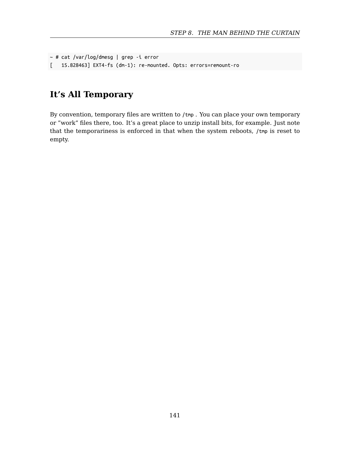```
~ # cat /var/log/dmesg | grep -i error
[ 15.828463] EXT4-fs (dm-1): re-mounted. Opts: errors=remount-ro
```
## **It's All Temporary**

By convention, temporary files are written to /tmp . You can place your own temporary or "work" files there, too. It's a great place to unzip install bits, for example. Just note that the temporariness is enforced in that when the system reboots, /tmp is reset to empty.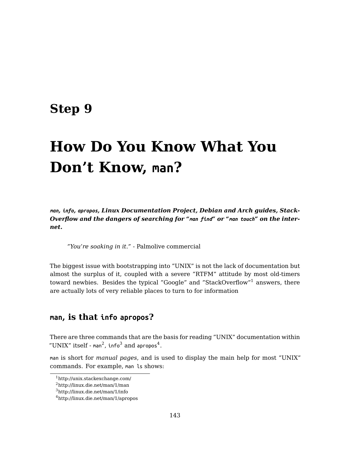## **Step 9**

# **How Do You Know What You Don't Know, man?**

*man, info, apropos, Linux Documentation Project, Debian and Arch guides, Stack-Overflow and the dangers of searching for "man find" or "man touch" on the internet.*

*"You're soa[ki](#page-142-0)ng i[n i](#page-142-1)t."* - Palmol[iv](#page-142-2)e commercial

<span id="page-142-1"></span><span id="page-142-0"></span>The biggest issue with bootstrapping into "UNIX" is not the lack of documentation but al[most the surplus of it, cou](http://unix.stackexchange.com/)pled with a severe "RTFM" attitude by most old-timers to[ward newbies. Besides t](http://linux.die.net/man/1/man)he typical "Google" and "StackOverflow"<sup>1</sup> answers, there ar[e actually lots of very rel](http://linux.die.net/man/1/info)iable places to turn to for information

### <span id="page-142-2"></span>**man, is that info apropos?**

There are three commands that are the basis for reading "UNIX" documentation within "UNIX" itself - <code>man<sup>2</code>, <code>info<sup>3</code> and <code>apropos<sup>4</code>.</code></sup></code></sup></code></sup>

man is short for *manual pages*, and is used to display the main help for most "UNIX" commands. For example, man ls shows:

<sup>1</sup>http://unix.stackexchange.com/

 $^2$ http://linux.die.net/man/1/man

<sup>3</sup>http://linux.die.net/man/1/info

<sup>4</sup>http://linux.die.net/man/1/apropos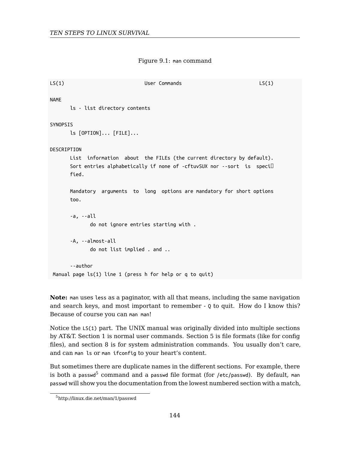Figure 9.1: man command

```
LS(1) User Commands LS(1) LS(1)
NAME
      ls - list directory contents
SYNOPSIS
      ls [OPTION]... [FILE]...
DESCRIPTION
      List information about the FILEs (the current directory by default).
      Sort entries alphabetically if none of -cftuvSUX nor --sort is speci
      fied.
      Mandatory arguments to long options are mandatory for short options
      too.
      -a, --all
            do not ignore entries starting with .
      -A, --almost-all
            do not list implied . and ..
      --author
Manual page ls(1) line 1 (press h for help or q to quit)
```
<span id="page-143-0"></span>**Note:** man uses less [as a pagin](http://linux.die.net/man/1/passwd)ator, with all that means, including the same navigation and search keys, and most important to remember - Q to quit. How do I know this? Because of course you can man man!

Notice the LS(1) part. The UNIX manual was originally divided into multiple sections by AT&T. Section 1 is normal user commands. Section 5 is file formats (like for config files), and section 8 is for system administration commands. You usually don't care, and can man ls or man ifconfig to your heart's content.

But sometimes there are duplicate names in the different sections. For example, there is both a passwd $^5$  command and a passwd file format (for /etc/passwd). By default, man passwd will show you the documentation from the lowest numbered section with a match,

<sup>5</sup>http://linux.die.net/man/1/passwd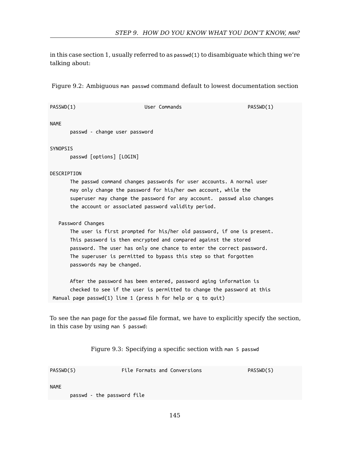in this case section 1, usually referred to as passwd(1) to disambiguate which thing we're talking about:

Figure 9.2: Ambiguous man passwd command default to lowest documentation section

| PASSWD(1)                                     | User Commands                                                                                                                                                                                                                                                                           | PASSWD(1)                                                                                  |
|-----------------------------------------------|-----------------------------------------------------------------------------------------------------------------------------------------------------------------------------------------------------------------------------------------------------------------------------------------|--------------------------------------------------------------------------------------------|
| <b>NAME</b><br>passwd - change user password  |                                                                                                                                                                                                                                                                                         |                                                                                            |
| SYNOPSIS<br>passwd [options] [LOGIN]          |                                                                                                                                                                                                                                                                                         |                                                                                            |
| DESCRIPTION                                   | The passwd command changes passwords for user accounts. A normal user<br>may only change the password for his/her own account, while the<br>superuser may change the password for any account. passwd also changes<br>the account or associated password validity period.               |                                                                                            |
| Password Changes<br>passwords may be changed. | The user is first prompted for his/her old password, if one is present.<br>This password is then encrypted and compared against the stored<br>password. The user has only one chance to enter the correct password.<br>The superuser is permitted to bypass this step so that forgotten |                                                                                            |
|                                               | After the password has been entered, password aging information is<br>checked to see if the user is permitted to change the password at this<br>Manual page passwd(1) line 1 (press h for help or q to quit)                                                                            |                                                                                            |
| in this case by using man 5 passwd:           |                                                                                                                                                                                                                                                                                         | To see the man page for the passwd file format, we have to explicitly specify the section, |

Figure 9.3: Specifying a specific section with man 5 passwd

| PASSWD(5) | File Formats and Conversions         | PASSWD(5) |
|-----------|--------------------------------------|-----------|
| NAME      | a consider the contractor of CAT and |           |

passwd - the password file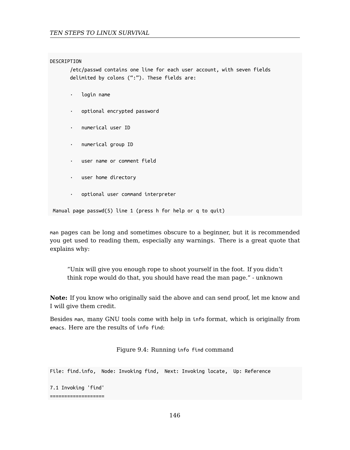#### DESCRIPTION

/etc/passwd contains one line for each user account, with seven fields delimited by colons (":"). These fields are:

- · login name
- · optional encrypted password
- · numerical user ID
- · numerical group ID
- user name or comment field
- · user home directory
- · optional user command interpreter

Manual page passwd(5) line 1 (press h for help or q to quit)

man pages can be long and sometimes obscure to a beginner, but it is recommended you get used to reading them, especially any warnings. There is a great quote that explains why:

"Unix will give you enough rope to shoot yourself in the foot. If you didn't think rope would do that, you should have read the man page." - unknown

**Note:** If you know who originally said the above and can send proof, let me know and I will give them credit.

Besides man, many GNU tools come with help in info format, which is originally from emacs. Here are the results of info find:

Figure 9.4: Running info find command

File: find.info, Node: Invoking find, Next: Invoking locate, Up: Reference

7.1 Invoking 'find' ===================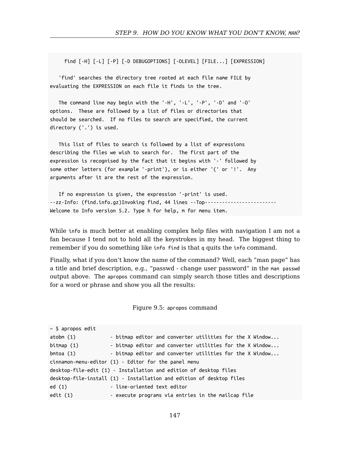find [-H] [-L] [-P] [-D DEBUGOPTIONS] [-OLEVEL] [FILE...] [EXPRESSION]

'find' searches the directory tree rooted at each file name FILE by evaluating the EXPRESSION on each file it finds in the tree.

The command line may begin with the '-H', '-L', '-P', '-D' and '-O' options. These are followed by a list of files or directories that should be searched. If no files to search are specified, the current directory ('.') is used.

This list of files to search is followed by a list of expressions describing the files we wish to search for. The first part of the expression is recognised by the fact that it begins with '-' followed by some other letters (for example '-print'), or is either '(' or '!'. Any arguments after it are the rest of the expression.

If no expression is given, the expression '-print' is used. --zz-Info: (find.info.gz)Invoking find, 44 lines --Top----Welcome to Info version 5.2. Type h for help, m for menu item.

While info is much better at enabling complex help files with navigation I am not a fan because I tend not to hold all the keystrokes in my head. The biggest thing to remember if you do something like info find is that q quits the info command.

Finally, what if you don't know the name of the command? Well, each "man page" has a title and brief description, e.g., "passwd - change user password" in the man passwd output above. The apropos command can simply search those titles and descriptions for a word or phrase and show you all the results:

Figure 9.5: apropos command

 $~\sim$  \$ apropos edit atobm (1) - bitmap editor and converter utilities for the X Window... bitmap (1) - bitmap editor and converter utilities for the X Window... bmtoa (1) - bitmap editor and converter utilities for the X Window... cinnamon-menu-editor (1) - Editor for the panel menu desktop-file-edit (1) - Installation and edition of desktop files desktop-file-install (1) - Installation and edition of desktop files ed (1) - line-oriented text editor edit (1) - execute programs via entries in the mailcap file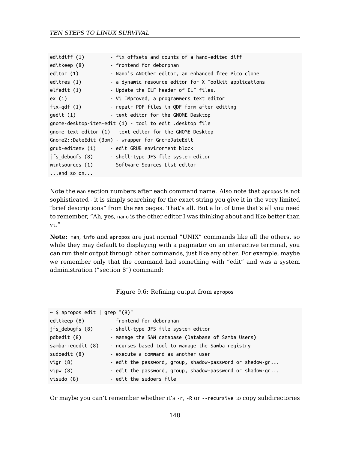| editdiff (1)       | - fix offsets and counts of a hand-edited diff            |
|--------------------|-----------------------------------------------------------|
| editkeep (8)       | - frontend for deborphan                                  |
| editor (1)         | - Nano's ANOther editor, an enhanced free Pico clone      |
| editres (1)        | - a dynamic resource editor for X Toolkit applications    |
| elfedit (1)        | - Update the ELF header of ELF files.                     |
| ex(1)              | - Vi IMproved, a programmers text editor                  |
| fix-qdf $(1)$      | - repair PDF files in QDF form after editing              |
| qedit (1)          | - text editor for the GNOME Desktop                       |
|                    | gnome-desktop-item-edit (1) - tool to edit .desktop file  |
|                    | gnome-text-editor (1) - text editor for the GNOME Desktop |
|                    | Gnome2::DateEdit (3pm) - wrapper for GnomeDateEdit        |
| grub-editenv (1)   | - edit GRUB environment block                             |
| ifs debugfs (8)    | - shell-type JFS file system editor                       |
| mintsources (1)    | - Software Sources List editor                            |
| $\ldots$ and so on |                                                           |

Note the man section numbers after each command name. Also note that apropos is not sophisticated - it is simply searching for the exact string you give it in the very limited "brief descriptions" from the man pages. That's all. But a lot of time that's all you need to remember, "Ah, yes, nano is the other editor I was thinking about and like better than vi."

**Note:** man, info and apropos are just normal "UNIX" commands like all the others, so while they may default to displaying with a paginator on an interactive terminal, you can run their output through other commands, just like any other. For example, maybe we remember only that the command had something with "edit" and was a system administration ("section 8") command:

Figure 9.6: Refining output from apropos

| $\sim$ \$ apropos edit   grep "(8)" |                                                          |  |  |
|-------------------------------------|----------------------------------------------------------|--|--|
| editkeep (8)                        | - frontend for deborphan                                 |  |  |
| jfs debugfs (8)                     | - shell-type JFS file system editor                      |  |  |
| pdbedit (8)                         | - manage the SAM database (Database of Samba Users)      |  |  |
| samba-regedit (8)                   | - ncurses based tool to manage the Samba registry        |  |  |
| sudoedit (8)                        | - execute a command as another user                      |  |  |
| vigr $(8)$                          | - edit the password, group, shadow-password or shadow-gr |  |  |
| vipw(8)                             | - edit the password, group, shadow-password or shadow-gr |  |  |
| visudo (8)                          | - edit the sudoers file                                  |  |  |

Or maybe you can't remember whether it's -r, -R or --recursive to copy subdirectories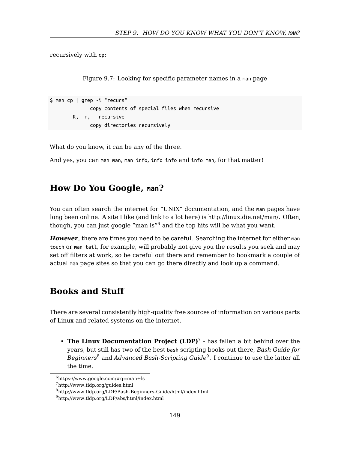#### *STEP 9. HOW DO YOU KNOW WHAT YOU DON'T KNOW, MAN?*

recursively with cp:

Figure 9.7: Looking for specific parameter names in a man page

```
$ man cp | grep -i "recurs"
              copy contents of special files when recursive
       -R, -r, --recursive
              copy directories recursively
```
What do you know, it can be any of the three.

And yes, you can man man, man info, info info and info man, for that matter!

## **How Do You Google, man?**

You can often search the internet for "UNIX" documentation, and the man pages have long been online. A site I like (and link to a lot here) is http://linux.die.net/man/. Often, though, you can just google "man  $ls''^6$  and the top hits will be what you want.

*However*, there are times you need to be careful. [Se](#page-148-1)arching the internet for either man touch or man tail, for example, will probably not give you the results you seek and may set off filters at [w](#page-148-2)ork, so be careful out there and re[me](#page-148-3)mber to bookmark a couple of actual man page sites so that you can go there directly and look up a command.

## <span id="page-148-3"></span><span id="page-148-2"></span><span id="page-148-1"></span><span id="page-148-0"></span>**B[ooks and Stuff](http://www.tldp.org/LDP/Bash-Beginners-Guide/html/index.html)**

There are several consistently high-quality free sources of information on various parts of Linux and related systems on the internet.

• **The Linux Documentation Project (LDP)**<sup>7</sup> - has fallen a bit behind over the years, but still has two of the best bash scripting books out there, *Bash Guide for Beginners*<sup>8</sup> and *Advanced Bash-Scripting Guide*<sup>9</sup> . I continue to use the latter all the time.

 $6$ https://www.google.com/#q=man+ls

<sup>7</sup>http://www.tldp.org/guides.html

<sup>8</sup>http://www.tldp.org/LDP/Bash-Beginners-Guide/html/index.html

 $^9$ http://www.tldp.org/LDP/abs/html/index.html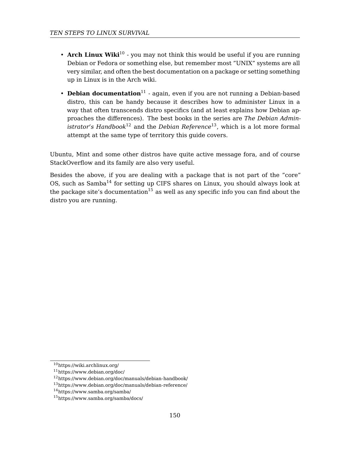- **Arch Linux Wiki**<sup>10</sup> you may not think this would be useful if you are running Debian or Fedora or something else, but remember most "UNIX" systems are all very similar, and often the best documentation on a package or setting something up in Linux i[s in](#page-149-0) the Arch wiki.
- **Debian documentation**<sup>11</sup>  [a](#page-149-1)gain, even if you are not running a Debian-based distro, this can be handy because it describes how to administer Linux in a way that often transcends distro specifics (and at least explains how Debian approaches the differences). The best books in the series are *The Debian Administrator's Handbook*<sup>12</sup> and the *Debian Reference*<sup>13</sup>, which is a lot more formal attempt at the same type of territory this guide covers.

Ubuntu, Mint and some other distros have quite active message fora, and of course StackOverflow and its family are also very useful.

Besides the above, if you are dealing with a package that is not part of the "core" OS, such as Samba<sup>14</sup> for setting up CIFS shares on Linux, you should always look at the package site's documentation<sup>15</sup> as well as any specific info you can find about the distro you are running.

<span id="page-149-1"></span><span id="page-149-0"></span><sup>10</sup>https://wiki.archlinux.org/

<sup>11</sup>https://www.debian.org/doc/

<sup>12</sup>https://www.debian.org/doc/manuals/debian-handbook/

<sup>13</sup>https://www.debian.org/doc/manuals/debian-reference/

<sup>14</sup>https://www.samba.org/samba/

<sup>15</sup>https://www.samba.org/samba/docs/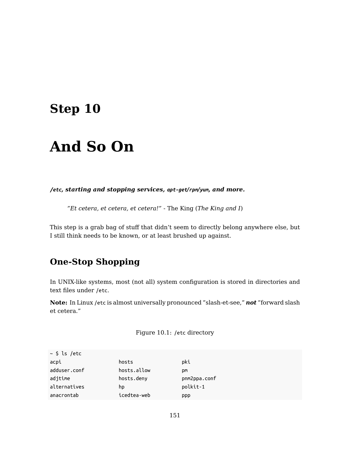## **Step 10**

# **And So On**

*/etc, starting and stopping services, apt-get/rpm/yum, and more.*

*"Et cetera, et cetera, et cetera!"* - The King (*The King and I*)

This step is a grab bag of stuff that didn't seem to directly belong anywhere else, but I still think needs to be known, or at least brushed up against.

## **One-Stop Shopping**

In UNIX-like systems, most (not all) system configuration is stored in directories and text files under /etc.

**Note:** In Linux /etc is almost universally pronounced "slash-et-see," *not* "forward slash et cetera."

Figure 10.1: /etc directory

| $\sim$ \$ ls /etc |             |              |
|-------------------|-------------|--------------|
| acpi              | hosts       | pki          |
| adduser.conf      | hosts.allow | DM.          |
| adjtime           | hosts.deny  | pnm2ppa.conf |
| alternatives      | hp          | polkit-1     |
| anacrontab        | icedtea-web | <b>PPP</b>   |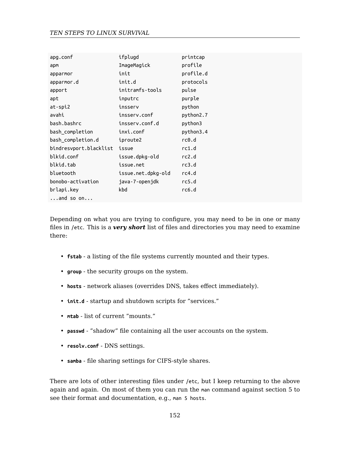| apg.conf               | ifplugd            | printcap  |
|------------------------|--------------------|-----------|
| apm                    | ImageMagick        | profile   |
| аррагтог               | init               | profile.d |
| apparmor.d             | init.d             | protocols |
| apport                 | initramfs-tools    | pulse     |
| apt                    | inputrc            | purple    |
| at-spi2                | insserv            | python    |
| avahi                  | insserv.conf       | python2.7 |
| bash.bashrc            | insserv.conf.d     | python3   |
| bash completion        | inxi.conf          | python3.4 |
| bash completion.d      | iproute2           | rc0.d     |
| bindresvport.blacklist | issue              | rc1.d     |
| blkid.conf             | issue.dpkg-old     | rc2.d     |
| blkid.tab              | issue.net          | rc3.d     |
| bluetooth              | issue.net.dpkg-old | rc4.d     |
| bonobo-activation      | java-7-openjdk     | rc5.d     |
| brlapi.key             | kbd                | rc6.d     |
| $\ldots$ and so on     |                    |           |

Depending on what you are trying to configure, you may need to be in one or many files in /etc. This is a *very short* list of files and directories you may need to examine there:

- **fstab** a listing of the file systems currently mounted and their types.
- **group** the security groups on the system.
- **hosts** network aliases (overrides DNS, takes effect immediately).
- **init.d** startup and shutdown scripts for "services."
- **mtab** list of current "mounts."
- **passwd** "shadow" file containing all the user accounts on the system.
- **resolv.conf** DNS settings.
- **samba** file sharing settings for CIFS-style shares.

There are lots of other interesting files under /etc, but I keep returning to the above again and again. On most of them you can run the man command against section 5 to see their format and documentation, e.g., man 5 hosts.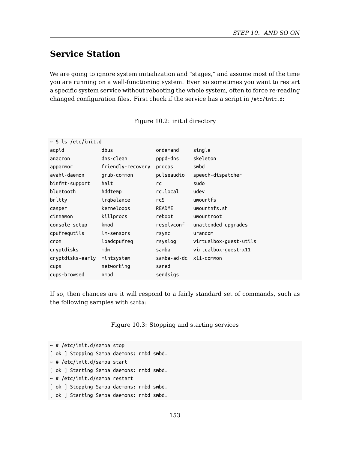## **Service Station**

We are going to ignore system initialization and "stages," and assume most of the time you are running on a well-functioning system. Even so sometimes you want to restart a specific system service without rebooting the whole system, often to force re-reading changed configuration files. First check if the service has a script in /etc/init.d:

| Figure 10.2: init.d directory |  |  |
|-------------------------------|--|--|
|-------------------------------|--|--|

| ~ \$ ls /etc/init.d |                   |               |                        |
|---------------------|-------------------|---------------|------------------------|
| acpid               | dbus              | ondemand      | single                 |
| anacron             | dns-clean         | pppd-dns      | skeleton               |
| apparmor            | friendly-recovery | procps        | smbd                   |
| avahi-daemon        | grub-common       | pulseaudio    | speech-dispatcher      |
| binfmt-support      | halt              | <b>rc</b>     | sudo                   |
| bluetooth           | hddtemp           | rc.local      | udev                   |
| brltty              | irgbalance        | <b>rcS</b>    | umountfs               |
| casper              | kerneloops        | <b>README</b> | umountnfs.sh           |
| cinnamon            | killprocs         | reboot        | umountroot             |
| console-setup       | kmod              | resolvconf    | unattended-upgrades    |
| cpufrequtils        | lm-sensors        | rsync         | urandom                |
| cron                | loadcpufreq       | rsyslog       | virtualbox-guest-utils |
| cryptdisks          | mdm               | samba         | virtualbox-quest-x11   |
| cryptdisks-early    | mintsystem        | samba-ad-dc   | x11-common             |
| cups                | networking        | saned         |                        |
| cups-browsed        | nmbd              | sendsigs      |                        |

If so, then chances are it will respond to a fairly standard set of commands, such as the following samples with samba:

Figure 10.3: Stopping and starting services

 $~\sim~\#$  /etc/init.d/samba stop [ ok ] Stopping Samba daemons: nmbd smbd. ~ # /etc/init.d/samba start [ ok ] Starting Samba daemons: nmbd smbd.  $~\sim~\#$  /etc/init.d/samba restart [ ok ] Stopping Samba daemons: nmbd smbd. [ ok ] Starting Samba daemons: nmbd smbd.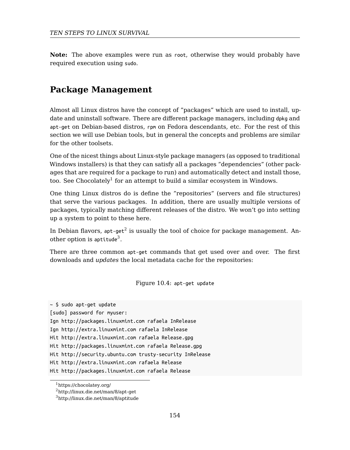**Note:** The above examples were run as root, otherwise they would probably have required execution using sudo.

## **Package Management**

Almost all Linux distros have the concept of "packages" which are used to install, update and uninstall software. There are different package managers, including dpkg and apt-get on Debian-based [di](#page-153-0)stros, rpm on Fedora descendants, etc. For the rest of this section we will use De[bia](#page-153-1)n tools, but in general the concepts and problems are similar for the other toolsets.

One of the nicest things about Linux-style package managers (as opposed to traditional Windows installers) is that they can satisfy all a packages "dependencies" (other packages that are required for a package to run) and automatically detect and install those, too. See Chocolately $^1$  for an attempt to build a similar ecosystem in Windows.

One thing Linux distros do is define the "repositories" (servers and file structures) that serve the various packages. In addition, there are usually multiple versions of packages, typically matching different releases of the distro. We won't go into setting up a system to point to these here.

In Debian flavors,  $\mathsf{apt}\text{-}\mathsf{get}^2$  is usually the tool of choice for package management. Another option is aptitude<sup>3</sup>.

There are three common apt-get commands that get used over and over. The first downloads and *updates* the local metadata cache for the repositories:

#### Figure 10.4: apt-get update

<span id="page-153-1"></span><span id="page-153-0"></span><sup>~ \$</sup> sudo apt-get update

<sup>[</sup>sudo] password for myuser:

Ign http://packages.linuxmint.com rafaela InRelease

Ign http://extra.linuxmint.com rafaela InRelease

Hit http://extra.linuxmint.com rafaela Release.gpg

Hit http://packages.linuxmint.com rafaela Release.gpg

Hit http://security.ubuntu.com trusty-security InRelease

Hit http://extra.linuxmint.com rafaela Release

Hit http://packages.linuxmint.com rafaela Release

<sup>1</sup>https://chocolatey.org/

<sup>2</sup>http://linux.die.net/man/8/apt-get

 $^3$ http://linux.die.net/man/8/aptitude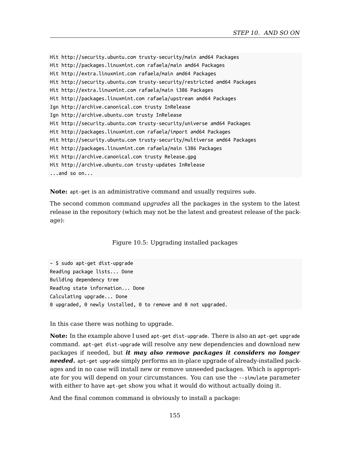```
Hit http://security.ubuntu.com trusty-security/main amd64 Packages
Hit http://packages.linuxmint.com rafaela/main amd64 Packages
Hit http://extra.linuxmint.com rafaela/main amd64 Packages
Hit http://security.ubuntu.com trusty-security/restricted amd64 Packages
Hit http://extra.linuxmint.com rafaela/main i386 Packages
Hit http://packages.linuxmint.com rafaela/upstream amd64 Packages
Ign http://archive.canonical.com trusty InRelease
Ign http://archive.ubuntu.com trusty InRelease
Hit http://security.ubuntu.com trusty-security/universe amd64 Packages
Hit http://packages.linuxmint.com rafaela/import amd64 Packages
Hit http://security.ubuntu.com trusty-security/multiverse amd64 Packages
Hit http://packages.linuxmint.com rafaela/main i386 Packages
Hit http://archive.canonical.com trusty Release.gpg
Hit http://archive.ubuntu.com trusty-updates InRelease
...and so on...
```
**Note:** apt-get is an administrative command and usually requires sudo.

The second common command *upgrades* all the packages in the system to the latest release in the repository (which may not be the latest and greatest release of the package):

Figure 10.5: Upgrading installed packages

 $~\sim$  \$ sudo apt-get dist-upgrade Reading package lists... Done Building dependency tree Reading state information... Done Calculating upgrade... Done 0 upgraded, 0 newly installed, 0 to remove and 0 not upgraded.

In this case there was nothing to upgrade.

**Note:** In the example above I used apt-get dist-upgrade. There is also an apt-get upgrade command. apt-get dist-upgrade will resolve any new dependencies and download new packages if needed, but *it may also remove packages it considers no longer needed.* apt-get upgrade simply performs an in-place upgrade of already-installed packages and in no case will install new or remove unneeded packages. Which is appropriate for you will depend on your circumstances. You can use the --simulate parameter with either to have apt-get show you what it would do without actually doing it.

And the final common command is obviously to install a package: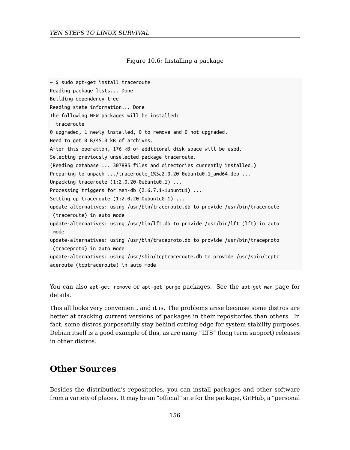Figure 10.6: Installing a package

```
~\sim $ sudo apt-get install traceroute
Reading package lists... Done
Building dependency tree
Reading state information... Done
The following NEW packages will be installed:
  traceroute
0 upgraded, 1 newly installed, 0 to remove and 0 not upgraded.
Need to get 0 B/45.0 kB of archives.
After this operation, 176 kB of additional disk space will be used.
Selecting previously unselected package traceroute.
(Reading database ... 307895 files and directories currently installed.)
Preparing to unpack .../traceroute 1%3a2.0.20-0ubuntu0.1 amd64.deb ...
Unpacking traceroute (1:2.0.20-0ubuntu0.1) ...
Processing triggers for man-db (2.6.7.1-1ubuntu1) ...
Setting up traceroute (1:2.0.20-0ubuntu0.1) ...
update-alternatives: using /usr/bin/traceroute.db to provide /usr/bin/traceroute
 (traceroute) in auto mode
update-alternatives: using /usr/bin/lft.db to provide /usr/bin/lft (lft) in auto
mode
update-alternatives: using /usr/bin/traceproto.db to provide /usr/bin/traceproto
 (traceproto) in auto mode
update-alternatives: using /usr/sbin/tcptraceroute.db to provide /usr/sbin/tcptr
aceroute (tcptraceroute) in auto mode
```
You can also apt-get remove or apt-get purge packages. See the apt-get man page for details.

This all looks very convenient, and it is. The problems arise because some distros are better at tracking current versions of packages in their repositories than others. In fact, some distros purposefully stay behind cutting edge for system stability purposes. Debian itself is a good example of this, as are many "LTS" (long term support) releases in other distros.

## **Other Sources**

Besides the distribution's repositories, you can install packages and other software from a variety of places. It may be an "official" site for the package, GitHub, a "personal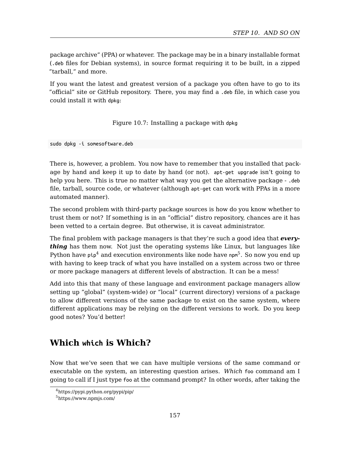*STEP 10. AND SO ON*

package archive" (PPA) or whatever. The package may be in a binary installable format (.deb files for Debian systems), in source format requiring it to be built, in a zipped "tarball," and more.

If you want the latest and greatest version of a package you often have to go to its "official" site or GitHub repository. There, you may find a .deb file, in which case you could install it with dpkg:

Figure 10.7: Installing a package with dpkg

sudo dpkg -i somesoftware.deb

There is, however, a problem. You now have to remember that you installed that package by hand and keep it up to date by hand (or not). apt-get upgrade isn't going to help you here. This is true no matter what way you get the alternative package - .deb file, tarball, source code, or whatever (although apt-get can work with PPAs in a more automated manner).

The second problem with third-party package sources is how do you know whether to trust them or not? If something is in an "official" distro repository, chances are it has been vetted to a certain degree. But otherwise, it is caveat administrator.

The final problem with package managers is that they're such a good idea that *everything* has them now. Not just the operating systems like Linux, but languages like Python have  $\mathsf{pip}^4$  and execution environments like node have  $\mathsf{npn}^5.$  So now you end up with having to keep track of what you have installed on a system across two or three or more package managers at different levels of abstraction. It can be a mess!

Add into this that many of these language and environment package managers allow se[tting up "global" \(system-w](https://pypi.python.org/pypi/pip/)ide) or "local" (current directory) versions of a package to [allow different vers](https://www.npmjs.com/)ions of the same package to exist on the same system, where different applications may be relying on the different versions to work. Do you keep good notes? You'd better!

## **Which which is Which?**

Now that we've seen that we can have multiple versions of the same command or executable on the system, an interesting question arises. *Which* foo command am I going to call if I just type foo at the command prompt? In other words, after taking the

<sup>4</sup>https://pypi.python.org/pypi/pip/

<sup>5</sup>https://www.npmjs.com/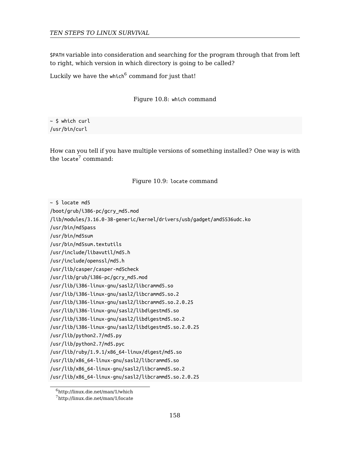\$PATH vari[ab](#page-157-0)le into consideration and searching for the program through that from left to right, which version in which directory is going to be called?

Luckily we have the which $^6$  command for just that!

Figure 10.8: which command

 $~\sim$  \$ which curl /usr/bin/curl

How can you tell if you have multiple versions of something installed? One way is with the locate<sup>7</sup> command:

#### Figure 10.9: locate command

<span id="page-157-0"></span>

| $\sim$ \$ locate md5                                                   |
|------------------------------------------------------------------------|
| /boot/grub/i386-pc/gcry md5.mod                                        |
| /lib/modules/3.16.0-38-generic/kernel/drivers/usb/gadget/amd5536udc.ko |
| /usr/bin/md5pass                                                       |
| /usr/bin/md5sum                                                        |
| /usr/bin/md5sum.textutils                                              |
| /usr/include/libavutil/md5.h                                           |
| /usr/include/openssl/md5.h                                             |
| /usr/lib/casper/casper-md5check                                        |
| /usr/lib/grub/i386-pc/gcry md5.mod                                     |
| /usr/lib/i386-linux-gnu/sasl2/libcrammd5.so                            |
| /usr/lib/i386-linux-gnu/sasl2/libcrammd5.so.2                          |
| /usr/lib/i386-linux-gnu/sasl2/libcrammd5.so.2.0.25                     |
| /usr/lib/i386-linux-gnu/sasl2/libdigestmd5.so                          |
| /usr/lib/i386-linux-gnu/sasl2/libdigestmd5.so.2                        |
| /usr/lib/i386-linux-gnu/sasl2/libdigestmd5.so.2.0.25                   |
| /usr/lib/python2.7/md5.py                                              |
| /usr/lib/python2.7/md5.pyc                                             |
| /usr/lib/ruby/1.9.1/x86 64-linux/digest/md5.so                         |
| /usr/lib/x86 64-linux-gnu/sasl2/libcrammd5.so                          |
| /usr/lib/x86 64-linux-gnu/sasl2/libcrammd5.so.2                        |
| /usr/lib/x86 64-linux-gnu/sasl2/libcrammd5.so.2.0.25                   |
|                                                                        |

<sup>6</sup>http://linux.die.net/man/1/which

<sup>7</sup>http://linux.die.net/man/1/locate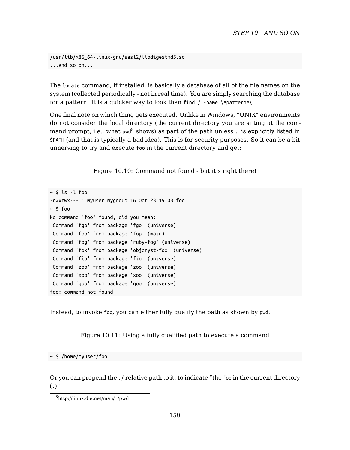*STEP 10. AND SO ON*

/usr/lib/x86\_64-linux-gnu/sasl2/libdigestmd5.so ...and so on...

The locate command, if installed, is basically a database of all of the file names on the system (collected periodically - not in real time). You are simply searching the database for a pattern. It is a quicker way to look than find  $/$  -name  $\forall$ pattern\* $\mathcal{N}$ .

One final note on which thing gets executed. Unlike in Windows, "UNIX" environments do not consider the local directory (the current directory you are sitting at the command prompt, i.e., what pwd<sup>8</sup> shows) as part of the path unless . is explicitly listed in \$PATH (and that is typically a bad idea). This is for security purposes. So it can be a bit unnerving to try and execute foo in the current directory and get:

Figure 10.10: Command not found - but it's right there!

```
~\sim $ ls -l foo
-rwxrwx--- 1 myuser mygroup 16 Oct 23 19:03 foo
~\sim $ foo
No command 'foo' found, did you mean:
Command 'fgo' from package 'fgo' (universe)
Command 'fop' from package 'fop' (main)
Command 'fog' from package 'ruby-fog' (universe)
Command 'fox' from package 'objcryst-fox' (universe)
Command 'fio' from package 'fio' (universe)
Command 'zoo' from package 'zoo' (universe)
Command 'xoo' from package 'xoo' (universe)
Command 'goo' from package 'goo' (universe)
foo: command not found
```
Instead, to invoke foo, you can either fully qualify the path as shown by pwd:

Figure 10.11: Using a fully qualified path to execute a command

~ \$ /home/myuser/foo

Or you can prepend the ./ relative path to it, to indicate "the foo in the current directory  $(.)$ ":

<sup>8</sup>http://linux.die.net/man/1/pwd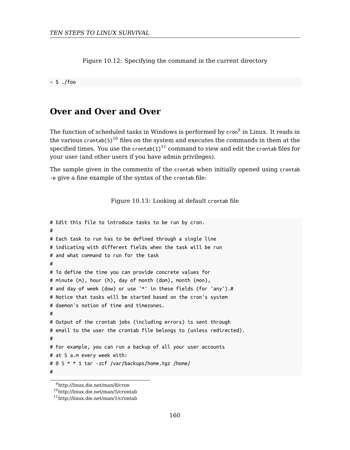Figure 10.12: Specifying the command in the current directory

 $~\sim$  \$ ./foo

## **Over and Over and Over**

The function of scheduled tasks in Windows is performed by cron<sup>9</sup> in Linux. It reads in the various crontab( $5)^{10}$  files on the system and executes the commands in them at the specified times. You use the crontab(1) $^{11}$  command to view and edit the crontab files for your user (and other users if you have admin privileges).

The sample given in the comments of the crontab when initially opened using crontab -e give a fine example of the syntax of the crontab file:

Figure 10.13: Looking at default crontab file

```
# Edit this file to introduce tasks to be run by cron.
#
# Each task to run has to be defined through a single line
# indicating with different fields when the task will be run
# and what command to run for the task
#
# To define the time you can provide concrete values for
# minute (m), hour (h), day of month (dom), month (mon),
# and day of week (dow) or use '*' in these fields (for 'any').#
# Notice that tasks will be started based on the cron's system
# daemon's notion of time and timezones.
#
# Output of the crontab jobs (including errors) is sent through
# email to the user the crontab file belongs to (unless redirected).
#
# For example, you can run a backup of all your user accounts
# at 5 a.m every week with:
# 0 5 * * 1 tar -zcf /var/backups/home.tgz /home/
#
```
<sup>9</sup>http://linux.die.net/man/8/cron

<sup>10</sup>http://linux.die.net/man/5/crontab

<sup>11</sup>http://linux.die.net/man/1/crontab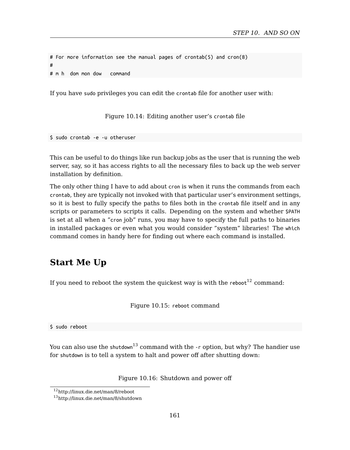*STEP 10. AND SO ON*

# For more information see the manual pages of crontab(5) and cron(8) # # m h dom mon dow command

If you have sudo privileges you can edit the crontab file for another user with:

Figure 10.14: Editing another user's crontab file

\$ sudo crontab -e -u otheruser

This can be useful to do things like run backup jobs as the user that is running the web server, say, so it has access rights to all the necessary files to back up the web server installation by definition.

The only other thing I have to add about cron is when it runs the commands from each crontab, they are typically not invoked with that particular user's environment settings, so it is best to fully specify the paths to files both in the crontab file itself and in any scripts or parameters to scripts it calls. Depending on the system and whether \$PATH is set at all when a "cron job" runs, you may have to specify the full paths to binaries in installed packages or even what you would consider "system" libraries! The which command comes in handy here for finding out where each command is installed.

## **Start Me Up**

If you need to reboot the system the quickest way is with the  $\mathsf{reboot}^{12}$  command:

Figure 10.15: reboot command

\$ sudo reboot

You can also use the shutdown<sup>13</sup> command with the  $-$ r option, but why? The handier use for shutdown is to tell a system to halt and power off after shutting down:

Figure 10.16: Shutdown and power off

<sup>12</sup>http://linux.die.net/man/8/reboot

<sup>13</sup>http://linux.die.net/man/8/shutdown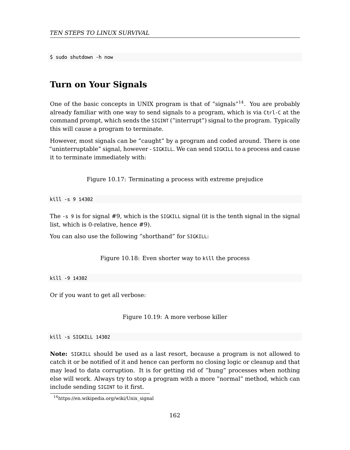\$ sudo shutdown -h now

## **Turn on Your Signals**

One of the basic concepts in UNIX program is that of "signals"<sup>14</sup>. You are probably already familiar with one way to send signals to a program, which is via Ctrl-C at the command prompt, which sends the SIGINT ("interrupt") signal to the program. Typically this will cause a program to terminate.

However, most signals can be "caught" by a program and coded around. There is one "uninterruptable" signal, however - SIGKILL. We can send SIGKILL to a process and cause it to terminate immediately with:

Figure 10.17: Terminating a process with extreme prejudice

kill -s 9 14302

The -s 9 is for signal #9, which is the SIGKILL signal (it is the tenth signal in the signal list, which is 0-relative, hence #9).

You can also use the following "shorthand" for SIGKILL:

Figure 10.18: Even shorter way to kill the process

kill -9 14302

Or [if you want to get all verbose:](https://en.wikipedia.org/wiki/Unix_signal)

Figure 10.19: A more verbose killer

kill -s SIGKILL 14302

**Note:** SIGKILL should be used as a last resort, because a program is not allowed to catch it or be notified of it and hence can perform no closing logic or cleanup and that may lead to data corruption. It is for getting rid of "hung" processes when nothing else will work. Always try to stop a program with a more "normal" method, which can include sending SIGINT to it first.

<sup>14</sup>https://en.wikipedia.org/wiki/Unix\_signal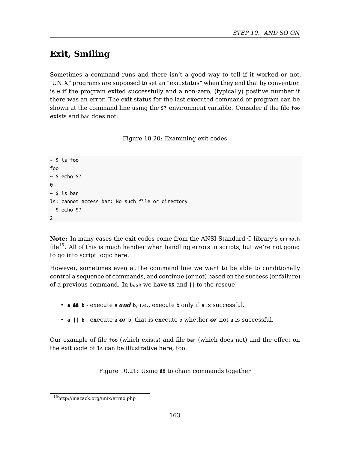*STEP 10. AND SO ON*

## **Exit, Smiling**

Sometimes a command runs and there isn't a good way to tell if it worked or not. "UNIX" programs are supposed to set an "exit status" when they end that by convention is 0 if the program exited successfully and a non-zero, (typically) positive number if there was an error. The exit status for the last executed command or program can be shown at the command line using the \$? environment variable. Consider if the file foo exists and bar does not:

Figure 10.20: Examining exit codes

```
~ $ ls foo
foo
~\sim $ echo $?
0
~\sim $ ls bar
ls: cannot access bar: No such file or directory
~\sim $ echo $?
2
```
**Note:** In many cases the exit codes come from the ANSI Standard C library's errno.h  $file^{15}$ . All of this is much handier when handling errors in scripts, but we're not going to go into script logic here.

However, sometimes even at the command line we want to be able to conditionally control a sequence of commands, and continue (or not) based on the success (or failure) of a previous command. In bash we have && and || to the rescue!

- **a && b** execute a *and* b, i.e., execute b only if a is successful.
- **a || b** execute a *or* b, that is execute b whether *or* not a is successful.

Our example of file foo (which exists) and file bar (which does not) and the effect on the exit code of ls can be illustrative here, too:

Figure 10.21: Using && to chain commands together

<sup>15</sup>http://mazack.org/unix/errno.php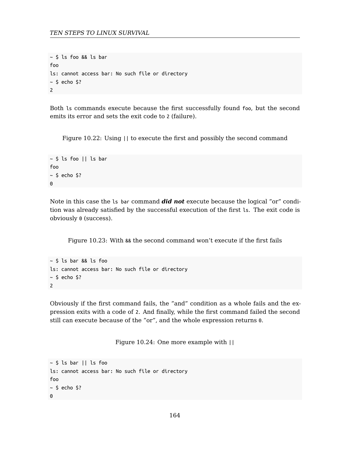```
~\sim $ ls foo && ls bar
foo
ls: cannot access bar: No such file or directory
~\sim $ echo $?
2
```
Both ls commands execute because the first successfully found foo, but the second emits its error and sets the exit code to 2 (failure).

Figure 10.22: Using || to execute the first and possibly the second command

```
~\sim $ ls foo || ls bar
foo
~\sim $ echo $?
\Omega
```
Note in this case the ls bar command *did not* execute because the logical "or" condition was already satisfied by the successful execution of the first ls. The exit code is obviously 0 (success).

Figure 10.23: With && the second command won't execute if the first fails

```
~\sim $ ls bar && ls foo
ls: cannot access bar: No such file or directory
~\sim $ echo $?
2
```
Obviously if the first command fails, the "and" condition as a whole fails and the expression exits with a code of 2. And finally, while the first command failed the second still can execute because of the "or", and the whole expression returns 0.

Figure 10.24: One more example with ||

```
~\sim $ ls bar || ls foo
ls: cannot access bar: No such file or directory
foo
~\sim $ echo $?
0
```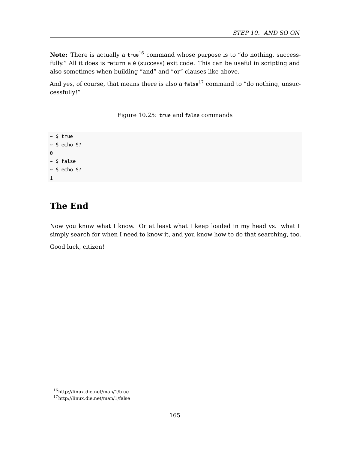*STEP 10. AND SO ON*

**Note:** There is actually a true<sup>16</sup> command whose purpose is to "do nothing, successfully." All it does is return a  $\theta$  (success) exit code. This can be useful in scripting and also sometimes when building "and" and "or" clauses like above.

And yes, of course, that means there is also a  $false^{17}$  command to "do nothing, unsuccessfully!"

Figure 10.25: true and false commands

~ \$ true  $~\sim$  \$ echo \$?  $\Theta$  $~\sim$  \$ false  $~\sim$  \$ echo \$? 1

## **The End**

Now you know what I know. Or at least what I keep loaded in my head vs. what I simply search for when I need to know it, and you know how to do that searching, too.

Good luck, citizen!

<sup>16</sup>http://linux.die.net/man/1/true

<sup>17</sup>http://linux.die.net/man/1/false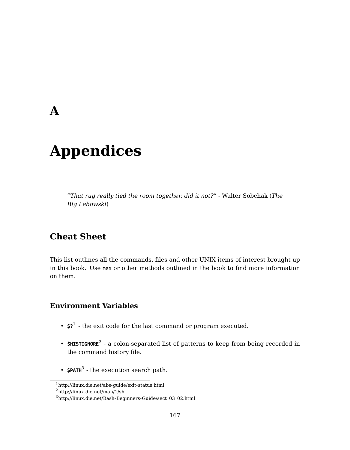## **A**

# **Appendices**

*"That rug really tied the room together, did it not?"* - Walter Sobchak (*The Big Lebowski*)

## **Cheat She[e](#page-166-0)t**

This list outlines all the commands, files and other UNIX items of interest brought up in this boo[k](#page-166-1). Use man or other methods outlined in the book to find more information on them.

### <span id="page-166-1"></span><span id="page-166-0"></span>**Environment Variables**

- **\$?**<sup>1</sup> the exit code for the last command or program executed.
- **\$HISTIGNORE**<sup>2</sup> a colon-separated list of patterns to keep from being recorded in the command history file.
- **\$PATH<sup>3</sup>** the execution search path.

 $^{\rm 1}$ http://linux.die.net/abs-guide/exit-status.html

<sup>2</sup>http://linux.die.net/man/1/sh

<sup>3</sup>http://linux.die.net/Bash-Beginners-Guide/sect\_03\_02.html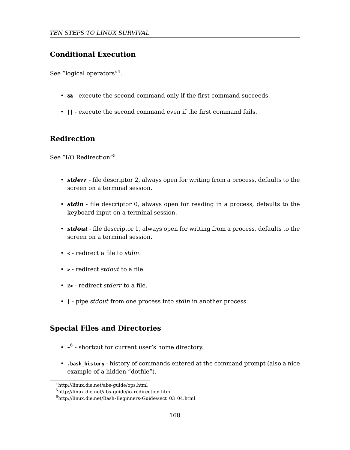#### **Conditional Exe[cu](#page-167-0)tion**

See "logical operators"<sup>4</sup>.

- **&&** execute the second command only if the first command succeeds.
- **||** execute the second command even if the first command fails.

#### **Redirection**

See "I/O Redirection"<sup>5</sup>.

- *stderr* file descriptor 2, always open for writing from a process, defaults to the screen on a terminal session.
- *stdin* file descriptor 0, always open for reading in a process, defaults to the keyboard input on a terminal session.
- *stdout* file descriptor 1, always open for writing from a process, defaults to the screen on a terminal session.
- **<** redirect a file to *stdin*.
- **>** redirect *stdout* to a file.
- <span id="page-167-0"></span>• **2>** [- redirect](http://linux.die.net/abs-guide/ops.html) *stderr* to a file.
- **|** pipe *stdout* [from one process into](http://linux.die.net/Bash-Beginners-Guide/sect_03_04.html) *stdin* in another process.

### **Special Files and Directories**

- $\sim$ <sup>6</sup> shortcut for current user's home directory.
- **.bash\_history** history of commands entered at the command prompt (also a nice example of a hidden "dotfile").

 $^4$ http://linux.die.net/abs-guide/ops.html

<sup>5</sup>http://linux.die.net/abs-guide/io-redirection.html

 $<sup>6</sup>$ http://linux.die.net/Bash-Beginners-Guide/sect\_03\_04.html</sup>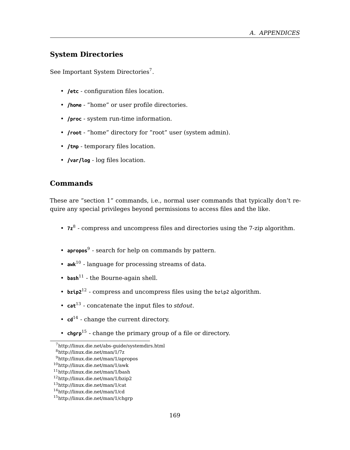*A. APPENDICES*

#### **System Directories**

See Important System Directories<sup>7</sup>.

- **/etc** configuration files location.
- **/home** "home" or user profile directories.
- **/proc** system run-time information.
- **/root** "home" directory for "root" user (system admin).
- **/tmp** -t[e](#page-168-0)mporary files location.
- **/v[ar/](#page-168-1)log** log files location.

#### **Commands**

These ar[e "](#page-168-2)section 1" commands, i.e., normal user commands that typically don't require any special privileges beyond permissions to access files and the like.

- **7z**<sup>8</sup> - [co](#page-168-3)mpress and uncompress files and directories using the 7-zip algorithm.
- **apropos**<sup>9</sup>  [search for](http://linux.die.net/man/1/7z) [help on comm](http://linux.die.net/abs-guide/systemdirs.html)ands by pattern.
- <span id="page-168-1"></span><span id="page-168-0"></span>• **awk**[10](http://linux.die.net/man/1/apropos) [- language for p](http://linux.die.net/man/1/awk)rocessing streams of data.
- <span id="page-168-2"></span> $\cdot$  **bash**<sup>[11](http://linux.die.net/man/1/bash)</sup> [- the Bourne-aga](http://linux.die.net/man/1/bzip2)in shell.
- <span id="page-168-3"></span>•  $bzip2^{12}$  [- compress a](http://linux.die.net/man/1/cd)nd uncompress files using the  $bzip2$  algorithm.
- **cat**<sup>13</sup> concatenate the input files to *stdout*.
- $\cdot$  **cd**<sup>14</sup> change the current directory.
- **chgrp**<sup>15</sup> change the primary group of a file or directory.

<sup>7</sup>http://linux.die.net/abs-guide/systemdirs.html

<sup>8</sup>http://linux.die.net/man/1/7z

<sup>9</sup>http://linux.die.net/man/1/apropos

<sup>10</sup>http://linux.die.net/man/1/awk <sup>11</sup>http://linux.die.net/man/1/bash

<sup>12</sup>http://linux.die.net/man/1/bzip2

<sup>13</sup>http://linux.die.net/man/1/cat

<sup>14</sup>http://linux.die.net/man/1/cd

<sup>15</sup>http://linux.die.net/man/1/chgrp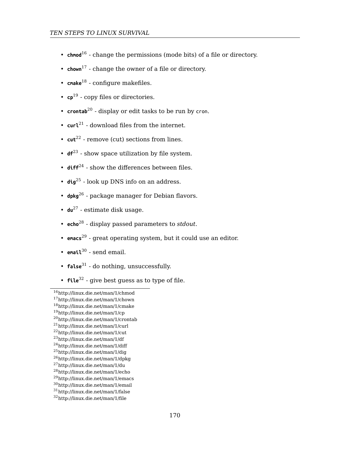- **c[hmo](#page-169-1)d**<sup>16</sup> change the permissions (mode bits) of a file or directory.
- **chown**[1](#page-169-2)7 change the owner of a file or directory.
- **cm[ake](#page-169-3)**<sup>18</sup> configure makefiles.
- **cp**<sup>19</sup> [-](#page-169-4) copy files or directories.
- **c[ron](#page-169-5)tab**<sup>20</sup> display or edit tasks to be run by cron.
- **curl**[21](#page-169-6) download files from the internet.
- $\cdot$  **cut**<sup>22</sup> [-](#page-169-7) remove (cut) sections from lines.
- **df**<sup>23</sup>  [s](#page-169-8)how space utilization by file system.
- $\cdot$  diff<sup>2[4](#page-169-9)</sup> show the differences between files.
- **dig**2[5](#page-169-10) look up DNS info on an address.
- **dpkg**<sup>26</sup>  [package manag](http://linux.die.net/man/1/chmod)er for Debian flavors.
- **du**<sup>27</sup>  [estimate disk](http://linux.die.net/man/1/cp) [usa](http://linux.die.net/man/1/cmake)ge.
- **echo**<sup>28</sup>  [display passe](http://linux.die.net/man/1/curl)[d p](http://linux.die.net/man/1/crontab)arameters to *stdout*.
- <span id="page-169-1"></span><span id="page-169-0"></span>• **emacs**[29](http://linux.die.net/man/1/cut) [- great opera](http://linux.die.net/man/1/df)ting system, but it could use an editor.
- <span id="page-169-4"></span><span id="page-169-3"></span><span id="page-169-2"></span>• **email**<sup>30</sup> [- send email.](http://linux.die.net/man/1/dig)
- <span id="page-169-6"></span><span id="page-169-5"></span>• **false**<sup>31</sup> [- do nothing,](http://linux.die.net/man/1/du) [u](http://linux.die.net/man/1/echo)nsuccessfully.
- <span id="page-169-8"></span><span id="page-169-7"></span>• **file**<sup>32</sup> [- give best guess](http://linux.die.net/man/1/emacs) as to type of file.

<span id="page-169-10"></span><span id="page-169-9"></span><sup>16</sup>[http://linux.die.net/man/1/chmo](http://linux.die.net/man/1/false)d <sup>17</sup>[http://linux.die.net/man/1/cho](http://linux.die.net/man/1/file)wn

<sup>18</sup>http://linux.die.net/man/1/cmake

<sup>19</sup>http://linux.die.net/man/1/cp

<sup>20</sup>http://linux.die.net/man/1/crontab

<sup>21</sup>http://linux.die.net/man/1/curl

<sup>22</sup>http://linux.die.net/man/1/cut

<sup>23</sup>http://linux.die.net/man/1/df

<sup>24</sup>http://linux.die.net/man/1/diff <sup>25</sup>http://linux.die.net/man/1/dig

<sup>26</sup>http://linux.die.net/man/1/dpkg

<sup>27</sup>http://linux.die.net/man/1/du

<sup>28</sup>http://linux.die.net/man/1/echo

<sup>29</sup>http://linux.die.net/man/1/emacs

<sup>30</sup>http://linux.die.net/man/1/email

<sup>31</sup>http://linux.die.net/man/1/false

<sup>32</sup>http://linux.die.net/man/1/file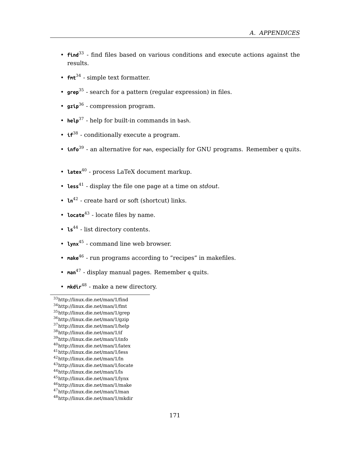#### *A. APPENDICES*

- **find**<sup>33</sup> find files based on various conditions and execute actions against the results.
- **fmt**<sup>34</sup> simple text formatter.
- **grep**<sup>35</sup> search for a pattern (regular expression) in files.
- **gzip**<sup>36</sup> compression program.
- **help**<sup>37</sup> help for built-in commands in bash.
- **if**<sup>38</sup> conditionally execute a program.
- **info**<sup>39</sup> an alternative for man, especially for GNU programs. Remember q quits.
- **la[tex](#page-170-0)**<sup>40</sup> process LaTeX document markup.
- **less**4[1](#page-170-1) display the file one page at a time on *stdout*.
- **ln**<sup>42</sup>  [create hard or s](http://linux.die.net/man/1/find)oft (shortcut) links.
- **locate**<sup>43</sup>  [locate files b](http://linux.die.net/man/1/grep)y name.
- **ls**<sup>44</sup>  [list directory](http://linux.die.net/man/1/if) [co](http://linux.die.net/man/1/help)ntents.
- **lynx**<sup>45</sup>  [command line](http://linux.die.net/man/1/latex) web browser.
- **make**[46](http://linux.die.net/man/1/less)  [run program](http://linux.die.net/man/1/ln)s according to "recipes" in makefiles.
- **man**<sup>47</sup>  [display manu](http://linux.die.net/man/1/ls)[a](http://linux.die.net/man/1/lynx)l pages. Remember q quits.
- <span id="page-170-0"></span>• mkdir<sup>48</sup> [- make a new d](http://linux.die.net/man/1/make)irectory.

<sup>43</sup>http://linux.die.net/man/1/locate <sup>44</sup>http://linux.die.net/man/1/ls

<span id="page-170-1"></span><sup>33</sup>[http://linux.die.net/man/1/find](http://linux.die.net/man/1/mkdir)

<sup>34</sup>http://linux.die.net/man/1/fmt

<sup>35</sup>http://linux.die.net/man/1/grep <sup>36</sup>http://linux.die.net/man/1/gzip

<sup>37</sup>http://linux.die.net/man/1/help

<sup>38</sup>http://linux.die.net/man/1/if

<sup>39</sup>http://linux.die.net/man/1/info

<sup>40</sup>http://linux.die.net/man/1/latex

<sup>41</sup>http://linux.die.net/man/1/less

<sup>42</sup>http://linux.die.net/man/1/ln

<sup>45</sup>http://linux.die.net/man/1/lynx

<sup>46</sup>http://linux.die.net/man/1/make

<sup>47</sup>http://linux.die.net/man/1/man

<sup>48</sup>http://linux.die.net/man/1/mkdir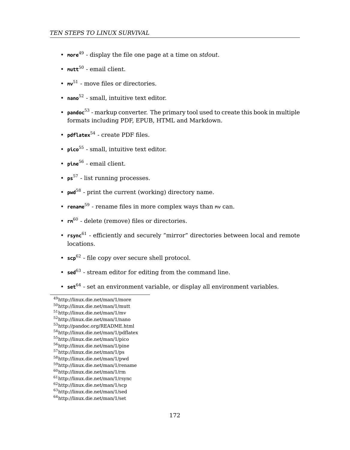- **more**<sup>49</sup> display the file one page at a time on *stdout*.
- mutt<sup>50</sup> email client.
- **mv**<sup>51</sup> move files or directories.
- **nano**<sup>52</sup> small, intuitive text editor.
- **pandoc**<sup>53</sup> markup converter. The primary tool used to create this book in multiple fo[rm](#page-171-1)ats including PDF, EPUB, HTML and Markdown.
- **pdfla[te](#page-171-2)x**<sup>54</sup> create PDF files.
- **pico**<sup>55</sup> small, intuitive text editor.
- **pine**<sup>56</sup> email client.
- **ps**<sup>57</sup> list running processes.
- **pwd**<sup>58</sup> print the current (working) directory name.
- **rename**<sup>59</sup>  [rename files](http://linux.die.net/man/1/mutt) in more complex ways than mv can.
- **rm**<sup>60</sup>  [delete \(remove\)](http://linux.die.net/man/1/nano) [fi](http://pandoc.org/README.html)les or directories.
- <span id="page-171-0"></span>• **rsync**<sup>61</sup> [- efficiently and s](http://linux.die.net/man/1/pdflatex)ecurely "mirror" directories between local and remote [locations.](http://linux.die.net/man/1/pine)
- **scp**[62](http://linux.die.net/man/1/ps)  [file copy over s](http://linux.die.net/man/1/pwd)ecure shell protocol.
- <span id="page-171-2"></span><span id="page-171-1"></span>• **sed**<sup>63</sup> [- stream editor](http://linux.die.net/man/1/rm) [fo](http://linux.die.net/man/1/rsync)r editing from the command line.
- **set**<sup>64</sup>  [set an environ](http://linux.die.net/man/1/scp)ment variable, or display all environment variables.

<sup>49</sup>[http://linux.die.net/man/1/mor](http://linux.die.net/man/1/set)e

<sup>50</sup>http://linux.die.net/man/1/mutt

<sup>51</sup>http://linux.die.net/man/1/mv <sup>52</sup>http://linux.die.net/man/1/nano

<sup>53</sup>http://pandoc.org/README.html

<sup>54</sup>http://linux.die.net/man/1/pdflatex

<sup>55</sup>http://linux.die.net/man/1/pico

<sup>56</sup>http://linux.die.net/man/1/pine

<sup>57</sup>http://linux.die.net/man/1/ps

<sup>58</sup>http://linux.die.net/man/1/pwd

<sup>59</sup>http://linux.die.net/man/1/rename <sup>60</sup>http://linux.die.net/man/1/rm

<sup>61</sup>http://linux.die.net/man/1/rsync

<sup>62</sup>http://linux.die.net/man/1/scp

<sup>63</sup>http://linux.die.net/man/1/sed

<sup>64</sup>http://linux.die.net/man/1/set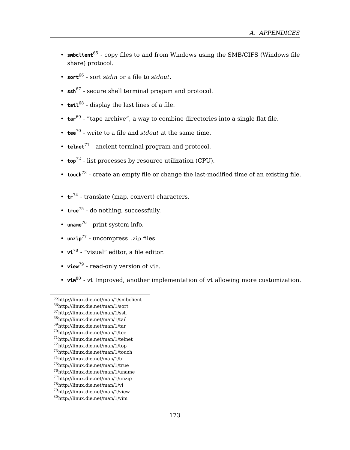#### *A. APPENDICES*

- **sm[bcl](#page-172-0)ient**<sup>65</sup> copy files to and from Windows using the SMB/CIFS (Windows file share) protocol.
- $\bullet\;\; \mathsf{sort}^{\mathsf{66}}$  $\bullet\;\; \mathsf{sort}^{\mathsf{66}}$  $\bullet\;\; \mathsf{sort}^{\mathsf{66}}$  sort  $\mathsf{std}$  or a file to  $\mathsf{std} \mathsf{out}.$
- **s[sh](#page-172-2)**<sup>67</sup> secure shell terminal progam and protocol.
- **tai[l](#page-172-3)**<sup>68</sup> display the last lines of a file.
- **tar**<sup>69</sup> [-](#page-172-4) "tape archive", a way to combine directories into a single flat file.
- **tee**<sup>70</sup> [-](#page-172-5) write to a file and *stdout* at the same time.
- **t[eln](#page-172-6)et**<sup>71</sup> ancient terminal program and protocol.
- **top**<sup>72</sup> [-](#page-172-7) list processes by resource utilization (CPU).
- **to[uch](#page-172-8)**<sup>73</sup> create an empty file or change the last-modified time of an existing file.
- **tr**<sup>74</sup>  [translate \(map, conv](http://linux.die.net/man/1/smbclient)ert) characters.
- **true**<sup>75</sup>  [do nothing, s](http://linux.die.net/man/1/ssh)[u](http://linux.die.net/man/1/sort)ccessfully.
- **uname**[76](http://linux.die.net/man/1/tail)  [print system](http://linux.die.net/man/1/tar) info.
- <span id="page-172-0"></span>• **unzip**[77](http://linux.die.net/man/1/tee) [- uncompress](http://linux.die.net/man/1/telnet) .zip files.
- <span id="page-172-2"></span><span id="page-172-1"></span>• **vi**<sup>78</sup> [- "visual" editor, a](http://linux.die.net/man/1/touch) file editor.
- <span id="page-172-4"></span><span id="page-172-3"></span>• **view**<sup>79</sup> [- read-only vers](http://linux.die.net/man/1/true)[io](http://linux.die.net/man/1/uname)n of vim.
- <span id="page-172-7"></span><span id="page-172-6"></span><span id="page-172-5"></span>**• vin**<sup>80</sup> - vi [Improved, an](http://linux.die.net/man/1/unzip)other implementation of vi allowing more customization.

<span id="page-172-8"></span><sup>65</sup>[http://linux.die.net/man/1/smb](http://linux.die.net/man/1/vim)client

<sup>66</sup>http://linux.die.net/man/1/sort

<sup>67</sup>http://linux.die.net/man/1/ssh

<sup>68</sup>http://linux.die.net/man/1/tail <sup>69</sup>http://linux.die.net/man/1/tar

<sup>70</sup>http://linux.die.net/man/1/tee

<sup>71</sup>http://linux.die.net/man/1/telnet

<sup>72</sup>http://linux.die.net/man/1/top

<sup>73</sup>http://linux.die.net/man/1/touch

<sup>74</sup>http://linux.die.net/man/1/tr

<sup>75</sup>http://linux.die.net/man/1/true

<sup>76</sup>http://linux.die.net/man/1/uname

<sup>77</sup>http://linux.die.net/man/1/unzip <sup>78</sup>http://linux.die.net/man/1/vi

<sup>79</sup>http://linux.die.net/man/1/view

<sup>80</sup>http://linux.die.net/man/1/vim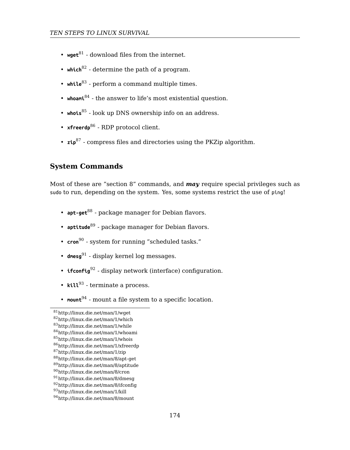- **wget**<sup>81</sup> download files from the internet.
- **which**<sup>82</sup> determine the path of a program.
- while<sup>83</sup> perform a command multiple times.
- whoam<sup>i84</sup> the answer to life's most existential question.
- **whois**<sup>85</sup> [-](#page-173-0) look up DNS ownership info on an address.
- **xfreerdp**[86](#page-173-1) RDP protocol client.
- **zip**8[7](#page-173-2) compress files and directories using the PKZip algorithm.

#### **System Co[m](#page-173-3)mands**

Most of t[hes](#page-173-4)e are "section 8" commands, and *may* require special privileges such as sudo to run, depending on the system. Yes, some systems restrict the use of ping!

- **apt-get**<sup>88</sup>  [package ma](http://linux.die.net/man/1/wget)nager for Debian flavors.
- **aptitude**<sup>89</sup>  [package m](http://linux.die.net/man/1/while)[an](http://linux.die.net/man/1/whoami)ager for Debian flavors.
- **cron**<sup>90</sup>  [system for run](http://linux.die.net/man/1/whois)[nin](http://linux.die.net/man/1/xfreerdp)g "scheduled tasks."
- <span id="page-173-0"></span>• **dmesg**<sup>91</sup> [- display kernel l](http://linux.die.net/man/8/apt-get)og messages.
- <span id="page-173-2"></span><span id="page-173-1"></span>• **ifconfig**[92](http://linux.die.net/man/8/aptitude) [- display ne](http://linux.die.net/man/8/cron)twork (interface) configuration.
- <span id="page-173-4"></span><span id="page-173-3"></span>• **kill**<sup>93</sup> [- terminate a proc](http://linux.die.net/man/8/ifconfig)ess.
- **mount**<sup>94</sup>  [mount a file sy](http://linux.die.net/man/8/mount)stem to a specific location.

<sup>81</sup>http://linux.die.net/man/1/wget

<sup>82</sup>http://linux.die.net/man/1/which <sup>83</sup>http://linux.die.net/man/1/while

<sup>84</sup>http://linux.die.net/man/1/whoami

<sup>85</sup>http://linux.die.net/man/1/whois

<sup>86</sup>http://linux.die.net/man/1/xfreerdp

<sup>87</sup>http://linux.die.net/man/1/zip

<sup>88</sup>http://linux.die.net/man/8/apt-get

<sup>89</sup>http://linux.die.net/man/8/aptitude <sup>90</sup>http://linux.die.net/man/8/cron

<sup>91</sup>http://linux.die.net/man/8/dmesg

<sup>92</sup>http://linux.die.net/man/8/ifconfig

<sup>93</sup>http://linux.die.net/man/1/kill

<sup>94</sup>http://linux.die.net/man/8/mount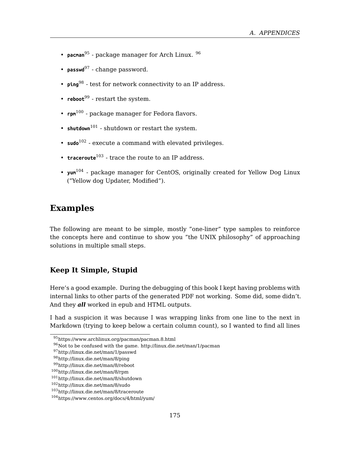*A. APPENDICES*

- **pacman**<sup>95</sup> - [pac](#page-174-0)kage manager for Arch Linux. <sup>96</sup>
- **pa[sswd](#page-174-1)**<sup>97</sup> change password.
- **ping**<sup>98</sup> test for network connectivity to an IP address.
- $\mathsf{reboot}^{99}$  restart the system.
- **rpm**<sup>100</sup> package manager for Fedora flavors.
- $shutdown<sup>101</sup>$  shutdown or restart the system.
- **sudo**<sup>102</sup> execute a command with elevated privileges.
- **traceroute**<sup>103</sup> trace the route to an IP address.
- **yum**<sup>104</sup> package manager for CentOS, originally created for Yellow Dog Linux ("Yellow dog Updater, Modified").

### **Examples**

The following are meant to be simple, mostly "one-liner" type samples to reinforce th[e concepts here and continue to show yo](https://www.archlinux.org/pacman/pacman.8.html)u "the UNIX philosophy" of approaching solutions in multiple small step[s.](http://linux.die.net/man/1/pacman)

#### **K[eep It Simple, Stup](http://linux.die.net/man/8/rpm)[id](http://linux.die.net/man/8/reboot)**

<span id="page-174-1"></span><span id="page-174-0"></span>H[ere's a good example. During t](http://linux.die.net/man/8/traceroute)he debugging of this book I kept having problems with int[ernal links to other parts of the ge](https://www.centos.org/docs/4/html/yum/)nerated PDF not working. Some did, some didn't. And they *all* worked in epub and HTML outputs.

I had a suspicion it was because I was wrapping links from one line to the next in Markdown (trying to keep below a certain column count), so I wanted to find all lines

<sup>95</sup>https://www.archlinux.org/pacman/pacman.8.html

<sup>96</sup>Not to be confused with the game. http://linux.die.net/man/1/pacman

<sup>97</sup>http://linux.die.net/man/1/passwd

<sup>98</sup>http://linux.die.net/man/8/ping

<sup>99</sup>http://linux.die.net/man/8/reboot

<sup>100</sup>http://linux.die.net/man/8/rpm

<sup>101</sup>http://linux.die.net/man/8/shutdown

<sup>102</sup>http://linux.die.net/man/8/sudo

<sup>103</sup>http://linux.die.net/man/8/traceroute

<sup>104</sup>https://www.centos.org/docs/4/html/yum/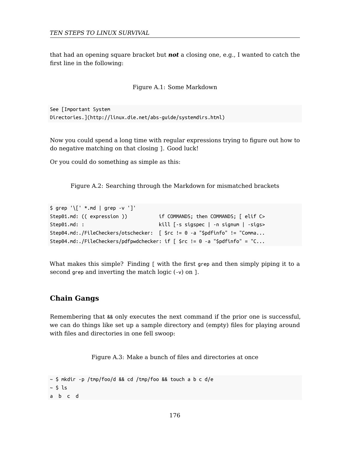that had an opening square bracket but *not* a closing one, e.g., I wanted to catch the first line in the following:

Figure A.1: Some Markdown

See [Important System Directories.](http://linux.die.net/abs-guide/systemdirs.html)

Now you could spend a long time with regular expressions trying to figure out how to do negative matching on that closing ]. Good luck!

Or you could do something as simple as this:

Figure A.2: Searching through the Markdown for mismatched brackets

```
$ grep '\[' *.md | grep -v ']'
Step01.md: (( expression )) if COMMANDS; then COMMANDS; [ elif C>
Step01.md: : kill [-s sigspec | -n signum | -sigs>
Step04.md:./FileCheckers/otschecker: [ $rc != 0 -a "$pdfinfo" != "Comma...
Step04.md:./FileCheckers/pdfpwdchecker: if [ $rc != 0 -a "$pdfinfo" = "C...
```
What makes this simple? Finding [ with the first grep and then simply piping it to a second grep and inverting the match logic (-v) on ].

#### **Chain Gangs**

Remembering that && only executes the next command if the prior one is successful, we can do things like set up a sample directory and (empty) files for playing around with files and directories in one fell swoop:

Figure A.3: Make a bunch of files and directories at once

```
\sim $ mkdir -p /tmp/foo/d && cd /tmp/foo && touch a b c d/e
~5 ~1s
a b c d
```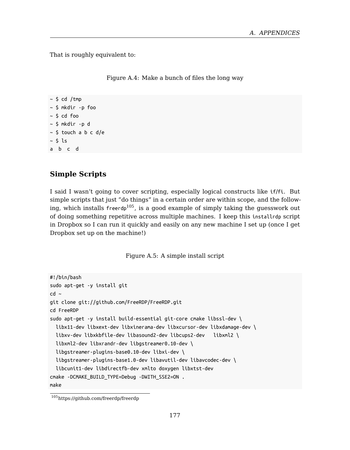*A. APPENDICES*

That is roughly equivalent to:

Figure A.4: Make a bunch of files the long way

```
~\sim $ cd /tmp
~ $ mkdir -p foo
~ $ cd foo
~ $ mkdir -p d
~ $ touch a b c d/e
~ $ ls
a b c d
```
#### **Simple Scripts**

I said I wasn't going to cover scripting, especially logical constructs like if/fi. But simple scripts that just "do things" in a certain order are within scope, and the following, which installs freerdp<sup>105</sup>, is a good example of simply taking the guesswork out of doing something repetitive across multiple machines. I keep this installrdp script in Dropbox so I can run it quickly and easily on any new machine I set up (once I get Dropbox set up on the machine!)

Figure A.5: A simple install script

```
#!/bin/bash
sudo apt-get -y install git
cd \simgit clone git://github.com/FreeRDP/FreeRDP.git
cd FreeRDP
sudo apt-get -y install build-essential git-core cmake libssl-dev \
 libx11-dev libxext-dev libxinerama-dev libxcursor-dev libxdamage-dev \
  libxv-dev libxkbfile-dev libasound2-dev libcups2-dev libxml2 \
  libxml2-dev libxrandr-dev libgstreamer0.10-dev \
 libgstreamer-plugins-base0.10-dev libxi-dev \
  libgstreamer-plugins-base1.0-dev libavutil-dev libavcodec-dev \
 libcunit1-dev libdirectfb-dev xmlto doxygen libxtst-dev
cmake -DCMAKE_BUILD_TYPE=Debug -DWITH_SSE2=ON .
```
make

<sup>105</sup>https://github.com/freerdp/freerdp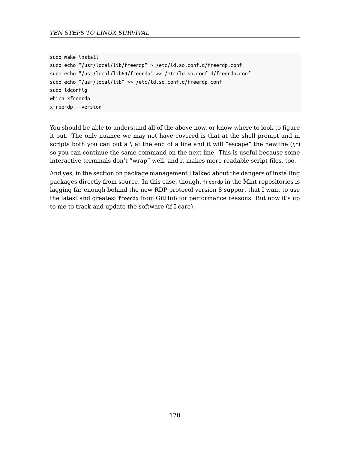```
sudo make install
sudo echo "/usr/local/lib/freerdp" > /etc/ld.so.conf.d/freerdp.conf
sudo echo "/usr/local/lib64/freerdp" >> /etc/ld.so.conf.d/freerdp.conf
sudo echo "/usr/local/lib" >> /etc/ld.so.conf.d/freerdp.conf
sudo ldconfig
which xfreerdp
xfreerdp --version
```
You should be able to understand all of the above now, or know where to look to figure it out. The only nuance we may not have covered is that at the shell prompt and in scripts both you can put a \ at the end of a line and it will "escape" the newline  $(\n\cdot r)$ so you can continue the same command on the next line. This is useful because some interactive terminals don't "wrap" well, and it makes more readable script files, too.

And yes, in the section on package management I talked about the dangers of installing packages directly from source. In this case, though, freerdp in the Mint repositories is lagging far enough behind the new RDP protocol version 8 support that I want to use the latest and greatest freerdp from GitHub for performance reasons. But now it's up to me to track and update the software (if I care).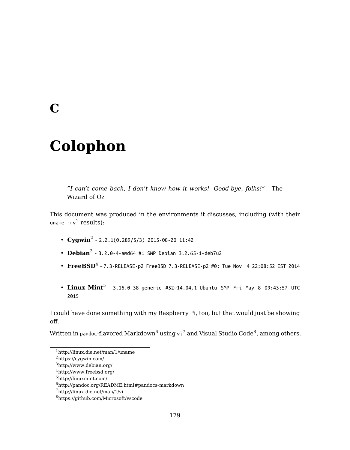## **C**

# **Colo[p](#page-178-1)hon**

*"I can't co[me](#page-178-2) back, I don't know how it works! Good-bye, folks!"* - The Wizard of Oz

This document was produced in the environments it discusses, including (with their uname  $\text{-rv}^1$  results):

- $\cdot$  **Cygwin**<sup>2</sup> 2.2.1(0.289/5/3) 2015-08-20 11:42
- <span id="page-178-0"></span> $\bullet$  **[Debian](https://cygwin.com/)** $^3$  - [3.2.0-4-amd64](http://linux.die.net/man/1/uname) #1 SMP Debian 3.2.65-1+deb7u2
- <span id="page-178-2"></span><span id="page-178-1"></span> $\bullet$   $\bf{FreeBSD^4}$  $\bf{FreeBSD^4}$  $\bf{FreeBSD^4}$  - 7.3-RELEASE-p2 <code>FreeBSD</code> 7.3-RELEASE-p2 #0: Tue Nov  $\,$  4 22:08:52 EST 2014
- $\,\cdot\,$   $\rm Linux$   $\rm Mint^5$  [3.16.0-38-generic #52~14.](http://pandoc.org/README.html#pandocs-markdown)04.1-Ubuntu SMP Fri May 8 09:43:57 UTC [2015](https://github.com/Microsoft/vscode)

I could have done something with my Raspberry Pi, too, but that would just be showing off.

Written in pandoc-flavored Markdown $^6$  using vi $^7$  and Visual Studio Code $^8$ , among others.

<sup>4</sup>http://www.freebsd.org/

<sup>1</sup>http://linux.die.net/man/1/uname

<sup>2</sup>https://cygwin.com/

 $^3$ http://www.debian.org/  $\,$ 

<sup>5</sup>http://linuxmint.com/

 $^6$ http://pandoc.org/README.html#pandocs-markdown

<sup>7</sup>http://linux.die.net/man/1/vi

 ${}^{8}{\rm htfrs://github.com/Microsoft/vscode}$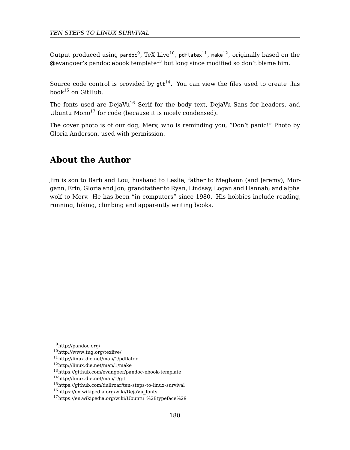Output produced using pandoc $^9$ , TeX Live $^{10}$ , pdflatex $^{11}$ , make $^{12}$ , originally based on the  $@evangoer's$  pandoc ebook template<sup>13</sup> but long since modified so don't blame him.

Source code control is provided by  $git^{14}$ . You can view the files used to create this book<sup>15</sup> on GitHub.

The fonts used are DejaVu<sup>16</sup> Serif for the body text, DejaVu Sans for headers, and Ubuntu Mono<sup>17</sup> for code (because it is nicely condensed).

The cover photo is of our dog, Merv, who is reminding you, "Don't panic!" Photo by Gloria Anderson, used with permission.

## **About the Author**

Jim is son to Barb and Lou; husband to Leslie; father to Meghann (and Jeremy), Morgann, Erin, Gloria and Jon; grandfather to Ryan, Lindsay, Logan and Hannah; and alpha wolf to Merv. He has been "in computers" since 1980. His hobbies include reading, running, hiking, climbing and apparently writing books.

<sup>9</sup>http://pandoc.org/

<sup>10</sup>http://www.tug.org/texlive/

<sup>11</sup>http://linux.die.net/man/1/pdflatex

<sup>12</sup>http://linux.die.net/man/1/make

 $^{13}{\rm https://github.com/evangoer/pandoc-ebook-template}$ 

<sup>14</sup>http://linux.die.net/man/1/git

<sup>15</sup>https://github.com/dullroar/ten-steps-to-linux-survival

 $16$ https://en.wikipedia.org/wiki/DejaVu fonts

<sup>17</sup>https://en.wikipedia.org/wiki/Ubuntu\_%28typeface%29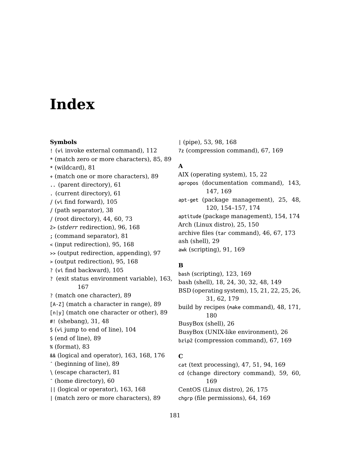# **Index**

#### **Symbols**

! (vi invoke external command), 1[12](#page-96-0) \* (match zero or more [cha](#page-94-0)[ract](#page-167-0)ers), 85, 89 \* (wildcard), 81 + (match one or more characters), 89 .. (paren[t dir](#page-166-0)ectory), 61 . (current directory), 61 / (vi find forward), 105 / (path separator), 38 / (root direct[ory\)](#page-30-0), [44](#page-47-0), 60, 73 2> (*stderr* redirection), 96, [16](#page-103-0)8 ; (command se[par](#page-88-0)ator), 81 < (input re[dire](#page-82-0)ction), 95, 168 >> (output redirection, ap[pend](#page-162-0)[ing\),](#page-167-0) [97](#page-175-0) > (output redirection), [9](#page-88-0)5, 168 ? (vi find backward), [105](#page-80-0) ? (exit status envir[onm](#page-59-0)ent variable), 163, 167 ? (match one character), 89 [A-Z] (match a character in range), 89 [n|y] (match one character or other), 89 #! (shebang), 31, 48 \$ (vi jump to end of line), 104 \$ (end of line), 89 % (format), 83 && (logical and operator), 163, 168, 176 ˆ (beginning of line), 89 \ (escape character), 81 ˜ (home directory), 60 || (logical or operator), 163, 168 | (match zero or more characters), 89

| (pipe), 53, [98](#page-28-0), 168 7z (compressio[n co](#page-90-0)[mma](#page-168-0)nd), 67, 169

# **A**

AIX (operating [syste](#page-122-0)[m\),](#page-168-0) 15, 22 apropos (doc[um](#page-17-0)[enta](#page-23-0)[tion](#page-29-0) [co](#page-31-0)[mm](#page-47-0)[and\)](#page-148-0), 143, 147, 169 apt-get ([pac](#page-30-0)[kag](#page-61-0)[e ma](#page-178-0)nagement), 25, 48, 120, 154–157, 174 aptitude ([pack](#page-179-0)age management), 154, 174 Arch (Linux dist[ro\),](#page-25-0) 25, 150 archive files (tar command), 46, 67, [1](#page-25-0)73 ash (shell), 29 awk (scripting), 91, 169

#### **B**

bash (scripting), 123, 169 bash (sh[ell\),](#page-168-0) 18, 24, 30, 32, 48, 149 BSD (operating system), [1](#page-25-0)5, [21,](#page-174-0) 22, 25, 26, 31, 62, 179 build by recipes (make command), 48, 171, 180 BusyBox (shell), 26 BusyBox (UNIX-like environment), 26 bzip2 (compression command), 67, 169

#### **C**

cat (text processing), 47, 51, 94, 169 cd (change directory command), 59, 60, 169 CentOS (Linux distro), 26, 175 chgrp (file permissions), 64, 169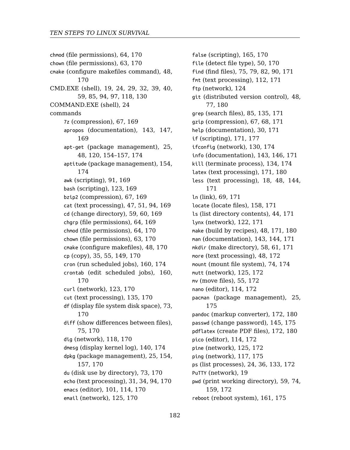chmod (file [pe](#page-47-0)[rmis](#page-119-0)s[ions](#page-153-0)), [64,](#page-156-0) [170](#page-173-0) chown (file permissions), 63, 170 cmake (co[nfigu](#page-173-0)re makefiles command), 48, 170 CMD.EXE (shell), 19, [24](#page-122-0), [29,](#page-168-0) 32, 39, 40, 59, 85, 94, 97, [118](#page-66-0), [130](#page-168-0) COMMAND.EXE (shell), 2[4](#page-46-0) commands 7z (compression), 67, 1[69](#page-63-0) apropos (documentation[\),](#page-63-0) [143,](#page-169-0) 147, 169 apt-get (package manage[men](#page-47-0)t), [25](#page-169-0), 48, 1[20,](#page-34-0) [154](#page-54-0)[–157](#page-148-0), [174](#page-169-0) aptitude (package manage[men](#page-159-0)t), [15](#page-173-0)4, 174 awk ([scrip](#page-169-0)ting), 91, 169 bash (scripting), [123](#page-122-0), [169](#page-169-0) bzip2 (compression), [67,](#page-134-0) 1[69](#page-169-0) cat (text processing), 47, 51, 94, [169](#page-72-0) cd (c[hang](#page-169-0)e directory), 59, 60, 169 chgrp (file permissions), 64, 169 chmod [\(fi](#page-74-0)l[e pe](#page-169-0)rmissions), 64, 170 chown (file per[missi](#page-117-0)[ons\),](#page-169-0) 63, 170 cmake (configure makefiles), [48](#page-139-0), [170](#page-173-0) cp (copy), 35, 55, 149, 170 cron [\(run](#page-156-0) [sche](#page-169-0)duled jobs), 160, 174 crontab (edit scheduled [job](#page-72-0)s[\),](#page-169-0) 160, 170 curl (network), [123](#page-100-0), [17](#page-113-0)[0](#page-169-0) cut (text proces[sing\)](#page-124-0), [135](#page-169-0), 170 df (display file system disk space), 73, 170 diff (show differences between files), 75, 170 dig (network), 118, 170 dmesg (display kernel log), 140, 174 dpkg (package management), 25, 154, 157, 170 du (disk use by directory), 73, 170 echo (text processing), 31, 34, 94, 170 emacs (editor), 101, 114, 170 email (network), 125, 170

false (scripting), 165, [170](#page-142-0) file (detect file type), 50, [170](#page-133-0) find (find files), 75, 79, [82,](#page-170-0) 9[0,](#page-179-0) 171 fmt (text processing), 1[12,](#page-17-0) 1[71](#page-47-0) ftp ([netw](#page-170-0)ork), 124 git (dist[ribu](#page-68-0)[ted v](#page-170-0)ersion control), 48, 77, 180 grep (search files), 85, 135, [17](#page-43-0)[1](#page-170-0) gzip (compress[ion\),](#page-121-0) [67,](#page-170-0) 68, 171 help (documentation), [30,](#page-47-0) [171](#page-170-0) if (scripting), 171, 1[77](#page-142-0) ifconfig (network), 130, [17](#page-57-0)[4](#page-60-0) info (documentation), [143](#page-47-0), [146](#page-171-0), 171 kill (terminate process), [134](#page-73-0), [174](#page-173-0) latex (text proc[essin](#page-124-0)[g\),](#page-171-0) 171, 180 less (text proc[ess](#page-54-0)i[ng\),](#page-171-0) 18, 48, 144, 171 ln (link), 69, 171 locate [\(lo](#page-174-0)cate files), 158, 171 ls (list directory contents), [44,](#page-171-0) [171](#page-179-0) lynx (network), 122, 171 make (build by recipes), 48, [171,](#page-171-0) [180](#page-179-0) man (docume[ntatio](#page-113-0)[n\),](#page-171-0) 143, 144, 171 mkdir (make dir[ecto](#page-124-0)r[y\),](#page-171-0) 58, 61, 171 more (text proce[ssin](#page-116-0)g), [48](#page-174-0), 172 mount (mount file s[yste](#page-23-0)[m\),](#page-35-0) [74,](#page-132-0) 1[74](#page-171-0) mutt (network), [125](#page-18-0), 172 mv (move files), 55, 172 nano [\(edit](#page-158-0)[or\),](#page-171-0) 114, 172 pacman (package man[agem](#page-160-0)[ent\),](#page-174-0) 25, 175 pandoc (markup converter), 172, 180 passwd (change password), 145, 175 pdflatex (create PDF files), 172, 180 pico (editor), 114, 172 pine (network), 125, 172 ping (network), 117, 175 ps (list processes), 24, 36, 133, 172 PuTTY (network), 19 pwd (print working directory), 59, 74, 159, 172 reboot (reboot system), 161, 175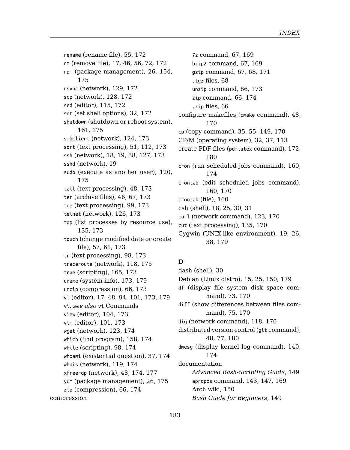rename (renam[e fil](#page-17-0)[e\),](#page-18-0) 5[5,](#page-37-0) 1[72](#page-126-0) rm (remove file), [17](#page-18-0), 46, 56, 72, 172 rpm (package management), 26, [154,](#page-119-0) [175](#page-174-0) rsync (network), 129, [172](#page-47-0) scp (network), 128, [17](#page-45-0)[2](#page-66-0) sed (editor), 115, 172 set (set shell opti[ons\)](#page-125-0), [32,](#page-172-0) 172 shutdown (shutdown or reboot system), [161,](#page-134-0) [175](#page-172-0) smbclient (network), 124, 173 sort (text [pro](#page-56-0)[ces](#page-60-0)[sing\)](#page-172-0), 51, 112, 173 ssh (network), 18, 19, [3](#page-97-0)8, [12](#page-172-0)7, 173 sshd (network), 19 sudo (execute a[s ano](#page-164-0)[ther](#page-172-0) user), 120, 175 tail (text processing[\),](#page-65-0) 48, [17](#page-172-0)3 tar (archiv[e fil](#page-16-0)[es\),](#page-47-0) [46,](#page-93-0) [67,](#page-100-0) 1[73](#page-172-0) tee (text processing), 99, 173 telnet (netw[ork\),](#page-103-0) [126,](#page-172-0) 173 top (list pro[cess](#page-100-0)[es by](#page-172-0) resource use), 135, 173 touch (change modifie[d da](#page-157-0)t[e or](#page-173-0) create file), 57, 61, [17](#page-97-0)[3](#page-173-0) tr (text processing), 98, 173 traceroute (netw[ork\),](#page-118-0) [118,](#page-173-0) 175 true (scripting), 16[5,](#page-47-0) 1[73](#page-173-0) uname (system info), 173, 17[9](#page-25-0) unzip (compression[\),](#page-65-0) 66, [17](#page-173-0)3 vi (editor), 17, 48, 94, 101, 173, 179 vi, *see also* vi Commands view (editor), 104, 173 vim (editor), 101, 173 wget (network), 123, 174 which (find program), 158, 174 while (scripting), 98, 174 whoami (existential question), 37, 174 whois (network), 119, 174 xfreerdp (network), 48, 174, 177 yum (package management), 26, 175 zip (compression), 66, 174 compression

7z c[omm](#page-179-0)and, 67, 169 bzip2 command, 67, 169 gzip [com](#page-173-0)mand, 67, 68, 171 .tgz files, 68 unzip [com](#page-159-0)[man](#page-169-0)d, 66, 173 zip com[mand](#page-159-0), 66, 174 .zip fil[es,](#page-17-0) [66](#page-24-0) configure makefiles (cmake [com](#page-122-0)[man](#page-169-0)d), 48, 170 cp (copy command), 35, 55, 149, 1[70](#page-18-0) CP/M (op[era](#page-37-0)[ting](#page-178-0) system), 32, 37, 113 create PDF files (pdflatex command), 172, 180 cron (run sc[hed](#page-29-0)uled jobs command), 160, 174 crontab (edit schedul[ed](#page-14-0)j[obs](#page-24-0) [com](#page-149-0)[man](#page-178-0)d), 160, 17[0](#page-72-0) crontab (file), 160 csh (shell), 18, 25, 30, 31 curl (network co[mm](#page-74-0)[and\)](#page-169-0), [123](#page-117-0), [170](#page-169-0) cut (text processing), 135, 170 Cygwin([UN](#page-47-0)I[X-l](#page-76-0)i[ke e](#page-179-0)nvironment), 19, 26, 38, 179

# **D**

dash (shell), 30 Debian (Linux distro), [15,](#page-142-0) 25, [15](#page-146-0)0, [17](#page-168-0)9 df (display file [sys](#page-149-0)tem disk space command), 73, 170 diff (show differences between files command), 75, 170 dig (network command), 118, 170 distributed version control (git command), 48, 77, 180 dmesg (display kernel log command), 140, 174 documentation *Advanced Bash-Scripting Guide*, 149 apropos command, 143, 147, 169 Arch wiki, 150 *Bash Guide for Beginners*, 149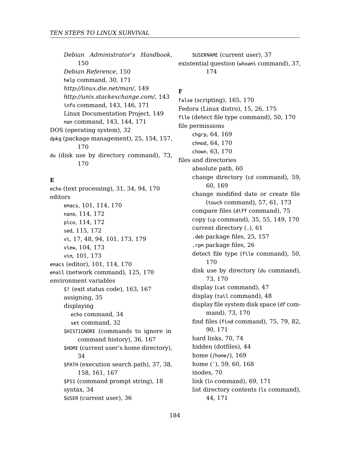*Debian Administrator's Handb[ook](#page-72-0)*, [150](#page-169-0) *Debian Reference*, 150 help command, 30, 171 *http://linux.die.ne[t/m](#page-30-0)[an/](#page-33-0)*, [14](#page-93-0)9 *http://unix.stackexchange.com/*, 143 info c[omm](#page-100-0)[and,](#page-113-0) [143,](#page-169-0) 146, 171 Linu[x Do](#page-113-0)c[ume](#page-171-0)ntation Project, 149 man c[omm](#page-113-0)[and,](#page-171-0) 143, 144, 171 DOS (op[erati](#page-114-0)[ng sy](#page-171-0)stem), 32 dpkg (pa[cka](#page-16-0)[ge](#page-47-0) [man](#page-93-0)[agem](#page-100-0)[ent\),](#page-172-0) [25,](#page-178-0) 154, 157, [170](#page-103-0) du (disk [use](#page-100-0) [by d](#page-172-0)irectory command), 73, 170

## **E**

echo (text processing), 31, [34,](#page-162-0) [94,](#page-166-0) 170 editors emacs, 101, 114, 170 nano, 114, 172 pico, 114, 172 sed, 115, 172 vi, 17, 48, 94, 101, 173, [17](#page-35-0)[9](#page-166-0) view, 104, 173 vim, [101](#page-33-0), 173 emacs (editor), 101, 114, 170 email (ne[twor](#page-157-0)[k com](#page-160-0)[man](#page-166-0)d), 125, 170 environment variables \$? (exit [sta](#page-33-0)tus code), 163, 167 assigning, 35 displaying echo command, 34 set command, 32 \$HISTIGNORE (commands to ignore in command history), 36, 167 \$HOME (current user's home directory), 34 \$PATH (execution search path), 37, 38, 158, 161, 167 \$PS1 (command prompt string), 18 syntax, 34 \$USER (current user), 36

\$USERN[AME](#page-62-0) [\(curr](#page-169-0)ent user), 37 existential question [\(](#page-59-0)whoami command), 37, 174

**F**

false (scripting), 165, 170 Fedora (Linux distro), 15, 26, 175 file (detect file type com[ma](#page-34-0)[nd\),](#page-54-0) [50,](#page-148-0) [170](#page-169-0) file permissions chgrp, 64, 169 chmod, 64, 170 chown, 63, 170 files and [direc](#page-169-0)tories absolute path, 60 cha[nge](#page-72-0) [dire](#page-169-0)ctory (cd command), 59, 60, 169 change modified date o[r c](#page-47-0)reate file (touch command), 57, 61, 173 compare fil[es \(](#page-72-0)d[iff](#page-169-0) command), 75 copy (cp command), 35, 55, [1](#page-74-0)[49,](#page-78-0) [170](#page-81-0) curr[ent](#page-89-0) [direc](#page-170-0)tory (.), 61 .deb packa[ge fi](#page-69-0)[les](#page-73-0), 25, 157 .rpm package files, [2](#page-43-0)6 detect file typ[e \(](#page-168-0)file command), 50, 170 disk us[e b](#page-69-0)y directory (du command), 73, 170 display (cat command), 47 disp[lay](#page-43-0) ([tail](#page-170-0) command), 48 display file system disk space (df command), 73, 170 find files (find command), 75, 79, 82, 90, 171 hard links, 70, 74 hidden (dotfiles), 44 home (/home/), 169 home (~), 59, 60, 168 inodes, 70 link (ln command), 69, 171 list directory contents (ls command),

44, 171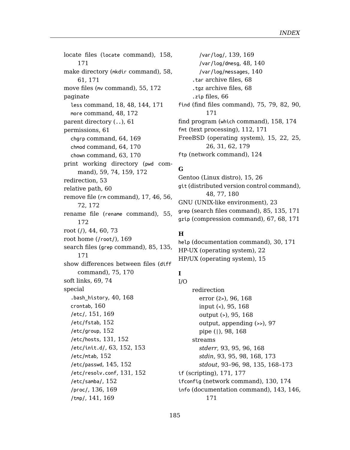locate files (locate [c](#page-62-0)[omma](#page-169-0)nd), 158, 171 make direct[ory](#page-58-0) ([mk](#page-73-0)d[ir](#page-158-0) co[mma](#page-171-0)nd), 58, 61, 171 move files (mv [com](#page-59-0)mand), 55, 172 paginate le[ss](#page-71-0) c[omm](#page-171-0)and, 18, 48, 144, 171 more command, 48, 172 pare[nt di](#page-171-0)rectory (..), 61 permissi[on](#page-43-0)s, [61](#page-59-0) chgrp command, [64,](#page-168-0) 169 chmod command, 64, 170 ch[own](#page-170-0) command, 63, 170 print working directory (pwd command), 59, [74,](#page-74-0) [159,](#page-169-0) 172 redirectio[n,](#page-68-0) 5[3](#page-73-0) relative path, 60 remove file (rm c[om](#page-39-0)[mand](#page-167-0)), 17, 46, 56, 72, 1[72](#page-159-0) rename [file](#page-150-0) ([rena](#page-168-0)me command), 55, 172 root (/), 44, [60,](#page-151-0) 73 root home (/[root/](#page-130-0)), [169](#page-151-0) search files (gr[ep](#page-62-0) c[omm](#page-151-0)[and\),](#page-152-0) 85, 135, 171 show differen[ces b](#page-144-0)[etwe](#page-151-0)en files (diff command), 75, [170](#page-130-0) soft links, 69, [74](#page-151-0) special .bash\_[histo](#page-140-0)[ry](#page-168-0), 40, 168 crontab, 160 /etc/, 151, 169 /etc/fstab, 152 /etc/group, 152 /etc/hosts, 131, 152 /etc/init.d/, 63, 152, 153 /etc/mtab, 152 /etc/passwd, 145, 152 /etc/resolv.conf, 131, 152 /etc/samba/, 152 /proc/, 136, 169 /tmp/, 141, 169

/var/log/, 139, 16[9](#page-123-0) /var/log/dmesg, 48, 140 /var/log/messages, 1[40](#page-25-0) .tar archive files, [68](#page-14-0) .tgz archive [files](#page-179-0), 68 .zip [file](#page-47-0)s, [6](#page-76-0)6 find (find files command), 7[5,](#page-84-0) [79,](#page-22-0) [82](#page-134-0), [90,](#page-170-0) 171 find program (which command), [1](#page-66-0)[58,](#page-67-0) [174](#page-170-0) fmt (text processing), 112, 171 FreeBSD (operating system), 1[5,](#page-29-0) 2[2,](#page-170-0) 25, 26, 31, 62, 179 ftp (network command), 1[24](#page-14-0)

## **G**

Gentoo (Linux distro), 15, 26 git (distributed version control command), 48, 77, [180](#page-95-0) GNU (UNIX-like [env](#page-94-0)[ironm](#page-167-0)ent), 23 grep (search files [com](#page-94-0)[man](#page-167-0)d), 85, 135, 171 gzip (compression command), [67,](#page-96-0) 68, 171

# **H**

help (documentation command), 30, 171 HP-UX (opera[ting](#page-92-0) [sys](#page-94-0)[tem](#page-95-0)), [22](#page-167-0) HP/UX (oper[atin](#page-92-0)[g s](#page-94-0)[y](#page-95-0)[ste](#page-97-0)[m\),](#page-167-0) [1](#page-134-0)[5](#page-172-0)

#### **I** I/O

redirection er[ror \(](#page-170-0)2>), 96, 168 input (<), 95, 168 output (>), 95, 168 output, appending (>>), 97 pipe (|), 98, 168 streams *stderr*, 93, 95, 96, 168 *stdin*, 93, 95, 98, 168, 173 *stdout*, 93–96, 98, 135, 168–173 if (scripting), 171, 177 ifconfig (network command), 130, 174 info (documentation command), 143, 146, 171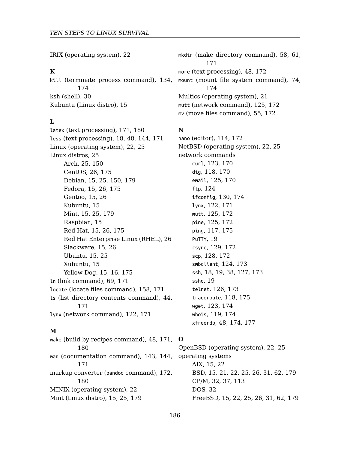IRIX (operatin[g s](#page-24-0)ystem), 22

#### **K**

kill (termin[ate](#page-14-0) [pro](#page-24-0)[cess](#page-149-0) [com](#page-178-0)mand), 134, 17[4](#page-14-0) ksh (shell), 3[0](#page-14-0) Kubuntu (Linu[x d](#page-14-0)istro), 15

## **L**

latex (text pro[ces](#page-14-0)[sing](#page-25-0)), [17](#page-174-0)1, 180 less (text processing), 18, 48, 144, 171 Linux (operatin[g sy](#page-14-0)[stem](#page-25-0)), 22, 25 Linux distros, [25](#page-14-0) Arch, 25, [150](#page-14-0) CentOS, 26, [17](#page-14-0)[5](#page-15-0) Debian, 15, 25, [15](#page-68-0)[0,](#page-170-0) 179 Fedora, 15, 26, 175 Gentoo, 15, 26 Kub[untu,](#page-170-0) 15 Mint, 15, 25, 179 Raspbian, 15 Red Hat, 15, 26, 175 Red Hat Enterprise Linux (R[HEL](#page-47-0)), [26](#page-170-0) Slac[kwar](#page-179-0)e, 15, 26 Ubuntu, 15, 25 Xub[untu,](#page-170-0) 15 Yellow Dog, 15, 16, 175 ln (link c[omm](#page-179-0)and), 69, 171 locate (locate files comman[d\),](#page-21-0) 158, 171 ls (list directory co[nte](#page-14-0)[nts](#page-24-0) [comm](#page-178-0)and), 44, 171 lynx (network command), 122, 171

#### **M**

make (build by recipes command), 48, 171, 180 man (documentation command), 143, 144, 171 markup converter (pandoc command), 172, 180 MINIX (operating system), 22 Mint (Linux distro), 15, 25, 179

mkdir (make directory command), 58, 61, [171](#page-122-0) more (tex[t pro](#page-117-0)[cessi](#page-169-0)ng), 48, 172 mount (mo[unt fi](#page-124-0)[le sy](#page-169-0)stem command), 74, [174](#page-123-0) Multics (oper[ating](#page-129-0) [syst](#page-173-0)em), 21 mutt (net[work](#page-121-0) [comm](#page-170-0)and), 125, 172 mv (move [files](#page-124-0) [comm](#page-171-0)and), 55, 172

## **N**

nano (edito[r\),](#page-18-0) 114, 172 NetBSD (o[pera](#page-128-0)[ting s](#page-171-0)ystem), 22, 25 network [com](#page-127-0)[mand](#page-171-0)s curl, 123, [170](#page-123-0) dig, [11](#page-17-0)8, [17](#page-18-0)[0](#page-37-0) email, [12](#page-18-0)5, 170 ftp, 12[4](#page-125-0) ifconfig, 1[30,](#page-117-0) 1[74](#page-174-0) lynx, [122](#page-122-0), [171](#page-173-0) mutt, [125,](#page-118-0) [172](#page-173-0) pine, 125, [17](#page-47-0)[2](#page-173-0) ping, 117, 175 PuTTY, 19 rsync, 129, 172 scp, 128, 172 smbc[lien](#page-14-0)t, [1](#page-21-0)24, 173 ssh, 1[8,](#page-14-0) 1[9,](#page-20-0) 3[8,](#page-21-0) 1[27,](#page-24-0) [173](#page-25-0) sshd, 1[9](#page-31-0) telnet, [1](#page-31-0)26, 173 traceroute, [11](#page-14-0)[8,](#page-21-0) 1[75](#page-24-0) wget, 123, 174 whois, 119, 174 xfreerdp, 48, 174, 177

## **O**

OpenBSD (operating system), 22, 25 operating systems AIX, 15, 22 BSD, 15, 21, 22, 25, 26, 31, 62, 179 CP/M, 32, 37, 113 DOS, 32 FreeBSD, 15, 22, 25, 26, 31, 62, 179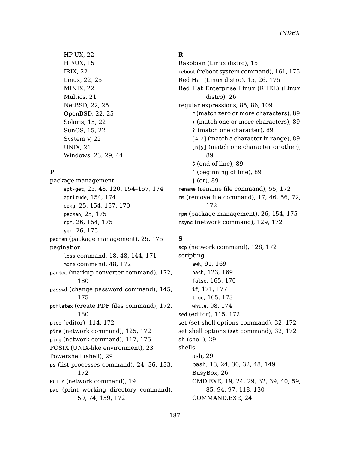*IND[EX](#page-88-0)*

HP-UX, 2[2](#page-22-0) HP/UX, 15 IRIX, 22 Linux, 22, 25 MINIX, [22](#page-24-0) Multics, [21](#page-153-0) NetB[SD](#page-24-0), [22,](#page-153-0) [25](#page-156-0) OpenB[SD](#page-24-0), [22,](#page-174-0) 25 Sol[aris](#page-25-0), [15,](#page-153-0) [22](#page-174-0) Sun[OS](#page-25-0), [15,](#page-174-0) 22 System V, 22 UNIX, 21 Windows, 23, 2[9,](#page-17-0) 4[4](#page-47-0)

#### **P**

package [mana](#page-179-0)gement apt-get, 25, 48, 120, 154–157, 1[74](#page-144-0) apti[tude](#page-174-0), 154, 174 dpkg, 25, 154, 157, 170 pacman, [25](#page-179-0), 175 rpm, 26, [154,](#page-113-0) [175](#page-171-0) yum, 26, 175 pacman (package manage[ment\)](#page-116-0), [25,](#page-174-0) 175 pagination less command, [18](#page-28-0), 48, 144, 171 more command, 48, 172 pandoc (m[arku](#page-171-0)p converter command), 172, 180 passwd (change password command), 145, [17](#page-58-0)5 pdflatex (create PDF files command), 172, 180 pico (editor), 114, 172 pine (network command), 125, 172 ping (network command), 117, 175 POSIX (UNIX-like environment), 23 Powershell (shell), 29 ps (list processes command), 24, 36, 133, 172 PuTTY (network command), 19 pwd (print working directory command), 59, 74, 159, 172

# **R**

Raspbian (Linux di[stro](#page-88-0)), 15 reboot (reboot system com[ma](#page-88-0)nd), 161, 175 Red Hat (L[inu](#page-88-0)x distro), 15, 26, 175 Red Hat Enterprise Linux (R[HEL](#page-54-0)) [\(Lin](#page-171-0)ux distro), 26 regular e[xpre](#page-171-0)ssions, 85, 86, 109 \* (match zero or more c[har](#page-25-0)[acter](#page-153-0)s), [89](#page-174-0) + (match one or more [char](#page-128-0)[acter](#page-171-0)s), 89 ? (match one character), 89 [A-Z] (match a character in range), 89 [n|y] (match one ch[arac](#page-127-0)t[er or](#page-171-0) other), 89 \$ (e[nd](#page-90-0) [of lin](#page-168-0)e), 89 ˆ (be[ginn](#page-122-0)i[ng o](#page-168-0)f line), 89 | (or), [89](#page-164-0) rename ([rena](#page-170-0)[me fi](#page-176-0)le command), 55, 172 rm (remov[e file](#page-164-0) [com](#page-172-0)mand), 17, 46, 56, 72, 1[72](#page-97-0) rpm (packag[e ma](#page-114-0)[nage](#page-171-0)ment), 26, 154, 175 rsync (network command), 129, [172](#page-31-0)

## **S**

scp (network command), 128, 172 scripting awk, 9[1,](#page-17-0) 1[69](#page-23-0) bash, 123, [16](#page-25-0)9 false, 165, [170](#page-18-0) if, 1[71,](#page-84-0) [177](#page-93-0) true, 165, 173 while, 98, 174 sed (editor), 115, 172 set (set shell options command), 32, 172 set shell options (set command), 32, 172 sh (shell), 29 shells ash, 29 bash, 18, 24, 30, 32, 48, 149 BusyBox, 26 CMD.EXE, 19, 24, 29, 32, 39, 40, 59, 85, 94, 97, 118, 130 COMMAND.EXE, 24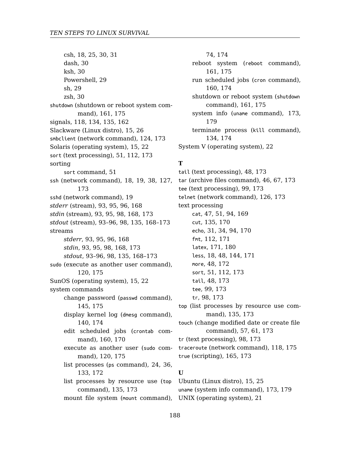csh, 18, 25, 30, 3[1](#page-50-0) dash, 30 ksh, 30 Powershell, 29 sh, [29](#page-172-0) zsh, 30 shutdown (shutdo[wn](#page-92-0) [or r](#page-94-0)[ebo](#page-95-0)[ot sy](#page-167-0)stem command[\),](#page-92-0) 1[61,](#page-94-0) [175](#page-97-0) signals, 118, 134, [1](#page-92-0)[35,](#page-95-0) [162](#page-97-0) Slackware (Linux distro), 15, 26 smbclient (n[etw](#page-92-0)[ork](#page-94-0) [com](#page-95-0)[man](#page-167-0)d), 124, 173 Solaris (op[era](#page-92-0)[ting](#page-94-0) [sys](#page-97-0)[tem\)](#page-167-0), [15,](#page-172-0) 22 sort (text pr[oce](#page-92-0)[ssin](#page-95-0)[g\),](#page-97-0) [51,](#page-134-0) 1[12,](#page-167-0) 1[73](#page-172-0) sorting sort [com](#page-119-0)[mand](#page-174-0), 51 ssh (network command), 1[8,](#page-14-0) 1[9,](#page-21-0) 38, 127, 173 sshd (network command), 19 *stderr* (st[ream](#page-144-0)), [93](#page-174-0), 95, 96, 168 *stdin* (stream), 93, 95, 98, 168, 173 *stdout* (st[ream](#page-139-0)), [93](#page-173-0)–96, 98, 135, 168–173 streams *stderr*, 93, 9[5,](#page-159-0) 96, [168](#page-169-0) *stdin*, 93, 95, 98, 168, 173 *stdout*, 93–9[6,](#page-119-0) 98, [135](#page-174-0), 168–173 sudo (execute as another user co[mma](#page-23-0)[nd\),](#page-35-0) [120,](#page-132-0) [175](#page-171-0) SunOS (operating system), 15, 22 system commands change password (passwd command), 145, 175 display kernel log (dmesg command), 140, 174 edit scheduled jobs (crontab command), 160, 170 execute as another user (sudo command), 120, 175 list processes (ps command), 24, 36, 133, 172 list processes by resource use (top command), 135, 173

74, 174 reboot system (reboot command), 161, 175 run scheduled jobs (cr[on](#page-45-0) c[om](#page-66-0)[mand](#page-172-0)), 160, 174 shutdown or reboot sy[stem](#page-125-0) ([shu](#page-172-0)tdown command), 161, 175 syst[em](#page-46-0) [inf](#page-50-0)[o \(](#page-93-0)u[name](#page-168-0) command), 173, [179](#page-134-0) term[ina](#page-30-0)t[e p](#page-33-0)[roc](#page-93-0)[ess \(](#page-169-0)kill command), [134](#page-111-0), [174](#page-170-0) System V([oper](#page-170-0)[ating](#page-179-0) system), 22

## **T**

tail (text [pro](#page-50-0)[cess](#page-111-0)i[ng\),](#page-172-0) 48, 173 tar (archi[ve](#page-47-0) [files c](#page-172-0)ommand), 46, 67, 173 tee (text [pro](#page-98-0)[cess](#page-172-0)ing), 99, 173 telnet ([net](#page-97-0)[work](#page-172-0) command), 126, 173 text processing cat, 47, 51, [94,](#page-134-0) 1[69](#page-172-0) cut, 135, 170 echo, 31, 34, 94, [170](#page-56-0) fmt, 112, 171 latex, 171, 180 less, 18, 48, [144](#page-164-0), [171](#page-172-0) more, 48, 172 sort, 51, 112, 173 tail, 48, 173 tee, 99, 173 tr, 98, 173 top (list processes by resource use command), 135, 173 touch (change modified date or create file command), 57, 61, 173 tr (text processing), 98, 173 traceroute (network command), 118, 175 true (scripting), 165, 173 **U** Ubuntu (Linux distro), 15, 25

mount file system (mount command), UNIX (operating system), 21 uname (system info command), 173, 179